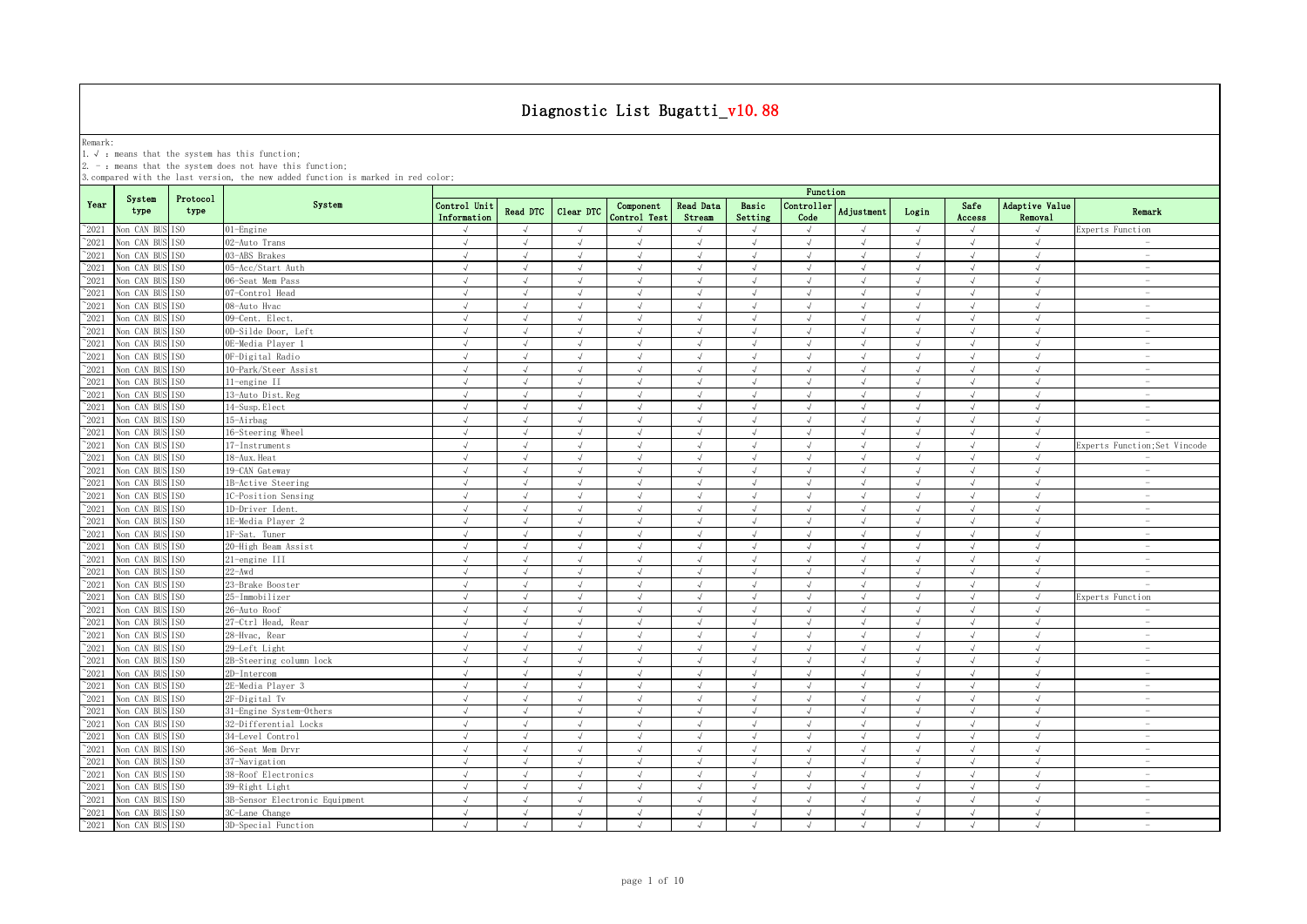Remark:<br>1.√ : means that the system has this function;<br>2. - : means that the system does not have this function;

|                |                               |                  |                                |                             |               |               |                           |                     |                  | Function           |               |            |                |                           |                                 |
|----------------|-------------------------------|------------------|--------------------------------|-----------------------------|---------------|---------------|---------------------------|---------------------|------------------|--------------------|---------------|------------|----------------|---------------------------|---------------------------------|
| Year           | System<br>type                | Protocol<br>type | System                         | Control Unit<br>Information | Read DTC      | Clear DTC     | Component<br>Control Test | Read Data<br>Stream | Basic<br>Setting | Controller<br>Code | Adjustment    | Login      | Safe<br>Access | Adaptive Value<br>Removal | Remark                          |
| $^{\circ}2021$ | Non CAN BUS ISO               |                  | 01-Engine                      | $\sqrt{ }$                  | $\sqrt{ }$    | $\sqrt{ }$    |                           | $\sqrt{ }$          | $\sqrt{ }$       | $\sqrt{ }$         | $\sqrt{ }$    | $\sqrt{ }$ | $\sqrt{ }$     | $\sqrt{ }$                | Experts Function                |
| $^{\sim}2021$  | Non CAN BUS                   | ISO.             | 02-Auto Trans                  | $\sqrt{ }$                  | $\sqrt{ }$    | $\sqrt{ }$    | $\sqrt{ }$                | $\sqrt{ }$          | $\sqrt{ }$       | $\sqrt{ }$         | $\sqrt{ }$    | $\sqrt{ }$ | $\sqrt{ }$     | $\sqrt{ }$                | $\sim$                          |
| $^{\sim}2021$  | Non CAN BUS                   | ISO.             | 03-ABS Brakes                  | $\sqrt{ }$                  | $\sqrt{ }$    | $\sqrt{ }$    | $\sqrt{ }$                | $\sqrt{ }$          | $\sqrt{ }$       | $\sqrt{ }$         | $\sqrt{ }$    | $\sqrt{ }$ | $\sqrt{ }$     | $\sqrt{ }$                | $\sim$                          |
| $^{\sim}2021$  | Non CAN BUS                   | ISO.             | 05-Acc/Start Auth              | $\sqrt{ }$                  | $\sqrt{ }$    | $\sqrt{ }$    | $\sqrt{ }$                | $\sqrt{ }$          | $\sqrt{ }$       | $\sqrt{ }$         | $\sqrt{ }$    | $\sqrt{ }$ | $\sqrt{ }$     | $\checkmark$              | $\overline{\phantom{a}}$        |
| 2021           | Non CAN BUS                   | IS <sub>0</sub>  | 06-Seat Mem Pass               | $\sqrt{ }$                  | $\sqrt{ }$    | $\sqrt{}$     | $\sqrt{ }$                | $\sqrt{}$           | $\sqrt{ }$       | $\sqrt{ }$         | $\sqrt{ }$    | $\sqrt{ }$ | $\sqrt{ }$     | $\sqrt{ }$                | $\hspace{0.1mm}-\hspace{0.1mm}$ |
| 2021           | Non CAN BUS                   | TSO              | 07-Control Head                | $\sqrt{ }$                  | $\sqrt{ }$    | $\sqrt{ }$    | $\sqrt{ }$                | $\sqrt{ }$          | $\sqrt{ }$       | $\sqrt{ }$         | $\sqrt{ }$    | $\sqrt{ }$ | $\sqrt{ }$     | $\sqrt{ }$                | $\sim$                          |
| 2021           | Non CAN BUS                   | ISO              | 08-Auto Hvac                   | $\sqrt{ }$                  | $\sqrt{ }$    | J             | $\mathcal{L}$             | $\sqrt{ }$          | $\sqrt{ }$       | $\sqrt{ }$         | $\sqrt{ }$    | $\sqrt{ }$ | $\sqrt{ }$     | $\sqrt{ }$                | $\overline{\phantom{a}}$        |
| 2021           | Non CAN BUS                   | IS <sub>0</sub>  | 09-Cent. Elect.                | $\sqrt{ }$                  | $\mathcal{L}$ | $\sqrt{ }$    | $\mathcal{L}$             |                     |                  | $\sqrt{ }$         | ار            | $\sqrt{ }$ | $\sqrt{ }$     | $\sqrt{ }$                | $\overline{\phantom{a}}$        |
| $^{\sim}2021$  | Non CAN BUS                   | TSO              | OD-Silde Door, Left            | $\sqrt{ }$                  | $\sqrt{ }$    |               | $\sqrt{ }$                | $\sqrt{ }$          | $\sqrt{ }$       | $\sqrt{ }$         | $\mathcal{A}$ | $\sqrt{ }$ | $\sqrt{ }$     | $\sqrt{ }$                |                                 |
| $^{\sim}$ 2021 | Non CAN BUS                   | ISO              | OE-Media Player                | $\sqrt{ }$                  | $\sqrt{ }$    | $\sqrt{ }$    |                           | $\sqrt{ }$          | $\sqrt{ }$       | $\sqrt{ }$         | $\sqrt{ }$    | $\sqrt{ }$ | $\sqrt{ }$     | $\sqrt{ }$                |                                 |
| $^{\sim}$ 2021 | Non CAN BUS                   | IS <sub>0</sub>  | OF-Digital Radio               | $\sqrt{ }$                  | $\sqrt{ }$    | $\sqrt{ }$    | $\sqrt{ }$                | $\sqrt{ }$          | $\sqrt{ }$       | $\sqrt{ }$         | $\sqrt{ }$    | $\sqrt{ }$ | $\sqrt{ }$     | $\sqrt{ }$                | $\sim$                          |
| $^{\sim}$ 2021 | Non CAN BUS                   | <b>ISO</b>       | 10-Park/Steer Assist           | $\sqrt{ }$                  | $\sqrt{ }$    | $\sqrt{ }$    | $\sqrt{ }$                | $\sqrt{ }$          | $\sqrt{ }$       | $\sqrt{ }$         | $\sqrt{ }$    | $\sqrt{ }$ | $\sqrt{ }$     | $\sqrt{ }$                | $\sim$                          |
| $^{\sim}$ 2021 | Non CAN BUS                   | IS <sub>0</sub>  | 11-engine II                   | $\sqrt{ }$                  | $\sqrt{ }$    | $\sqrt{ }$    | $\sqrt{ }$                | $\sqrt{ }$          | $\sqrt{ }$       | $\sqrt{ }$         | $\sqrt{ }$    | $\sqrt{ }$ | $\sqrt{ }$     | $\sqrt{ }$                | $\sim$                          |
| $^{\sim}$ 2021 | Non CAN BUS                   | IS <sub>0</sub>  | 13-Auto Dist. Reg              | $\sqrt{ }$                  | $\sqrt{ }$    | $\sqrt{ }$    | $\sqrt{ }$                | $\sqrt{ }$          | $\sqrt{ }$       | $\sqrt{ }$         | $\sqrt{ }$    | $\sqrt{ }$ | $\sqrt{ }$     | $\sqrt{ }$                | $\overline{\phantom{a}}$        |
| $\degree$ 2021 | Non CAN BUS                   | IS <sub>0</sub>  | 14-Susp. Elect                 | $\sqrt{ }$                  | $\sqrt{ }$    | $\sqrt{ }$    | $\sqrt{ }$                | $\sqrt{ }$          | $\sqrt{ }$       | $\sqrt{ }$         | $\sqrt{ }$    | $\sqrt{ }$ | $\sqrt{ }$     | $\sqrt{ }$                | $\overline{\phantom{a}}$        |
| $\degree$ 2021 | Non CAN BUS                   | TS <sub>0</sub>  | 15-Airbag                      | $\sqrt{ }$                  | $\sqrt{ }$    | $\sqrt{ }$    | $\sqrt{ }$                | $\sqrt{ }$          | $\sqrt{ }$       | $\sqrt{ }$         | $\sqrt{ }$    | $\sqrt{ }$ | $\sqrt{ }$     | $\sqrt{ }$                | $\overline{\phantom{a}}$        |
| $^{\sim}2021$  | Non CAN BUS                   | ISO              | 16-Steering Wheel              | $\sqrt{ }$                  | $\sqrt{ }$    | $\sqrt{ }$    | $\sqrt{ }$                | $\sqrt{ }$          | $\sqrt{ }$       | $\sqrt{ }$         | $\sqrt{ }$    | $\sqrt{ }$ | $\sqrt{ }$     | $\sqrt{ }$                | $\overline{\phantom{a}}$        |
| $\degree$ 2021 | Non CAN BUS                   | IS <sub>0</sub>  | 17-Instruments                 | $\sqrt{ }$                  | $\sqrt{ }$    | $\sqrt{ }$    | $\sqrt{ }$                | $\sqrt{ }$          | $\sqrt{ }$       | $\sqrt{ }$         | $\sqrt{ }$    | $\sqrt{ }$ | $\sqrt{ }$     | $\sqrt{ }$                | Experts Function; Set Vincode   |
| $^{\sim}2021$  | Non CAN BUS                   | ISO.             | 18-Aux. Heat                   | $\sqrt{ }$                  | $\sqrt{ }$    | $\sqrt{ }$    | $\sqrt{ }$                | $\sqrt{ }$          | $\sqrt{ }$       | $\sqrt{ }$         | $\sqrt{ }$    | $\sqrt{ }$ | $\sqrt{ }$     | $\sqrt{ }$                | $\sim$                          |
| $\degree$ 2021 | Non CAN BUS                   | ISO              | 19-CAN Gateway                 |                             |               |               |                           |                     |                  | $\sqrt{ }$         |               | $\sqrt{ }$ |                |                           | $\sim$                          |
| $^{\sim}2021$  | Non CAN BUS                   | ISO              | 1B-Active Steering             | $\sqrt{ }$                  | $\sqrt{ }$    | J             | $\sqrt{ }$                | $\sqrt{ }$          | $\sqrt{ }$       | $\sqrt{ }$         | $\sqrt{ }$    | $\sqrt{ }$ | $\sqrt{ }$     | $\sqrt{ }$                | $\hspace{0.1mm}-\hspace{0.1mm}$ |
| 2021           | Non CAN BUS                   | ESO.             | 1C-Position Sensing            | $\sqrt{ }$                  | $\sqrt{ }$    | $\sqrt{ }$    | $\sqrt{ }$                | <sup>N</sup>        | $\sqrt{ }$       | $\sqrt{ }$         | $\lambda$     | $\sqrt{ }$ | $\sqrt{ }$     | $\sqrt{ }$                | $\sim$                          |
| 2021           | Non CAN BUS                   | IS <sub>0</sub>  | 1D-Driver Ident.               | $\sqrt{ }$                  | $\sqrt{ }$    | $\sqrt{ }$    | $\sqrt{ }$                | $\sqrt{ }$          | $\sqrt{ }$       | $\sqrt{ }$         | $\sqrt{ }$    | $\sqrt{ }$ | $\sqrt{ }$     | $\sqrt{ }$                | $\overline{\phantom{a}}$        |
| 2021           | Non CAN BUS                   | TSO.             | 1E-Media Player 2              | $\sqrt{ }$                  | $\sqrt{ }$    | $\sqrt{ }$    | $\sqrt{ }$                | $\sqrt{ }$          | $\sqrt{ }$       | $\sqrt{ }$         | $\sqrt{ }$    | $\sqrt{ }$ | $\sqrt{ }$     | $\sqrt{ }$                |                                 |
| $^{\sim}$ 2021 | Non CAN BUS                   | TSO              | 1F-Sat. Tuner                  | $\sqrt{ }$                  | $\sqrt{ }$    | $\mathcal{L}$ | $\mathcal{L}$             | $\sqrt{ }$          | $\sqrt{ }$       | $\sqrt{ }$         | $\sqrt{ }$    | $\sqrt{ }$ | $\sqrt{ }$     | $\sqrt{ }$                |                                 |
| $^{\sim}2021$  | Non CAN BUS                   | IS <sub>0</sub>  | 20-High Beam Assist            | $\sqrt{ }$                  | $\sqrt{ }$    | $\sqrt{ }$    | $\sqrt{ }$                | $\sqrt{ }$          | $\sqrt{ }$       | $\sqrt{ }$         | $\sqrt{ }$    | $\sqrt{ }$ | $\sqrt{ }$     | $\sqrt{ }$                | $\overline{\phantom{a}}$        |
| $^{\sim}$ 2021 | Non CAN BUS                   | IS <sub>0</sub>  | 21-engine III                  | $\sqrt{ }$                  | $\sqrt{ }$    | $\sqrt{ }$    |                           | $\sqrt{ }$          | $\sqrt{ }$       | $\sqrt{ }$         | $\sqrt{ }$    | $\sqrt{ }$ | $\sqrt{ }$     | $\sqrt{ }$                | $\overline{\phantom{a}}$        |
| $\degree$ 2021 | Non CAN BUS                   | ISO              | $22 - Awd$                     | $\sqrt{ }$                  | $\sqrt{ }$    | $\sqrt{ }$    | $\sqrt{ }$                | $\sqrt{ }$          | $\sqrt{ }$       | $\sqrt{ }$         | $\sqrt{ }$    | $\sqrt{ }$ | $\sqrt{ }$     | $\sqrt{ }$                | $\sim$                          |
| $^{\sim}$ 2021 | Non CAN BUS                   | ISO              | 23-Brake Booster               | $\sqrt{ }$                  | $\sqrt{ }$    | $\sqrt{ }$    | $\sqrt{ }$                | $\sqrt{ }$          | $\sqrt{ }$       | $\sqrt{ }$         | $\sqrt{ }$    | $\sqrt{ }$ | $\sqrt{ }$     | $\sqrt{ }$                | $\sim$                          |
| $\degree$ 2021 | Non CAN BUS                   | ISO              | 25-Immobilizer                 | $\sqrt{ }$                  | $\sqrt{ }$    | $\sqrt{ }$    | $\sqrt{ }$                | $\sqrt{ }$          | $\sqrt{ }$       | $\sqrt{ }$         | $\sqrt{ }$    | $\sqrt{ }$ | $\sqrt{ }$     | $\sqrt{ }$                | Experts Function                |
| $\degree$ 2021 | Non CAN BUS                   | IS <sub>0</sub>  | 26-Auto Roof                   | $\sqrt{ }$                  | $\sqrt{ }$    | $\sqrt{ }$    | $\sqrt{ }$                | $\sqrt{ }$          | $\sqrt{ }$       | $\sqrt{ }$         | $\sqrt{ }$    | $\sqrt{ }$ | $\sqrt{ }$     | $\sqrt{ }$                | $\overline{\phantom{a}}$        |
| $^{\sim}2021$  | Non CAN BUS                   | ISO              | 27-Ctrl Head, Rear             | $\sqrt{ }$                  | $\sqrt{ }$    | $\sqrt{ }$    | $\sqrt{ }$                | $\sqrt{ }$          | $\sqrt{ }$       | $\sqrt{ }$         | $\sqrt{ }$    | $\sqrt{ }$ | $\sqrt{ }$     | $\sqrt{ }$                | $\sim$                          |
| $^{\sim}2021$  | Non CAN BUS                   | TSO              | 28-Hvac, Rear                  | $\sqrt{ }$                  | $\sqrt{ }$    | $\sqrt{ }$    | $\sqrt{ }$                | $\sqrt{ }$          | $\sqrt{ }$       | $\sqrt{ }$         | $\sqrt{ }$    | $\sqrt{ }$ | $\sqrt{ }$     | $\sqrt{ }$                | $\overline{\phantom{a}}$        |
| $^{\sim}2021$  | Non CAN BUS                   | ISO.             | 29-Left Light                  | $\sqrt{ }$                  | $\sqrt{ }$    | $\sqrt{ }$    | $\sqrt{ }$                | $\sqrt{ }$          | $\sqrt{ }$       | $\sqrt{ }$         | $\sqrt{ }$    | $\sqrt{ }$ | $\sqrt{ }$     | $\sqrt{ }$                | $\sim$                          |
| $\degree$ 2021 | Non CAN BUS                   | TSO.             | 2B-Steering column lock        | $\sqrt{ }$                  | $\sqrt{ }$    | J             | $\sqrt{ }$                | J                   | $\sqrt{ }$       | $\sqrt{ }$         | $\sqrt{ }$    | $\sqrt{ }$ | $\sqrt{ }$     | $\sqrt{ }$                | $\sim$                          |
| 2021           | Non CAN BUS                   | IS <sub>0</sub>  | 2D-Intercom                    | $\sqrt{ }$                  | $\sqrt{ }$    | $\sqrt{ }$    | $\sqrt{ }$                | $\sqrt{}$           | $\sqrt{ }$       | $\sqrt{ }$         | $\sqrt{ }$    | $\sqrt{ }$ | $\sqrt{ }$     | $\sqrt{ }$                | $\overline{\phantom{a}}$        |
| 2021           | Non CAN BUS                   | ISO              | 2E-Media Player 3              | J                           | $\mathcal{L}$ |               | $\mathcal{L}$             |                     | $\sqrt{ }$       |                    | J             | $\sqrt{ }$ |                |                           | $\overline{\phantom{a}}$        |
| 2021           | Non CAN BUS                   | ESO.             | 2F-Digital Tv                  | $\sqrt{ }$                  | $\mathcal{L}$ |               |                           |                     |                  |                    | J             | $\sqrt{ }$ |                |                           | $\sim$                          |
| 2021           | Non CAN BUS                   | TSO              | 31-Engine System-Others        | $\sqrt{ }$                  |               |               |                           |                     |                  |                    | $\mathcal{A}$ | $\sqrt{ }$ |                |                           |                                 |
| $^{\sim}$ 2021 | Non CAN BUS                   | IS <sub>0</sub>  | 32-Differential Locks          | $\sqrt{ }$                  | $\sqrt{ }$    | $\sqrt{ }$    | $\sqrt{ }$                | $\sqrt{ }$          | $\sqrt{ }$       | $\sqrt{ }$         | $\sqrt{ }$    | $\sqrt{ }$ | $\sqrt{ }$     | $\sqrt{ }$                |                                 |
| $^{\sim}$ 2021 | Non CAN BUS                   | ISO              | 34-Level Control               | $\sqrt{ }$                  | $\sqrt{ }$    | $\sqrt{ }$    | $\sqrt{ }$                | $\sqrt{ }$          | $\sqrt{ }$       | $\sqrt{ }$         | $\sqrt{ }$    | $\sqrt{ }$ | $\sqrt{ }$     | $\sqrt{ }$                |                                 |
| $^{\sim}$ 2021 | Non CAN BUS                   | TSO              | 36-Seat Mem Drvr               | $\sqrt{ }$                  | $\sqrt{ }$    | $\sqrt{ }$    | $\sqrt{ }$                | $\sqrt{ }$          | $\sqrt{ }$       | $\sqrt{ }$         | $\sqrt{ }$    | $\sqrt{ }$ | $\sqrt{ }$     | $\sqrt{ }$                | $\sim$                          |
| $^{\sim}$ 2021 | Non CAN BUS                   | <b>ISO</b>       | 37-Navigation                  | $\sqrt{ }$                  | $\sqrt{ }$    | $\sqrt{ }$    | $\sqrt{ }$                | $\sqrt{ }$          | $\sqrt{ }$       | $\sqrt{ }$         | $\sqrt{ }$    | $\sqrt{ }$ | $\sqrt{ }$     | $\sqrt{ }$                | $\overline{\phantom{a}}$        |
| $^{\sim}$ 2021 | Non CAN BUS                   | IS <sub>0</sub>  | 38-Roof Electronics            | $\sqrt{ }$                  | $\sqrt{ }$    | $\sqrt{ }$    | $\sqrt{ }$                | $\sqrt{ }$          | $\sqrt{ }$       | $\sqrt{ }$         | $\sqrt{ }$    | $\sqrt{ }$ | $\sqrt{ }$     | $\sqrt{ }$                | $\sim$                          |
| $^{\sim}$ 2021 | Non CAN BUS                   | IS <sub>0</sub>  | 39-Right Light                 | $\sqrt{ }$                  | $\sqrt{ }$    | $\sqrt{ }$    | $\sqrt{ }$                | $\sqrt{ }$          | $\sqrt{ }$       | $\sqrt{ }$         | $\sqrt{ }$    | $\sqrt{ }$ | $\sqrt{ }$     | $\sqrt{ }$                | $\overline{\phantom{a}}$        |
| $^{\sim}2021$  | Non CAN BUS                   | TS <sub>0</sub>  | 3B-Sensor Electronic Equipment | $\sqrt{ }$                  | $\sqrt{ }$    | $\sqrt{ }$    | $\mathcal{L}$             | $\sqrt{ }$          | $\sqrt{ }$       | $\sqrt{ }$         | $\sqrt{ }$    | $\sqrt{ }$ | $\sqrt{ }$     | $\sqrt{ }$                | $\overline{\phantom{a}}$        |
| $^{\sim}$ 2021 | Non CAN BUS                   | TSO.             | 3C-Lane Change                 | $\sqrt{ }$                  | $\sqrt{ }$    | $\sqrt{ }$    | $\sqrt{ }$                | $\sqrt{ }$          | $\sqrt{ }$       | $\sqrt{ }$         | $\sqrt{ }$    | $\sqrt{ }$ | $\sqrt{ }$     | $\sqrt{ }$                | $\overline{\phantom{a}}$        |
|                | $^{\sim}2021$ Non CAN BUS ISO |                  | 3D-Special Function            | $\sqrt{ }$                  | $\sqrt{ }$    | $\sqrt{ }$    | $\sqrt{ }$                | $\sqrt{ }$          | $\mathcal{L}$    | $\sqrt{ }$         | $\sqrt{ }$    | $\sqrt{ }$ | $\sqrt{ }$     | $\sqrt{ }$                | $\overline{\phantom{a}}$        |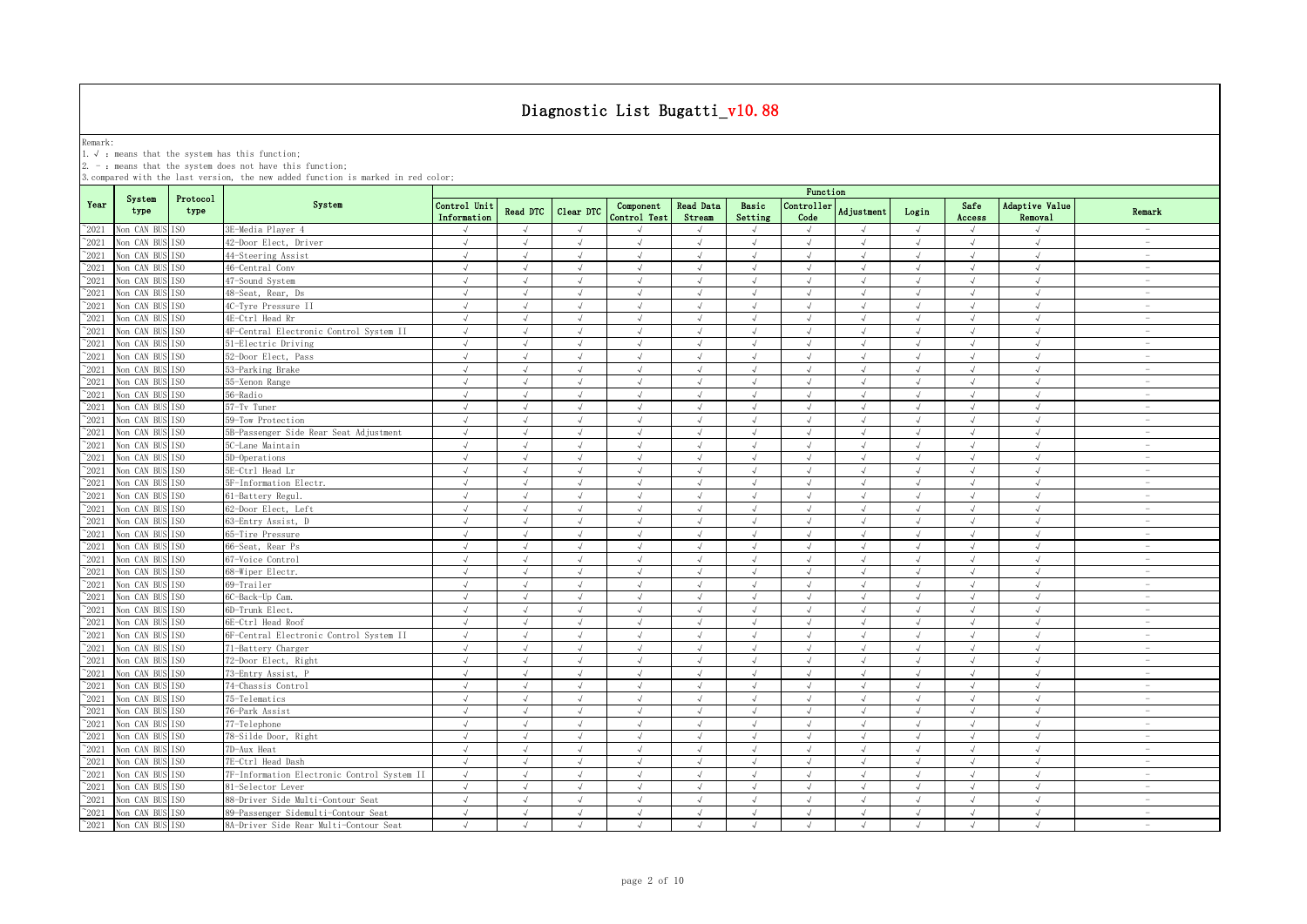Remark:<br>1.√ : means that the system has this function;<br>2. - : means that the system does not have this function;

|                |                               |                  |                                             |                             |                 |               |                           |                            |                  | Function                    |                |            |                |                           |                                 |
|----------------|-------------------------------|------------------|---------------------------------------------|-----------------------------|-----------------|---------------|---------------------------|----------------------------|------------------|-----------------------------|----------------|------------|----------------|---------------------------|---------------------------------|
| Year           | System<br>type                | Protocol<br>type | System                                      | Control Unit<br>Information | <b>Read DTC</b> | Clear DTC     | Component<br>Control Test | <b>Read Data</b><br>Stream | Basic<br>Setting | Controller<br>Code          | Adjustment     | Login      | Safe<br>Access | Adaptive Value<br>Removal | Remark                          |
| $\degree$ 2021 | Von CAN BUS ISO               |                  | 3E-Media Player 4                           | $\sqrt{ }$                  | $\sqrt{ }$      | $\sqrt{ }$    |                           | $\sqrt{ }$                 | $\sqrt{ }$       | $\sqrt{ }$                  |                | $\sqrt{ }$ | $\sqrt{ }$     | $\sqrt{ }$                |                                 |
| $^{\sim}$ 2021 | Non CAN BUS                   | IS <sub>0</sub>  | 42-Door Elect, Driver                       | $\sqrt{ }$                  | $\sqrt{ }$      | $\sqrt{ }$    | $\sqrt{ }$                | $\sqrt{ }$                 | $\sqrt{ }$       | $\sqrt{ }$                  | $\sqrt{ }$     | $\sqrt{ }$ | $\sqrt{ }$     | $\sqrt{ }$                | $\sim$                          |
| $^{\sim}$ 2021 | Non CAN BUS ISO               |                  | 44-Steering Assist                          | J                           |                 |               |                           | $\sqrt{ }$                 |                  | $\sqrt{ }$                  |                |            | $\sqrt{ }$     | $\sqrt{ }$                | $\sim$                          |
| $^{\sim}$ 2021 | Von CAN BUS                   | IS <sub>0</sub>  | 46-Central Conv                             | $\sqrt{}$                   | $\sqrt{ }$      | $\sqrt{}$     | $\sqrt{ }$                | $\sqrt{}$                  | $\sqrt{ }$       | √                           | $\sqrt{ }$     | $\sqrt{ }$ | $\sqrt{ }$     | $\sqrt{ }$                | $\hspace{0.1mm}-\hspace{0.1mm}$ |
| $^{\sim}$ 2021 | Non CAN BUS ISO               |                  | 47-Sound System                             | $\sqrt{ }$                  | $\mathcal{L}$   |               |                           | $\sqrt{ }$                 | $\mathcal{L}$    | $\sqrt{ }$                  | $\overline{a}$ | $\sqrt{ }$ |                | $\sqrt{ }$                | $\sim$                          |
| $^{\sim}$ 2021 | Non CAN BUS ISO               |                  | 48-Seat, Rear, Ds                           | $\sqrt{ }$                  | $\sqrt{ }$      | $\mathcal{L}$ |                           |                            | $\mathcal{L}$    | $\sqrt{ }$                  | $\mathcal{L}$  | $\sqrt{ }$ |                | $\sqrt{ }$                | $\overline{\phantom{a}}$        |
| $^{\sim}2021$  | Non CAN BUS ISO               |                  | 4C-Tvre Pressure II                         | $\sqrt{ }$                  | $\sqrt{ }$      |               | $\sqrt{ }$                | $\sqrt{ }$                 | $\sqrt{ }$       | $\sqrt{ }$                  |                | $\sqrt{ }$ | $\sqrt{ }$     | $\sqrt{ }$                |                                 |
| $^{\sim}$ 2021 | Non CAN BUS                   | TS <sub>0</sub>  | 4E-Ctrl Head Rr                             | $\sqrt{ }$                  | $\sqrt{ }$      | $\sqrt{ }$    | $\sqrt{ }$                | $\sqrt{ }$                 | $\sqrt{ }$       | $\sqrt{ }$                  | $\sqrt{ }$     | $\sqrt{ }$ | $\sqrt{ }$     | $\sqrt{ }$                |                                 |
| $^{\sim}2021$  | Non CAN BUS ISO               |                  | 4F-Central Electronic Control System II     | $\sqrt{ }$                  | $\sqrt{ }$      | $\sqrt{ }$    | $\sqrt{ }$                | $\sqrt{ }$                 | $\sqrt{ }$       | $\sqrt{ }$                  | $\sqrt{ }$     | $\sqrt{ }$ | $\sqrt{ }$     | $\sqrt{ }$                | $\sim$                          |
| $^{\sim}2021$  | Non CAN BUS                   | IS <sub>0</sub>  | 51-Electric Driving                         | $\sqrt{ }$                  | $\sqrt{ }$      | $\sqrt{ }$    | $\sqrt{ }$                | $\sqrt{ }$                 | $\sqrt{ }$       | $\sqrt{2}$                  | $\sqrt{ }$     | $\sqrt{ }$ | $\sqrt{ }$     | $\sqrt{ }$                | $\sim$                          |
| $^{\sim}2021$  | Non CAN BUS                   | IS <sub>0</sub>  | 52-Door Elect, Pass                         | $\sqrt{ }$                  | $\sqrt{ }$      | $\sqrt{}$     | $\sqrt{ }$                | $\sqrt{ }$                 | $\sqrt{ }$       | $\sqrt{ }$                  | $\sqrt{ }$     | $\sqrt{ }$ | $\sqrt{ }$     | $\sqrt{2}$                | $\sim$                          |
| $^{\sim}2021$  | Non CAN BUS                   | IS <sub>0</sub>  | 53-Parking Brake                            | $\sqrt{ }$                  | $\sqrt{ }$      | $\sqrt{ }$    | $\sqrt{ }$                | $\sqrt{ }$                 | $\sqrt{ }$       | $\sqrt{ }$                  | $\sqrt{ }$     | $\sqrt{ }$ | $\sqrt{ }$     | $\sqrt{ }$                | $\sim$                          |
| $^{\sim}2021$  | Non CAN BUS                   | IS <sub>0</sub>  | 55-Xenon Range                              | $\sqrt{ }$                  | $\sqrt{ }$      | $\sqrt{ }$    | $\sqrt{ }$                | $\sqrt{ }$                 | $\sqrt{ }$       | $\sqrt{ }$                  | $\sqrt{ }$     | $\sqrt{ }$ | $\sqrt{ }$     | $\sqrt{2}$                | $\overline{\phantom{a}}$        |
| $^{\sim}$ 2021 | Non CAN BUS ISO               |                  | 56-Radio                                    | $\sqrt{ }$                  | $\sqrt{ }$      | $\sqrt{ }$    | $\sqrt{ }$                | $\sqrt{ }$                 | $\sqrt{ }$       | $\sqrt{ }$                  | $\sqrt{ }$     | $\sqrt{ }$ | $\sqrt{ }$     | $\sqrt{ }$                | $\overline{\phantom{a}}$        |
| $^{\sim}$ 2021 | Non CAN BUS ISO               |                  | 57-Tv Tuner                                 | $\sqrt{ }$                  | $\sqrt{ }$      | $\sqrt{ }$    | $\sqrt{ }$                | $\sqrt{ }$                 | $\sqrt{ }$       | $\sqrt{ }$                  | $\sqrt{ }$     | $\sqrt{ }$ | $\sqrt{ }$     | $\sqrt{ }$                | $\overline{\phantom{a}}$        |
| $^{\sim}$ 2021 | Non CAN BUS ISO               |                  | 59-Tow Protection                           | $\sqrt{ }$                  | $\sqrt{ }$      | $\sqrt{ }$    | $\sqrt{ }$                | $\sqrt{ }$                 | $\sqrt{ }$       | $\sqrt{ }$                  | $\sqrt{ }$     | $\sqrt{ }$ | $\sqrt{ }$     | $\sqrt{ }$                | $\sim$                          |
| $^{\sim}$ 2021 | Non CAN BUS ISO               |                  | 5B-Passenger Side Rear Seat Adjustment      | $\sqrt{ }$                  | $\sqrt{ }$      | $\sqrt{ }$    | $\sqrt{ }$                | $\sqrt{ }$                 | $\sqrt{ }$       | $\sqrt{ }$                  | $\sqrt{ }$     | $\sqrt{ }$ | $\sqrt{ }$     | $\sqrt{ }$                | $\overline{\phantom{a}}$        |
| $^{\sim}$ 2021 | Non CAN BUS ISO               |                  | 5C-Lane Maintain                            | $\sqrt{ }$                  | $\sqrt{ }$      | $\sqrt{ }$    | $\sqrt{ }$                | $\sqrt{}$                  | $\sqrt{ }$       | $\sqrt{ }$                  | $\sqrt{ }$     | $\sqrt{ }$ | $\sqrt{ }$     | $\sqrt{ }$                | $\sim$                          |
| $^{\sim}$ 2021 | Non CAN BUS                   | IS <sub>0</sub>  | 5D-Operations                               | $\sqrt{ }$                  | $\sqrt{ }$      | $\sqrt{ }$    | $\sqrt{ }$                | $\sqrt{ }$                 | $\sqrt{ }$       | $\sqrt{2}$                  | $\sqrt{ }$     | $\sqrt{ }$ | $\sqrt{ }$     | $\sqrt{2}$                | $\sim$                          |
| $^{\sim}$ 2021 | Non CAN BUS ISO               |                  | 5E-Ctrl Head Lr                             | $\sqrt{ }$                  | $\sqrt{ }$      | $\mathcal{L}$ | $\mathcal{L}$             | J                          | $\sqrt{ }$       | $\sqrt{ }$                  | J              | $\sqrt{ }$ | $\sqrt{ }$     | $\sqrt{ }$                | $\sim$                          |
| $^{\sim}$ 2021 | Non CAN BUS                   | IS <sub>0</sub>  | 5F-Information Electr.                      | $\sqrt{ }$                  | $\sqrt{ }$      | $\sqrt{ }$    | $\sqrt{ }$                | $\sqrt{ }$                 | $\sqrt{ }$       | $\sqrt{2}$                  | $\sqrt{ }$     | $\sqrt{ }$ | $\sqrt{ }$     | $\sqrt{ }$                | $\overline{\phantom{a}}$        |
| $^{\circ}2021$ | Non CAN BUS ISO               |                  | 61-Battery Regul.                           | $\sqrt{ }$                  | $\sqrt{ }$      | J             | $\mathcal{L}$             | $\sqrt{ }$                 | $\sqrt{ }$       | $\sqrt{ }$                  | J              | $\sqrt{ }$ | $\sqrt{ }$     | $\sqrt{ }$                | $\overline{\phantom{a}}$        |
| $^{\sim}$ 2021 | Von CAN BUS                   | IS <sub>0</sub>  | 62-Door Elect, Left                         | J                           | $\sqrt{ }$      | $\sqrt{ }$    | $\sqrt{ }$                | $\sqrt{ }$                 |                  | $\sqrt{ }$                  | J              | $\sqrt{ }$ |                | $\sqrt{ }$                | $\overline{\phantom{a}}$        |
| $^{\sim}$ 2021 | Non CAN BUS ISO               |                  | 63-Entry Assist, D                          | $\sqrt{ }$                  | $\sqrt{ }$      |               | $\mathcal{A}$             | $\sqrt{ }$                 | $\sqrt{ }$       | $\mathcal{N}_{\mathcal{N}}$ | $\sqrt{ }$     | $\sqrt{ }$ | $\sqrt{ }$     | $\sqrt{ }$                | $\overline{\phantom{a}}$        |
| $^{\sim}2021$  | Non CAN BUS                   | IS <sub>0</sub>  | 65-Tire Pressure                            | $\sqrt{ }$                  | $\sqrt{ }$      | $\sqrt{ }$    | $\sqrt{ }$                | $\sqrt{ }$                 | $\sqrt{ }$       | $\sqrt{ }$                  | $\sqrt{ }$     | $\sqrt{ }$ | $\sqrt{ }$     | $\sqrt{ }$                | $\overline{\phantom{a}}$        |
| $^{\sim}$ 2021 | Non CAN BUS                   | IS <sub>0</sub>  | 66-Seat, Rear Ps                            | $\sqrt{ }$                  | $\sqrt{ }$      | $\sqrt{ }$    | $\sqrt{ }$                | $\sqrt{ }$                 | $\sqrt{ }$       | $\sqrt{ }$                  | $\sqrt{ }$     | $\sqrt{ }$ | $\sqrt{ }$     | $\sqrt{ }$                | $\sim$                          |
| $^{\sim}2021$  | Non CAN BUS                   | IS <sub>0</sub>  | 67-Voice Control                            | $\sqrt{ }$                  | $\sqrt{ }$      | $\sqrt{ }$    | $\sqrt{ }$                | $\sqrt{ }$                 | $\sqrt{ }$       | $\sqrt{ }$                  | $\sqrt{ }$     | $\sqrt{ }$ | $\sqrt{ }$     | $\sqrt{ }$                | $\sim$                          |
| $^{\sim}$ 2021 | Non CAN BUS                   | IS <sub>0</sub>  | 68-Wiper Electr.                            | $\sqrt{ }$                  | $\sqrt{ }$      | $\sqrt{ }$    | $\sqrt{ }$                | $\sqrt{ }$                 | $\sqrt{ }$       | $\sqrt{ }$                  | $\sqrt{ }$     | $\sqrt{ }$ | $\sqrt{ }$     | $\sqrt{2}$                | $\overline{\phantom{a}}$        |
| $^{\sim}2021$  | Non CAN BUS ISO               |                  | 69-Trailer                                  | $\sqrt{ }$                  | $\sqrt{ }$      | $\sqrt{ }$    | $\sqrt{ }$                | J                          | $\sqrt{ }$       | $\sqrt{ }$                  | $\sqrt{ }$     | $\sqrt{ }$ | $\sqrt{ }$     | $\sqrt{ }$                | $\overline{\phantom{a}}$        |
| $^{\sim}$ 2021 | Non CAN BUS ISO               |                  | 6C-Back-Up Cam.                             | $\sqrt{ }$                  | $\sqrt{ }$      | $\sqrt{ }$    | $\sqrt{ }$                | $\sqrt{ }$                 | $\sqrt{ }$       | $\sqrt{ }$                  | $\sqrt{ }$     | $\sqrt{ }$ | $\sqrt{ }$     | $\sqrt{ }$                | $\sim$                          |
| $^{\sim}$ 2021 | Non CAN BUS ISO               |                  | 6D-Trunk Elect                              | $\sqrt{ }$                  | $\sqrt{ }$      | $\lambda$     | $\sqrt{ }$                | $\sqrt{ }$                 | $\mathcal{L}$    | $\sqrt{ }$                  | $\sqrt{ }$     | $\sqrt{ }$ | $\sqrt{ }$     | $\sqrt{ }$                | $\overline{\phantom{a}}$        |
| $^{\sim}$ 2021 | Non CAN BUS ISO               |                  | 6E-Ctrl Head Roof                           | $\sqrt{ }$                  | $\sqrt{ }$      | $\sqrt{ }$    | $\sqrt{ }$                | $\sqrt{}$                  | $\sqrt{ }$       | $\sqrt{ }$                  | $\sqrt{ }$     | $\sqrt{ }$ | $\sqrt{ }$     | $\sqrt{ }$                | $\overline{\phantom{a}}$        |
| $^{\sim}$ 2021 | Non CAN BUS ISO               |                  | 6F-Central Electronic Control System II     | $\sqrt{ }$                  | $\sqrt{ }$      | J             | $\sqrt{ }$                | $\sqrt{ }$                 | $\sqrt{ }$       | $\sqrt{ }$                  | $\sqrt{ }$     | $\sqrt{ }$ | $\sqrt{ }$     | $\sqrt{ }$                | $\overline{\phantom{a}}$        |
| $^{\sim}$ 2021 | Non CAN BUS ISO               |                  | 71-Battery Charger                          | $\sqrt{ }$                  | $\sqrt{ }$      | $\sqrt{ }$    | $\sqrt{ }$                | $\sqrt{ }$                 | $\sqrt{ }$       | $\sqrt{ }$                  | $\sqrt{ }$     | $\sqrt{ }$ | $\sqrt{ }$     | $\sqrt{ }$                | $\sim$                          |
| $^{\sim}$ 2021 | Non CAN BUS ISO               |                  | 72-Door Elect, Right                        | $\sqrt{ }$                  | $\sqrt{ }$      | $\sqrt{ }$    |                           | J                          | $\mathcal{L}$    | $\sqrt{ }$                  |                | $\sqrt{ }$ | $\sqrt{ }$     | $\sqrt{ }$                | $\sim$                          |
| $^{\sim}$ 2021 | Non CAN BUS ISO               |                  | 73-Entry Assist, P                          | $\sqrt{ }$                  | $\sqrt{ }$      | $\sqrt{}$     | $\sqrt{ }$                | $\sqrt{ }$                 | $\sqrt{ }$       | √                           | $\sqrt{ }$     | $\sqrt{ }$ | $\sqrt{ }$     | √                         | $\overline{\phantom{a}}$        |
| $^{\sim}$ 2021 | Non CAN BUS ISO               |                  | 74-Chassis Control                          | $\sqrt{ }$                  | $\sqrt{ }$      |               | $\mathcal{L}$             | $\sqrt{ }$                 | $\mathcal{L}$    | $\sqrt{ }$                  |                | $\sqrt{ }$ |                |                           |                                 |
| $^{\sim}$ 2021 | Non CAN BUS ISO               |                  | 75-Telematics                               | $\sqrt{ }$                  | $\sqrt{ }$      | $\mathcal{L}$ |                           |                            |                  |                             | À.             | $\sqrt{ }$ |                | $\sqrt{ }$                | $\overline{\phantom{a}}$        |
| $^{\sim}2021$  | Non CAN BUS ISO               |                  | 76-Park Assist                              |                             | $\sqrt{ }$      |               |                           | $\sqrt{ }$                 |                  |                             |                |            |                |                           |                                 |
| $^{\sim}2021$  | Non CAN BUS                   | IS <sub>0</sub>  | 77-Telephone                                | $\sqrt{ }$                  | $\sqrt{ }$      | J             |                           | $\sqrt{ }$                 | $\sqrt{ }$       | $\sqrt{ }$                  | $\sqrt{ }$     | $\sqrt{ }$ | $\sqrt{ }$     | $\sqrt{ }$                |                                 |
| $^{\sim}$ 2021 | Non CAN BUS                   | IS <sub>0</sub>  | 78-Silde Door, Right                        | $\sqrt{ }$                  | $\sqrt{ }$      | $\sqrt{ }$    | $\sqrt{ }$                | $\sqrt{ }$                 | $\sqrt{ }$       | $\sqrt{ }$                  | $\sqrt{ }$     | $\sqrt{ }$ | $\sqrt{ }$     | $\sqrt{ }$                |                                 |
| $^{\sim}2021$  | Non CAN BUS                   | IS <sub>0</sub>  | 7D-Aux Heat                                 | $\sqrt{ }$                  | $\sqrt{ }$      | $\sqrt{ }$    | $\sqrt{ }$                | $\sqrt{ }$                 | $\sqrt{ }$       | $\sqrt{ }$                  | $\sqrt{ }$     | $\sqrt{ }$ | $\sqrt{ }$     | $\sqrt{ }$                | $\sim$                          |
| $^{\sim}2021$  | Von CAN BUS ISO               |                  | 7E-Ctrl Head Dash                           | $\sqrt{ }$                  | $\sqrt{ }$      | $\sqrt{ }$    | $\sqrt{ }$                | $\sqrt{ }$                 | $\sqrt{ }$       | $\sqrt{ }$                  | $\sqrt{ }$     | $\sqrt{ }$ | $\sqrt{ }$     | $\sqrt{2}$                | $\overline{\phantom{a}}$        |
| $^{\sim}2021$  | Non CAN BUS ISO               |                  | 7F-Information Electronic Control System II | $\sqrt{ }$                  | $\sqrt{ }$      | $\sqrt{ }$    | $\sqrt{ }$                | $\sqrt{ }$                 | $\sqrt{ }$       | $\sqrt{ }$                  | $\sqrt{ }$     | $\sqrt{ }$ | $\sqrt{ }$     | $\sqrt{ }$                | $\sim$                          |
| $^{\sim}2021$  | Non CAN BUS ISO               |                  | 81-Selector Lever                           | $\sqrt{ }$                  | $\sqrt{ }$      | $\sqrt{ }$    | $\sqrt{ }$                | $\sqrt{ }$                 | $\sqrt{ }$       | $\sqrt{ }$                  | $\sqrt{ }$     | $\sqrt{ }$ | $\sqrt{ }$     | $\sqrt{ }$                | $\overline{\phantom{a}}$        |
| $^{\sim}$ 2021 | Non CAN BUS ISO               |                  | 88-Driver Side Multi-Contour Seat           | $\sqrt{ }$                  | $\sqrt{ }$      | $\sqrt{ }$    | $\sqrt{ }$                | $\sqrt{ }$                 | $\sqrt{ }$       | $\sqrt{ }$                  | $\sqrt{ }$     | $\sqrt{ }$ | $\sqrt{ }$     | $\sqrt{ }$                | $\overline{\phantom{a}}$        |
| $^{\sim}2021$  | Non CAN BUS ISO               |                  | 89-Passenger Sidemulti-Contour Seat         | $\sqrt{ }$                  | $\sqrt{ }$      | $\sqrt{ }$    | $\sqrt{ }$                | $\sqrt{ }$                 | $\sqrt{ }$       | $\sqrt{ }$                  | $\sqrt{ }$     | $\sqrt{ }$ | $\sqrt{ }$     | $\sqrt{ }$                | $\overline{\phantom{a}}$        |
|                | $^{\sim}2021$ Non CAN BUS ISO |                  | 8A-Driver Side Rear Multi-Contour Seat      | $\sqrt{ }$                  | $\sqrt{ }$      | $\sqrt{ }$    | $\sqrt{ }$                | $\sqrt{ }$                 | $\sqrt{ }$       | $\sqrt{ }$                  | $\sqrt{ }$     | $\sqrt{ }$ | $\sqrt{ }$     | $\sqrt{ }$                | $\overline{\phantom{a}}$        |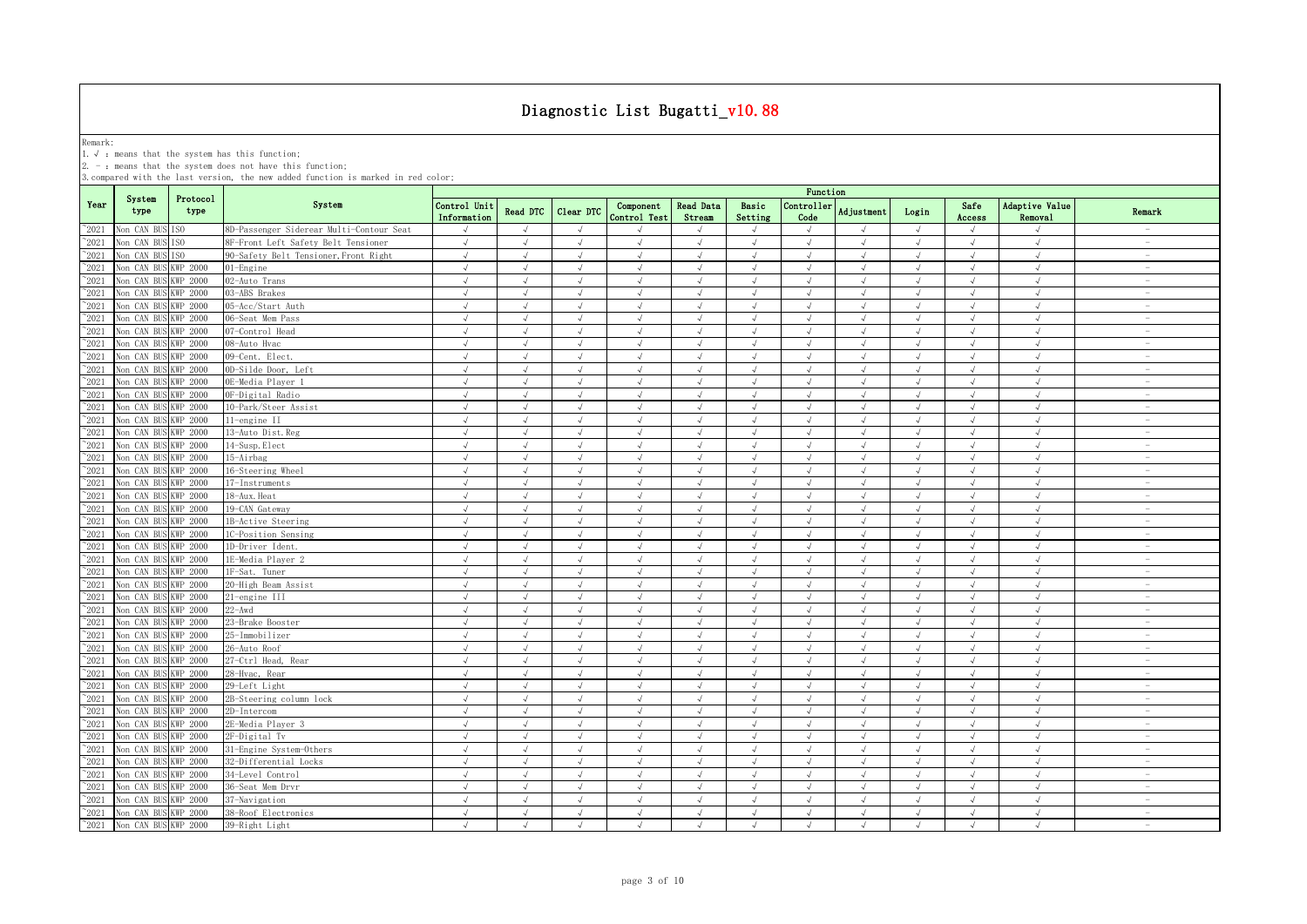Remark: 1.√ :means that the system has this function;

2. - : means that the system does not have this function;

|                | System               | Protocol        |                                          |                             |            |               |                                  |                            |                  | Function                    |            |            |                |                           |                                 |
|----------------|----------------------|-----------------|------------------------------------------|-----------------------------|------------|---------------|----------------------------------|----------------------------|------------------|-----------------------------|------------|------------|----------------|---------------------------|---------------------------------|
| Year           | type                 | type            | System                                   | Control Unit<br>Information | Read DTC   | Clear DTC     | Component<br><b>Control Test</b> | <b>Read Data</b><br>Stream | Basic<br>Setting | Controller<br>Code          | Adjustment | Login      | Safe<br>Access | Adaptive Value<br>Removal | Remark                          |
| 2021           | Von CAN BUS          | IS <sub>0</sub> | 8D-Passenger Siderear Multi-Contour Seat | $\sqrt{ }$                  |            |               |                                  |                            | $\mathcal{L}$    |                             |            |            | J              |                           |                                 |
| $^{\sim}$ 2021 | Non CAN BUS          | ISO.            | 8F-Front Left Safety Belt Tensioner      | $\sqrt{ }$                  | $\sqrt{ }$ | $\sqrt{ }$    | $\sqrt{ }$                       | $\sqrt{ }$                 | $\sqrt{ }$       | $\sqrt{ }$                  | $\sqrt{ }$ | $\sqrt{ }$ | $\sqrt{ }$     | $\sqrt{ }$                | $\overline{\phantom{a}}$        |
| $^{\sim}2021$  | Non CAN BUS          | ISO.            | 90-Safety Belt Tensioner, Front Right    | $\sqrt{ }$                  | $\sqrt{ }$ | $\sqrt{ }$    | $\sqrt{ }$                       | $\sqrt{ }$                 | $\sqrt{ }$       | $\sqrt{ }$                  | $\sqrt{ }$ | $\sqrt{ }$ | $\sqrt{ }$     | $\sqrt{ }$                | $\overline{\phantom{a}}$        |
| $\degree$ 2021 | Non CAN BUS          | <b>KWP 2000</b> | 01-Engine                                | $\sqrt{ }$                  | $\sqrt{ }$ | $\sqrt{ }$    | $\sqrt{ }$                       | $\sqrt{ }$                 | $\sqrt{ }$       | $\sqrt{ }$                  | $\sqrt{ }$ | $\sqrt{ }$ | $\sqrt{ }$     | $\sqrt{ }$                | $\sim$                          |
| $^{\sim}$ 2021 | Non CAN BUS          | <b>KWP 2000</b> | 02-Auto Trans                            | $\sqrt{ }$                  | $\sqrt{ }$ | $\sqrt{ }$    | $\sqrt{ }$                       | $\sqrt{ }$                 | $\sqrt{ }$       | $\sqrt{ }$                  | $\sqrt{ }$ | $\sqrt{ }$ | $\sqrt{ }$     | $\sqrt{ }$                | $\sim$                          |
| $\degree$ 2021 | Von CAN BUS          | <b>KWP 2000</b> | 03-ABS Brakes                            | $\sqrt{ }$                  | $\sqrt{ }$ | $\sqrt{ }$    | $\sqrt{ }$                       | $\sqrt{ }$                 | $\sqrt{ }$       | $\sqrt{ }$                  | $\sqrt{ }$ | $\sqrt{ }$ | $\sqrt{ }$     | $\sqrt{ }$                | $\sim$                          |
| $\degree$ 2021 | Non CAN BUS          | <b>KWP 2000</b> | 05-Acc/Start Auth                        | $\sqrt{ }$                  | $\sqrt{ }$ | $\sqrt{ }$    | $\sqrt{ }$                       | $\sqrt{ }$                 | $\sqrt{ }$       | $\sqrt{ }$                  | $\sqrt{ }$ | $\sqrt{ }$ | $\sqrt{ }$     | $\sqrt{ }$                | $\overline{\phantom{a}}$        |
| $\degree$ 2021 | Non CAN BUS          | KWP 2000        | 06-Seat Mem Pass                         | $\sqrt{ }$                  | $\sqrt{ }$ | $\sqrt{ }$    | $\sqrt{ }$                       | $\sqrt{ }$                 | $\sqrt{ }$       | $\sqrt{ }$                  | $\sqrt{ }$ | $\sqrt{ }$ | $\sqrt{ }$     | $\sqrt{2}$                | $\sim$                          |
| $^{\sim}2021$  | Non CAN BUS          | KWP 2000        | 07-Control Head                          | $\sqrt{ }$                  | $\sqrt{ }$ | $\sqrt{ }$    | $\sqrt{ }$                       | $\sqrt{ }$                 | $\sqrt{ }$       | $\sqrt{ }$                  | $\sqrt{ }$ | $\sqrt{ }$ | $\sqrt{ }$     | $\sqrt{ }$                | $\overline{\phantom{a}}$        |
| $^{\circ}2021$ | Non CAN BUS          | KWP 2000        | 08-Auto Hvac                             | $\sqrt{ }$                  | $\sqrt{ }$ | $\sqrt{ }$    | $\sqrt{ }$                       | $\sqrt{ }$                 | $\sqrt{ }$       | $\sqrt{ }$                  | $\sqrt{ }$ | $\sqrt{ }$ | $\sqrt{ }$     | $\sqrt{ }$                | $\sim$                          |
| $\degree$ 2021 | Von CAN BUS          | <b>KWP 2000</b> | 09-Cent. Elect.                          | $\sqrt{ }$                  | $\sqrt{ }$ | $\sqrt{ }$    | $\sqrt{ }$                       | $\sqrt{ }$                 | $\sqrt{ }$       | $\sqrt{ }$                  | $\sqrt{ }$ | $\sqrt{ }$ | $\sqrt{ }$     | $\sqrt{ }$                | $\overline{\phantom{a}}$        |
| $\degree$ 2021 | Von CAN BUS          | <b>KWP 2000</b> | 0D-Silde Door, Left                      | $\sqrt{ }$                  | $\sqrt{ }$ | $\sqrt{ }$    | $\sqrt{ }$                       | $\sqrt{ }$                 | $\sqrt{ }$       | $\sqrt{ }$                  | $\sqrt{ }$ | $\sqrt{ }$ | $\sqrt{ }$     | $\sqrt{ }$                | $\sim$                          |
| $\degree$ 2021 | Non CAN BUS          | <b>KWP 2000</b> | OE-Media Plaver 1                        | $\sqrt{ }$                  | $\sqrt{ }$ | $\sqrt{ }$    | $\sqrt{ }$                       | $\sqrt{ }$                 | $\sqrt{ }$       | $\sqrt{ }$                  | $\sqrt{ }$ | $\sqrt{ }$ | $\sqrt{ }$     | $\sqrt{ }$                | $\overline{\phantom{a}}$        |
| $^{\sim}2021$  | Non CAN BUS          | <b>KWP 2000</b> | OF-Digital Radio                         | $\sqrt{}$                   | $\sqrt{ }$ | $\sqrt{ }$    | $\sqrt{ }$                       | $\sqrt{}$                  | $\sqrt{ }$       | $\sqrt{ }$                  | $\sqrt{ }$ | $\sqrt{}$  | $\sqrt{ }$     | $\sqrt{2}$                | $\hspace{0.1mm}-\hspace{0.1mm}$ |
| 2021           | Non CAN BUS          | WP 2000         | 10-Park/Steer Assist                     | $\sqrt{ }$                  | $\sqrt{ }$ | $\sqrt{ }$    | $\sqrt{ }$                       | $\sqrt{ }$                 | $\sqrt{ }$       | $\sqrt{ }$                  | $\sqrt{ }$ | $\sqrt{ }$ | $\sqrt{ }$     | $\sqrt{2}$                | $\sim$                          |
| 2021           | Von CAN BUS          | <b>KWP 2000</b> | 11-engine II                             | $\sqrt{ }$                  | $\sqrt{ }$ | $\mathcal{L}$ | J                                | $\sqrt{ }$                 | $\sqrt{ }$       | $\mathcal{N}_{\mathcal{N}}$ | J          | $\sqrt{ }$ | $\sqrt{ }$     | $\sqrt{ }$                | $\sim$                          |
| 2021           | Von CAN BUS          | <b>KWP 2000</b> | 13-Auto Dist. Reg                        | $\sqrt{ }$                  | $\sqrt{ }$ | $\sqrt{ }$    | $\sqrt{ }$                       | $\sqrt{ }$                 | $\sqrt{ }$       | $\sqrt{ }$                  | J          | $\sqrt{ }$ | $\sqrt{ }$     | $\sqrt{ }$                | $\overline{\phantom{a}}$        |
| $^{\circ}2021$ | Non CAN BUS          | KWP 2000        | 14-Susp. Elect                           | $\sqrt{ }$                  | $\sqrt{ }$ | $\sqrt{ }$    | $\sqrt{ }$                       | $\sqrt{ }$                 | $\sqrt{ }$       | $\sqrt{ }$                  | $\sqrt{ }$ | $\sqrt{ }$ | $\sqrt{ }$     | $\sqrt{ }$                | $\overline{\phantom{a}}$        |
| $\degree$ 2021 | Von CAN BUS          | WP 2000         | 15-Airbag                                | $\sqrt{ }$                  | $\sqrt{ }$ | $\sqrt{ }$    | $\sqrt{ }$                       | $\sqrt{ }$                 | $\sqrt{ }$       | $\sqrt{ }$                  | J          | $\sqrt{ }$ | $\sqrt{ }$     | $\sqrt{ }$                |                                 |
| $\degree$ 2021 | Non CAN BUS          | KWP 2000        | 16-Steering Wheel                        | $\sqrt{ }$                  | $\sqrt{ }$ | $\sqrt{ }$    | $\sqrt{ }$                       | $\sqrt{ }$                 | $\sqrt{ }$       | $\sqrt{ }$                  | $\sqrt{ }$ | $\sqrt{ }$ | $\sqrt{ }$     | $\sqrt{ }$                | $\sim$                          |
| $^{\sim}$ 2021 | Non CAN BUS          | <b>KWP 2000</b> | 17-Instruments                           | $\sqrt{ }$                  | $\sqrt{ }$ | $\mathcal{L}$ | $\sqrt{ }$                       | $\sqrt{ }$                 | $\sqrt{ }$       | $\sqrt{ }$                  | $\sqrt{ }$ | $\sqrt{ }$ | $\sqrt{ }$     | $\sqrt{ }$                | $\sim$                          |
| $\degree$ 2021 | Non CAN BUS          | <b>KWP 2000</b> | 18-Aux. Heat                             | $\sqrt{ }$                  | $\sqrt{ }$ | $\sqrt{ }$    | $\sqrt{ }$                       | $\sqrt{ }$                 | $\sqrt{ }$       | $\sqrt{ }$                  | $\sqrt{ }$ | $\sqrt{ }$ | $\sqrt{ }$     | $\sqrt{ }$                | $\sim$                          |
| $^{\sim}$ 2021 | Non CAN BUS          | KWP 2000        | 19-CAN Gateway                           | $\sqrt{ }$                  | $\sqrt{ }$ | $\sqrt{ }$    |                                  | $\sqrt{ }$                 | $\sqrt{ }$       | $\sqrt{ }$                  | $\sqrt{ }$ | $\sqrt{ }$ | $\sqrt{ }$     | $\sqrt{ }$                | $\sim$                          |
| $\degree$ 2021 | Non CAN BUS          | KWP 2000        | 1B-Active Steering                       | $\sqrt{ }$                  | $\sqrt{ }$ | $\sqrt{ }$    | $\sqrt{ }$                       | $\sqrt{ }$                 | $\sqrt{ }$       | $\sqrt{ }$                  | $\sqrt{ }$ | $\sqrt{ }$ | $\sqrt{ }$     | $\sqrt{ }$                | $\sim$                          |
| $^{\sim}$ 2021 | Non CAN BUS          | KWP 2000        | 1C-Position Sensing                      | $\sqrt{ }$                  | $\sqrt{ }$ | $\sqrt{ }$    | $\sqrt{ }$                       | $\sqrt{ }$                 | $\sqrt{ }$       | $\sqrt{ }$                  | $\sqrt{ }$ | $\sqrt{ }$ | $\sqrt{ }$     | $\sqrt{ }$                | $\sim$                          |
| $\degree$ 2021 | Non CAN BUS          | <b>KWP 2000</b> | 1D-Driver Ident.                         | $\sqrt{ }$                  | $\sqrt{ }$ | $\sqrt{ }$    | $\sqrt{ }$                       | $\sqrt{ }$                 | $\sqrt{ }$       | $\sqrt{ }$                  | $\sqrt{ }$ | $\sqrt{ }$ | $\sqrt{ }$     | $\sqrt{ }$                | $\overline{\phantom{a}}$        |
| $\degree$ 2021 | Non CAN BUS          | <b>KWP 2000</b> | 1E-Media Player 2                        | $\sqrt{ }$                  | $\sqrt{ }$ | $\sqrt{ }$    | $\sqrt{ }$                       | $\sqrt{ }$                 | $\sqrt{ }$       | $\sqrt{ }$                  | $\sqrt{ }$ | $\sqrt{ }$ | $\sqrt{ }$     | $\sqrt{ }$                | $\overline{\phantom{a}}$        |
| $^{\circ}2021$ | Non CAN BUS          | KWP 2000        | 1F-Sat. Tuner                            | $\sqrt{ }$                  | $\sqrt{ }$ | $\sqrt{ }$    | $\sqrt{ }$                       | $\sqrt{ }$                 | $\sqrt{ }$       | $\sqrt{ }$                  | $\sqrt{ }$ | $\sqrt{ }$ | $\sqrt{ }$     | $\sqrt{ }$                | $\sim$                          |
| $^{\sim}2021$  | Von CAN BUS          | <b>KWP 2000</b> | 20-High Beam Assist                      | $\sqrt{ }$                  | $\sqrt{ }$ | $\sqrt{ }$    | $\sqrt{ }$                       | $\sqrt{ }$                 | $\sqrt{ }$       | $\sqrt{ }$                  | $\sqrt{ }$ | $\sqrt{ }$ | $\sqrt{ }$     | $\sqrt{ }$                | $\sim$                          |
| $\degree$ 2021 | Von CAN BUS          | <b>KWP 2000</b> | 21-engine III                            | $\sqrt{ }$                  | $\sqrt{ }$ | $\sqrt{ }$    | $\sqrt{ }$                       | $\sqrt{ }$                 | $\sqrt{ }$       | $\sqrt{ }$                  | $\sqrt{ }$ | $\sqrt{ }$ | $\sqrt{ }$     | $\sqrt{ }$                | $\sim$                          |
| $^{\sim}2021$  | Non CAN BUS          | <b>KWP 2000</b> | $22 - Awd$                               | $\sqrt{ }$                  | $\sqrt{ }$ | $\sqrt{ }$    | $\sqrt{ }$                       | $\sqrt{ }$                 | $\sqrt{ }$       | $\sqrt{ }$                  | $\sqrt{ }$ | $\sqrt{ }$ | $\sqrt{ }$     | $\sqrt{ }$                | $\sim$                          |
| $^{\sim}2021$  | Non CAN BUS          | <b>KWP 2000</b> | 23-Brake Booster                         | $\sqrt{ }$                  | $\sqrt{ }$ | $\sqrt{ }$    | $\sqrt{ }$                       | $\sqrt{ }$                 | $\sqrt{ }$       | $\sqrt{ }$                  | $\sqrt{ }$ | $\sqrt{ }$ | $\sqrt{ }$     | $\sqrt{ }$                | $\hspace{0.1mm}-\hspace{0.1mm}$ |
| $^{\sim}2021$  | Non CAN BUS          | WP 2000         | 25-Immobilizer                           | $\sqrt{ }$                  | $\sqrt{ }$ | J             | J                                | $\sqrt{ }$                 | $\sqrt{ }$       | $\sqrt{ }$                  | $\sqrt{ }$ | $\sqrt{ }$ | $\sqrt{ }$     | $\sqrt{}$                 | $\sim$                          |
| 2021           | Non CAN BUS          | <b>KWP 2000</b> | 26-Auto Roof                             | $\sqrt{ }$                  | $\sqrt{ }$ | $\sqrt{ }$    | $\sqrt{ }$                       | $\sqrt{ }$                 | $\sqrt{ }$       | $\sqrt{ }$                  | $\sqrt{ }$ | $\sqrt{ }$ | $\sqrt{ }$     | $\sqrt{ }$                | $\sim$                          |
| 2021           | Non CAN BUS          | <b>KWP 2000</b> | 27-Ctrl Head, Rear                       | $\sqrt{ }$                  | $\sqrt{ }$ |               | J                                | $\sqrt{ }$                 | $\mathcal{A}$    | .1                          |            |            | $\sqrt{ }$     | $\sqrt{ }$                | $\sim$                          |
| 2021           | Non CAN BUS          | <b>KWP 2000</b> | 28-Hvac, Rear                            | $\sqrt{ }$                  | $\sqrt{ }$ | $\sqrt{ }$    | $\sqrt{ }$                       | $\sqrt{ }$                 | $\sqrt{ }$       | $\sqrt{ }$                  | $\sqrt{ }$ | $\sqrt{ }$ | $\sqrt{ }$     | $\sqrt{ }$                | $\overline{\phantom{a}}$        |
| $^{\circ}2021$ | Non CAN BUS          | KWP 2000        | 29-Left Light                            | $\sqrt{ }$                  | $\sqrt{ }$ | $\sqrt{ }$    | $\sqrt{ }$                       | $\sqrt{ }$                 | $\sqrt{ }$       | $\sqrt{ }$                  | $\sqrt{ }$ | $\sqrt{ }$ | $\sqrt{ }$     | $\sqrt{ }$                | $\overline{\phantom{a}}$        |
| $^{\sim}2021$  | Von CAN BUS          | KWP 2000        | 2B-Steering column lock                  | $\sqrt{ }$                  | $\sqrt{ }$ | $\sqrt{ }$    | $\sqrt{ }$                       | $\sqrt{ }$                 | $\sqrt{ }$       |                             | J          | $\sqrt{ }$ | $\sqrt{ }$     | $\sqrt{ }$                |                                 |
| $^{\sim}2021$  | Von CAN BUS          | KWP 2000        | 2D-Intercom                              | $\sqrt{ }$                  | $\sqrt{ }$ | $\sqrt{ }$    | $\sqrt{ }$                       | $\sqrt{ }$                 | $\sqrt{ }$       | $\sqrt{ }$                  | $\sqrt{ }$ | $\sqrt{ }$ | $\sqrt{ }$     | $\sqrt{ }$                | $\overline{\phantom{a}}$        |
| $^{\sim}$ 2021 | Non CAN BUS          | <b>KWP 2000</b> | 2E-Media Player 3                        | $\sqrt{ }$                  | $\sqrt{ }$ | $\sqrt{ }$    | $\sqrt{ }$                       | $\sqrt{ }$                 | $\sqrt{ }$       | $\sqrt{ }$                  | $\sqrt{ }$ | $\sqrt{ }$ | $\sqrt{ }$     | $\sqrt{ }$                | $\overline{\phantom{a}}$        |
| $\degree$ 2021 | Non CAN BUS          | <b>KWP 2000</b> | 2F-Digital Tv                            | $\sqrt{ }$                  | $\sqrt{ }$ | $\sqrt{ }$    | $\sqrt{ }$                       | $\sqrt{ }$                 | $\sqrt{ }$       | $\sqrt{ }$                  | $\sqrt{ }$ | $\sqrt{ }$ | $\sqrt{ }$     | $\sqrt{ }$                | $\sim$                          |
| $^{\sim}$ 2021 | Non CAN BUS          | KWP 2000        | 31-Engine System-Others                  | $\sqrt{ }$                  | $\sqrt{ }$ | $\sqrt{ }$    | $\sqrt{ }$                       | $\sqrt{ }$                 | $\sqrt{ }$       | $\sqrt{ }$                  | $\sqrt{ }$ | $\sqrt{ }$ | $\sqrt{ }$     | $\sqrt{ }$                | $\sim$                          |
| $^{\sim}$ 2021 | Non CAN BUS          | <b>KWP 2000</b> | 32-Differential Locks                    | $\sqrt{ }$                  | $\sqrt{ }$ | $\sqrt{ }$    | $\sqrt{ }$                       | $\sqrt{ }$                 | $\sqrt{ }$       | $\sqrt{ }$                  | $\sqrt{ }$ | $\sqrt{ }$ | $\sqrt{ }$     | $\sqrt{2}$                | $\overline{\phantom{a}}$        |
| $^{\sim}$ 2021 | Non CAN BUS          | KWP 2000        | 34-Level Control                         | $\sqrt{ }$                  | $\sqrt{ }$ | $\sqrt{ }$    | $\sqrt{ }$                       | $\sqrt{ }$                 | $\sqrt{ }$       | $\sqrt{ }$                  | $\sqrt{ }$ | $\sqrt{ }$ | $\sqrt{ }$     | $\sqrt{ }$                | $\sim$                          |
| $\degree$ 2021 | Non CAN BUS          | <b>KWP 2000</b> | 36-Seat Mem Drvr                         | $\sqrt{ }$                  | $\sqrt{ }$ | $\sqrt{ }$    | $\sqrt{ }$                       | $\sqrt{ }$                 | $\sqrt{ }$       | $\sqrt{ }$                  | $\sqrt{ }$ | $\sqrt{ }$ | $\sqrt{ }$     | $\sqrt{ }$                | $\overline{\phantom{a}}$        |
| $^{\sim}2021$  | Non CAN BUS          | KWP 2000        | 37-Navigation                            | $\sqrt{ }$                  | $\sqrt{ }$ | $\sqrt{ }$    | $\sqrt{ }$                       | $\sqrt{ }$                 | $\sqrt{ }$       | $\sqrt{ }$                  | $\sqrt{ }$ | $\sqrt{ }$ | $\sqrt{ }$     | $\sqrt{ }$                | $\overline{\phantom{a}}$        |
| $^{\sim}$ 2021 | Non CAN BUS KWP 2000 |                 | 38-Roof Electronics                      | $\sqrt{ }$                  | $\sqrt{ }$ | $\sqrt{ }$    | $\sqrt{ }$                       | $\sqrt{ }$                 | $\sqrt{ }$       | $\sqrt{ }$                  | $\sqrt{ }$ | $\sqrt{ }$ | $\sqrt{ }$     | $\sqrt{ }$                | $\overline{\phantom{a}}$        |
| $^{\sim}$ 2021 | Non CAN BUS KWP 2000 |                 | 39-Right Light                           | $\sqrt{ }$                  | $\sqrt{ }$ | $\sqrt{ }$    | $\sqrt{ }$                       | $\sqrt{ }$                 | $\sqrt{ }$       | $\sqrt{ }$                  | $\sqrt{ }$ | $\sqrt{ }$ | $\sqrt{ }$     | $\sqrt{ }$                | $\overline{\phantom{a}}$        |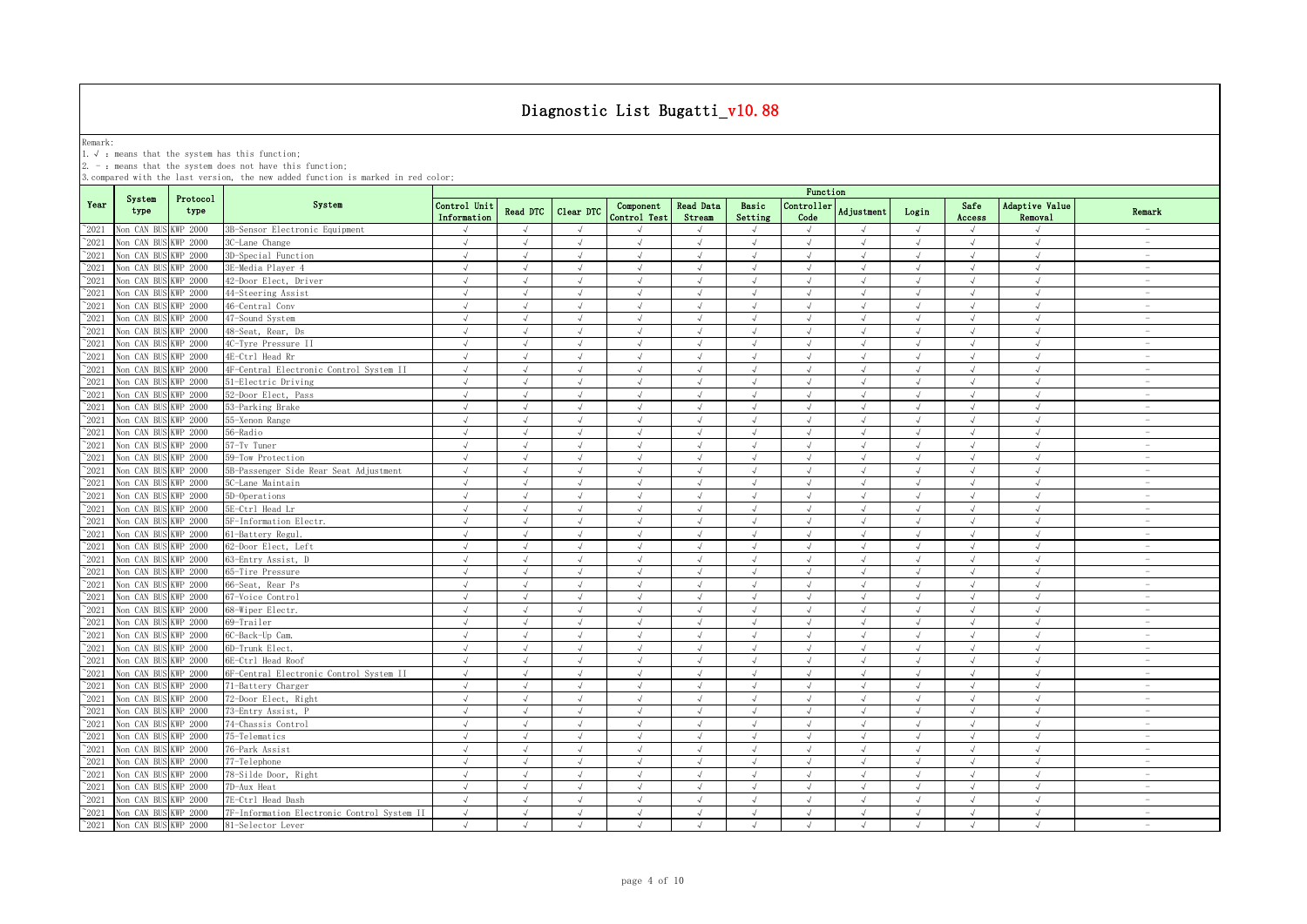Remark:<br>1.√ : means that the system has this function;<br>2. - : means that the system does not have this function;

|                |                      |                  |                                             |                             |            |            |                           |                     |                  | Function           |               |            |                |                           |                                 |
|----------------|----------------------|------------------|---------------------------------------------|-----------------------------|------------|------------|---------------------------|---------------------|------------------|--------------------|---------------|------------|----------------|---------------------------|---------------------------------|
| Year           | System<br>type       | Protocol<br>type | System                                      | Control Unit<br>Information | Read DTC   | Clear DTC  | Component<br>Control Test | Read Data<br>Stream | Basic<br>Setting | Controller<br>Code | Adjustment    | Login      | Safe<br>Access | Adaptive Value<br>Removal | Remark                          |
| 2021           | Non CAN BUS KWP 2000 |                  | 3B-Sensor Electronic Equipment              | $\sqrt{ }$                  | $\sqrt{ }$ | $\sqrt{ }$ |                           | J                   | $\sqrt{ }$       | $\sqrt{ }$         | $\sqrt{ }$    | $\sqrt{}$  | $\sqrt{ }$     | $\sqrt{ }$                |                                 |
| 2021           | Non CAN BUS KWP 2000 |                  | 3C-Lane Change                              | $\sqrt{ }$                  | $\sqrt{ }$ | $\sqrt{ }$ | $\sqrt{ }$                | $\sqrt{ }$          | $\sqrt{ }$       | $\sqrt{ }$         | $\sqrt{ }$    | $\sqrt{ }$ | $\sqrt{ }$     | $\sqrt{ }$                | $\hspace{0.1mm}-\hspace{0.1mm}$ |
| 2021           | Non CAN BUS KWP 2000 |                  | 3D-Special Function                         | $\sqrt{ }$                  | $\sqrt{ }$ | $\sqrt{ }$ | $\sqrt{ }$                | J                   | $\sqrt{ }$       | $\sqrt{ }$         | $\lambda$     | $\sqrt{ }$ | $\sqrt{ }$     | $\sqrt{ }$                | $\hspace{0.1mm}-\hspace{0.1mm}$ |
| 2021           | Non CAN BUS KWP 2000 |                  | 3E-Media Plaver 4                           | $\sqrt{ }$                  | $\sqrt{ }$ | $\sqrt{ }$ | $\sqrt{ }$                | $\sqrt{ }$          | $\sqrt{ }$       | $\sqrt{ }$         | $\sqrt{ }$    | $\sqrt{ }$ | $\sqrt{ }$     | $\sqrt{ }$                | $\overline{\phantom{a}}$        |
| 2021           | Non CAN BUS KWP 2000 |                  | 42-Door Elect, Driver                       | $\sqrt{ }$                  | $\sqrt{ }$ | $\sqrt{ }$ |                           | $\sqrt{ }$          | $\sqrt{ }$       | $\sqrt{ }$         | $\sqrt{ }$    | $\sqrt{ }$ | $\sqrt{ }$     | $\sqrt{ }$                |                                 |
| 2021           | Non CAN BUS KWP 2000 |                  | 44-Steering Assist                          | $\sqrt{ }$                  | $\sqrt{ }$ | $\sqrt{ }$ |                           | $\sqrt{ }$          | $\sqrt{ }$       | $\sqrt{ }$         | $\sqrt{ }$    | $\sqrt{ }$ | $\sqrt{ }$     | $\sqrt{ }$                |                                 |
| 2021           | Non CAN BUS KWP 2000 |                  | 46-Central Conv                             | $\sqrt{ }$                  | $\sqrt{ }$ | $\sqrt{ }$ | $\sqrt{ }$                | $\sqrt{ }$          | $\sqrt{ }$       | $\sqrt{ }$         | $\sqrt{ }$    | $\sqrt{ }$ | $\sqrt{ }$     | $\sqrt{ }$                | $\sim$                          |
| 2021           | Non CAN BUS KWP 2000 |                  | 47-Sound System                             | $\sqrt{ }$                  | $\sqrt{ }$ | $\sqrt{ }$ |                           | $\sqrt{ }$          | $\sqrt{ }$       | $\sqrt{ }$         | $\sqrt{ }$    | $\sqrt{ }$ | $\sqrt{ }$     | $\sqrt{ }$                | $\sim$                          |
| 2021           | Non CAN BUS KWP 2000 |                  | 48-Seat, Rear, Ds                           | $\sqrt{ }$                  | $\sqrt{ }$ | $\sqrt{ }$ | $\sqrt{ }$                | $\sqrt{ }$          | $\sqrt{ }$       | $\sqrt{ }$         | $\sqrt{ }$    | $\sqrt{ }$ | $\sqrt{ }$     | $\sqrt{ }$                | $\hspace{0.1mm}-\hspace{0.1mm}$ |
| 2021           | Non CAN BUS KWP 2000 |                  | 4C-Tyre Pressure II                         | $\sqrt{ }$                  | $\sqrt{ }$ | $\sqrt{ }$ | $\sqrt{ }$                | $\sqrt{ }$          | $\sqrt{ }$       | $\sqrt{ }$         | $\sqrt{ }$    | $\sqrt{ }$ | $\sqrt{ }$     | $\sqrt{ }$                | $\sim$                          |
| 2021           | Non CAN BUS KWP 2000 |                  | 4E-Ctrl Head Rr                             | $\sqrt{ }$                  | $\sqrt{ }$ | $\sqrt{ }$ | $\sqrt{ }$                | $\sqrt{ }$          | $\sqrt{ }$       | $\sqrt{ }$         | $\sqrt{ }$    | $\sqrt{ }$ | $\sqrt{ }$     | $\sqrt{ }$                | $\overline{\phantom{a}}$        |
| 2021           | Non CAN BUS KWP 2000 |                  | 4F-Central Electronic Control System II     | $\sqrt{ }$                  | $\sqrt{ }$ | $\sqrt{ }$ | $\sqrt{ }$                | J                   | $\sqrt{ }$       | $\sqrt{ }$         | $\sqrt{ }$    | $\sqrt{ }$ | $\sqrt{ }$     | $\sqrt{ }$                | $\sim$                          |
| 2021           | Non CAN BUS KWP 2000 |                  | 51-Electric Driving                         | $\sqrt{ }$                  | $\sqrt{ }$ | $\sqrt{ }$ | $\sqrt{ }$                | $\sqrt{ }$          | $\sqrt{ }$       | $\sqrt{ }$         | $\sqrt{ }$    | $\sqrt{ }$ | $\sqrt{ }$     | $\sqrt{ }$                | $\sim$                          |
| $^{\circ}2021$ | Non CAN BUS KWP 2000 |                  | 52-Door Elect, Pass                         | $\sqrt{ }$                  | $\sqrt{ }$ | $\sqrt{ }$ | $\sqrt{ }$                | $\sqrt{ }$          | $\sqrt{ }$       | $\sqrt{ }$         | $\sqrt{ }$    | $\sqrt{ }$ | $\sqrt{ }$     | $\sqrt{ }$                | $\overline{\phantom{a}}$        |
| 2021           | Von CAN BUS KWP 2000 |                  | 53-Parking Brake                            | $\sqrt{ }$                  | $\sqrt{ }$ | $\sqrt{ }$ | $\sqrt{ }$                | $\sqrt{ }$          | $\sqrt{ }$       | $\sqrt{ }$         | $\sqrt{ }$    | $\sqrt{ }$ | $\sqrt{ }$     | $\sqrt{ }$                | $\overline{\phantom{a}}$        |
| 2021           | Non CAN BUS KWP 2000 |                  | 55-Xenon Range                              | $\sqrt{ }$                  | $\sqrt{ }$ | $\sqrt{ }$ | $\sqrt{ }$                | $\sqrt{ }$          | $\sqrt{ }$       | $\sqrt{ }$         | $\sqrt{ }$    | $\sqrt{ }$ | $\sqrt{ }$     | $\sqrt{ }$                | $\sim$                          |
| 2021           | Non CAN BUS KWP 2000 |                  | 56-Radio                                    | $\sqrt{}$                   | $\sqrt{ }$ | $\sqrt{ }$ | $\sqrt{ }$                | $\sqrt{ }$          | $\sqrt{ }$       | $\sqrt{}$          | $\sqrt{ }$    | $\sqrt{ }$ | $\sqrt{ }$     | $\sqrt{ }$                | $\sim$                          |
| 2021           | Non CAN BUS KWP 2000 |                  | 57-Tv Tuner                                 | $\sqrt{ }$                  | $\sqrt{ }$ | $\sqrt{ }$ | $\sqrt{ }$                | $\sqrt{ }$          | $\sqrt{ }$       | $\sqrt{ }$         | $\sqrt{ }$    | $\sqrt{}$  | $\sqrt{ }$     | $\sqrt{ }$                | $\hspace{0.1mm}-\hspace{0.1mm}$ |
| 2021           | Non CAN BUS KWP 2000 |                  | 59-Tow Protection                           | $\sqrt{ }$                  | $\sqrt{ }$ | $\sqrt{ }$ | $\sqrt{ }$                | $\sqrt{ }$          | $\sqrt{ }$       | $\sqrt{ }$         | $\sqrt{ }$    | $\sqrt{ }$ | $\sqrt{ }$     | $\sqrt{ }$                | $\hspace{0.1mm}-\hspace{0.1mm}$ |
| 2021           | Non CAN BUS KWP 2000 |                  | 5B-Passenger Side Rear Seat Adjustment      | $\sqrt{ }$                  | $\sqrt{ }$ | $\sqrt{ }$ |                           | J                   | $\mathcal{L}$    | $\mathcal{N}$      | $\lambda$     | $\sqrt{ }$ | $\sqrt{ }$     | $\cdot$                   | $\sim$                          |
| 2021           | Non CAN BUS KWP 2000 |                  | 5C-Lane Maintain                            | $\sqrt{ }$                  | $\sqrt{ }$ | $\sqrt{ }$ | $\sqrt{ }$                | $\sqrt{ }$          | $\sqrt{ }$       | $\sqrt{ }$         | $\sqrt{ }$    | $\sqrt{ }$ | $\sqrt{ }$     | $\sqrt{ }$                | $\sim$                          |
| 2021           | Non CAN BUS KWP 2000 |                  | 5D-Operations                               | $\sqrt{ }$                  |            | $\sqrt{ }$ |                           |                     | $\sqrt{ }$       | $\overline{ }$     | $\lambda$     | $\sqrt{ }$ |                | J                         | $\overline{\phantom{a}}$        |
| 2021           | Non CAN BUS KWP 2000 |                  | 5E-Ctrl Head Lr                             | $\sqrt{ }$                  |            | $\sqrt{ }$ |                           | J                   |                  | $\sqrt{ }$         | $\sqrt{ }$    | $\sqrt{ }$ |                | $\sqrt{ }$                |                                 |
| 2021           | Non CAN BUS KWP 2000 |                  | 5F-Information Electr.                      | $\sqrt{ }$                  | $\sqrt{ }$ | $\lambda$  | $\lambda$                 | $\sqrt{ }$          | $\sqrt{ }$       | $\sqrt{ }$         | $\sqrt{ }$    | $\sqrt{ }$ | $\sqrt{ }$     | $\sqrt{ }$                | $\overline{\phantom{a}}$        |
| 2021           | Non CAN BUS KWP 2000 |                  | 61-Battery Regul.                           | $\sqrt{ }$                  | $\sqrt{ }$ | $\sqrt{ }$ | $\sqrt{ }$                | $\sqrt{ }$          | $\sqrt{ }$       | $\sqrt{ }$         | $\sqrt{ }$    | $\sqrt{ }$ | $\sqrt{ }$     | $\sqrt{ }$                | $\sim$                          |
| 2021           | Non CAN BUS KWP 2000 |                  | 62-Door Elect, Left                         | $\sqrt{ }$                  | $\sqrt{ }$ | $\sqrt{ }$ | $\sqrt{ }$                | $\sqrt{ }$          | $\sqrt{ }$       | $\sqrt{ }$         | $\sqrt{ }$    | $\sqrt{ }$ | $\sqrt{ }$     | $\sqrt{ }$                | $\sim$                          |
| 2021           | Non CAN BUS KWP 2000 |                  | 63-Entry Assist, D                          | $\sqrt{ }$                  | $\sqrt{ }$ | $\sqrt{ }$ | $\sqrt{ }$                | $\sqrt{ }$          | $\sqrt{ }$       | $\sqrt{ }$         | $\sqrt{ }$    | $\sqrt{ }$ | $\sqrt{ }$     | $\sqrt{ }$                | $\hspace{0.1mm}-\hspace{0.1mm}$ |
| 2021           | Non CAN BUS KWP 2000 |                  | 65-Tire Pressure                            | $\sqrt{ }$                  | $\sqrt{ }$ | $\sqrt{ }$ | $\sqrt{ }$                | $\sqrt{ }$          | $\sqrt{ }$       | $\sqrt{ }$         | $\sqrt{ }$    | $\sqrt{ }$ | $\sqrt{ }$     | $\sqrt{ }$                | $\sim$                          |
| 2021           | Non CAN BUS KWP 2000 |                  | 66-Seat, Rear Ps                            | $\sqrt{ }$                  | $\sqrt{ }$ | $\sqrt{ }$ | $\sqrt{ }$                | $\sqrt{ }$          | $\sqrt{ }$       | $\sqrt{ }$         | $\sqrt{ }$    | $\sqrt{ }$ | $\sqrt{ }$     | $\sqrt{ }$                | $\sim$                          |
| 2021           | Non CAN BUS KWP 2000 |                  | 67-Voice Control                            | $\sqrt{}$                   | $\sqrt{ }$ | $\sqrt{ }$ | $\sqrt{ }$                | $\sqrt{ }$          | $\sqrt{ }$       | $\sqrt{ }$         | $\sqrt{ }$    | $\sqrt{ }$ | $\sqrt{ }$     | $\sqrt{ }$                | $\sim$                          |
| $^{\circ}2021$ | Non CAN BUS KWP 2000 |                  | 68-Wiper Electr.                            | $\sqrt{ }$                  | $\sqrt{ }$ | $\sqrt{ }$ | $\sqrt{ }$                | $\sqrt{ }$          | $\sqrt{ }$       | $\sqrt{ }$         | $\sqrt{ }$    | $\sqrt{ }$ | $\sqrt{ }$     | $\sqrt{ }$                | $\overline{\phantom{a}}$        |
| 2021           | Non CAN BUS KWP 2000 |                  | 69-Trailer                                  | $\sqrt{ }$                  | $\sqrt{ }$ | $\sqrt{ }$ | $\sqrt{ }$                | $\sqrt{ }$          | $\sqrt{ }$       | $\sqrt{ }$         | $\sqrt{ }$    | $\sqrt{ }$ | $\sqrt{ }$     | $\sqrt{ }$                | $\overline{\phantom{a}}$        |
| 2021           | Non CAN BUS KWP 2000 |                  | 6C-Back-Up Cam.                             | $\sqrt{ }$                  | $\sqrt{ }$ | $\sqrt{ }$ | $\sqrt{ }$                | $\sqrt{ }$          | $\sqrt{ }$       | $\sqrt{ }$         | $\sqrt{ }$    | $\sqrt{ }$ | $\sqrt{ }$     | $\sqrt{ }$                | $\sim$                          |
| 2021           | Non CAN BUS KWP 2000 |                  | 6D-Trunk Elect.                             | $\sqrt{ }$                  | $\sqrt{ }$ | $\sqrt{ }$ | $\sqrt{ }$                | $\sqrt{ }$          | $\sqrt{ }$       | $\sqrt{ }$         | $\sqrt{ }$    | $\sqrt{ }$ | $\sqrt{ }$     | $\sqrt{ }$                | $\sim$                          |
| 2021           | Non CAN BUS KWP 2000 |                  | 6E-Ctrl Head Roof                           | $\sqrt{ }$                  | $\sqrt{ }$ | $\sqrt{ }$ | $\sqrt{ }$                | $\sqrt{ }$          | $\sqrt{ }$       | $\sqrt{ }$         | $\sqrt{ }$    | $\sqrt{ }$ | $\sqrt{ }$     | $\sqrt{ }$                | $\sim$                          |
| 2021           | Non CAN BUS KWP 2000 |                  | 6F-Central Electronic Control System II     | $\sqrt{ }$                  | $\sqrt{ }$ | $\sqrt{ }$ | $\sqrt{ }$                | $\sqrt{ }$          | $\sqrt{ }$       | $\sqrt{ }$         | $\sqrt{ }$    | $\sqrt{ }$ | $\sqrt{ }$     | $\sqrt{ }$                | $\sim$                          |
| 2021           | Non CAN BUS KWP 2000 |                  | 71-Battery Charger                          | $\sqrt{ }$                  | $\sqrt{ }$ | $\sqrt{ }$ | $\sqrt{ }$                | $\sqrt{}$           | $\sqrt{ }$       | $\sqrt{ }$         | $\sqrt{ }$    | $\sqrt{ }$ | $\sqrt{ }$     | J                         | $\overline{\phantom{a}}$        |
| 2021           | Non CAN BUS KWP 2000 |                  | 72-Door Elect, Right                        | $\sqrt{ }$                  | $\sqrt{ }$ | $\sqrt{ }$ | $\sqrt{ }$                | $\sqrt{}$           | $\sqrt{ }$       | $\sqrt{ }$         | $\sqrt{ }$    | $\sqrt{ }$ | $\sqrt{ }$     | $\sqrt{ }$                | $\overline{\phantom{a}}$        |
| 2021           | Non CAN BUS KWP 2000 |                  | 73-Entry Assist, P                          | $\sqrt{ }$                  | $\sqrt{ }$ | $\sqrt{ }$ |                           | $\sqrt{}$           | $\sqrt{ }$       | $\sqrt{ }$         | $\mathcal{L}$ | $\sqrt{ }$ | $\sqrt{ }$     | J                         | $\hspace{0.1mm}-\hspace{0.1mm}$ |
| 2021           | Non CAN BUS KWP 2000 |                  | 74-Chassis Control                          | $\sqrt{ }$                  |            | $\sqrt{ }$ |                           | J                   | $\sqrt{ }$       | $\sqrt{ }$         | $\lambda$     | $\sqrt{ }$ |                | $\sqrt{ }$                |                                 |
| 2021           | Non CAN BUS KWP 2000 |                  | 75-Telematics                               | $\sqrt{ }$                  | $\sqrt{ }$ | $\sqrt{ }$ | $\mathcal{L}$             | $\sqrt{ }$          | $\sqrt{ }$       | $\sqrt{ }$         | $\sqrt{ }$    | $\sqrt{ }$ | $\sqrt{ }$     | $\sqrt{ }$                | $\overline{\phantom{a}}$        |
| 2021           | Non CAN BUS KWP 2000 |                  | 76-Park Assist                              | $\sqrt{ }$                  | $\sqrt{ }$ | $\sqrt{ }$ |                           | $\sqrt{ }$          | $\sqrt{ }$       | $\sqrt{ }$         | $\sqrt{ }$    | $\sqrt{ }$ | $\sqrt{ }$     | $\sqrt{ }$                |                                 |
| 2021           | Non CAN BUS KWP 2000 |                  | 77-Telephone                                | $\sqrt{ }$                  | $\sqrt{ }$ | $\sqrt{ }$ | $\sqrt{ }$                | $\sqrt{ }$          | $\sqrt{ }$       | $\sqrt{ }$         | $\sqrt{ }$    | $\sqrt{ }$ | $\sqrt{ }$     | $\sqrt{ }$                | $\sim$                          |
| 2021           | Non CAN BUS KWP 2000 |                  | 78-Silde Door, Right                        | $\sqrt{ }$                  | $\sqrt{ }$ | $\sqrt{ }$ |                           | $\sqrt{ }$          | $\sqrt{ }$       | $\sqrt{ }$         | $\sqrt{ }$    | $\sqrt{ }$ | $\sqrt{ }$     | $\sqrt{ }$                | $\sim$                          |
| 2021           | Non CAN BUS KWP 2000 |                  | 7D-Aux Heat                                 | $\sqrt{ }$                  | $\sqrt{ }$ | $\sqrt{ }$ | $\sqrt{ }$                | $\sqrt{ }$          | $\sqrt{ }$       | $\sqrt{ }$         | $\sqrt{ }$    | $\sqrt{ }$ | $\sqrt{ }$     | $\sqrt{ }$                | $\sim$                          |
| 2021           | Non CAN BUS KWP 2000 |                  | 7E-Ctrl Head Dash                           | $\sqrt{ }$                  | $\sqrt{ }$ | $\sqrt{ }$ | $\sqrt{ }$                | $\sqrt{ }$          | $\sqrt{ }$       | $\sqrt{ }$         | $\sqrt{ }$    | $\sqrt{ }$ | $\sqrt{ }$     | $\sqrt{}$                 | $\sim$                          |
| $^{\circ}2021$ | Non CAN BUS KWP 2000 |                  | 7F-Information Electronic Control System II | $\sqrt{ }$                  | $\sqrt{ }$ | $\sqrt{ }$ | $\sqrt{ }$                | $\sqrt{ }$          | $\sqrt{ }$       | $\sqrt{ }$         | $\sqrt{ }$    | $\sqrt{ }$ | $\sqrt{ }$     | $\sqrt{ }$                | $\sim$                          |
| $^{\circ}2021$ | Non CAN BUS KWP 2000 |                  | 81-Selector Lever                           | $\sqrt{ }$                  | $\sqrt{ }$ | $\sqrt{ }$ | $\sqrt{ }$                | $\sqrt{ }$          | $\sqrt{ }$       | $\mathcal{L}$      | $\sqrt{ }$    | $\sqrt{ }$ | $\sqrt{ }$     | $\sqrt{ }$                | $\sim$                          |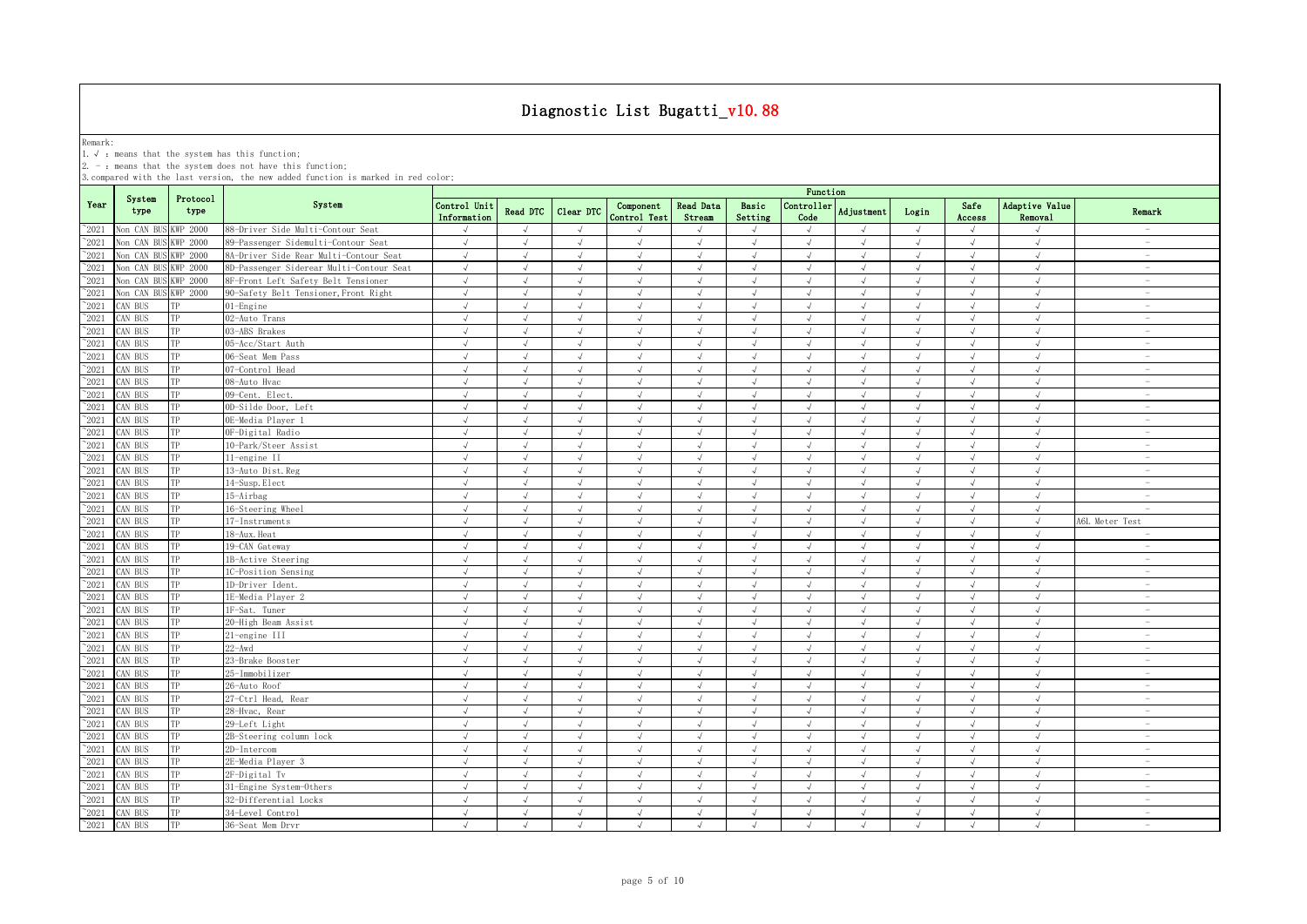Remark:<br>1.√ : means that the system has this function;<br>2. - : means that the system does not have this function;

|                 |                |                  |                                          |                             |            |                |                           |                     |                  | Function                    |                   |            |                |                           |                                 |
|-----------------|----------------|------------------|------------------------------------------|-----------------------------|------------|----------------|---------------------------|---------------------|------------------|-----------------------------|-------------------|------------|----------------|---------------------------|---------------------------------|
| Year            | System<br>type | Protocol<br>type | System                                   | Control Unit<br>Information | Read DTC   | Clear DTC      | Component<br>Control Test | Read Data<br>Stream | Basic<br>Setting | Controller<br>Code          | <b>Adjustment</b> | Login      | Safe<br>Access | Adaptive Value<br>Removal | Remark                          |
| $^{\circ}2021$  | Non CAN BU     | KWP 2000         | 88-Driver Side Multi-Contour Seat        | $\sqrt{}$                   | $\sqrt{ }$ | $\sqrt{ }$     |                           |                     | $\sqrt{ }$       | $\sqrt{ }$                  | $\sqrt{ }$        | $\sqrt{ }$ | $\sqrt{ }$     | $\sqrt{ }$                | $\sim$                          |
| $^{\sim}2021$   | Non CAN BU     | WP 2000          | 89-Passenger Sidemulti-Contour Seat      | $\sqrt{ }$                  | $\sqrt{ }$ | $\sqrt{ }$     | $\sqrt{ }$                | $\sqrt{ }$          | $\sqrt{ }$       | $\sqrt{ }$                  | $\sqrt{ }$        | $\sqrt{ }$ | $\sqrt{ }$     | $\sqrt{ }$                | $\sim$                          |
| $^{\sim}2021$   | Non CAN BUS    | <b>WP 2000</b>   | 8A-Driver Side Rear Multi-Contour Seat   | $\sqrt{ }$                  | $\sqrt{ }$ | $\sqrt{ }$     | $\sqrt{ }$                | $\sqrt{ }$          | $\sqrt{ }$       | $\sqrt{ }$                  | $\sqrt{ }$        | $\sqrt{ }$ | $\sqrt{ }$     | $\sqrt{ }$                | $\overline{\phantom{a}}$        |
| $^{\sim}2021$   | Non CAN BUS    | WP 2000          | 8D-Passenger Siderear Multi-Contour Seat | $\sqrt{ }$                  | $\sqrt{ }$ | $\sqrt{ }$     | $\sqrt{ }$                | $\sqrt{ }$          | $\sqrt{ }$       | $\sqrt{ }$                  | $\sqrt{ }$        | $\sqrt{ }$ | $\sqrt{ }$     | $\sqrt{ }$                | $\sim$                          |
| 2021            | Non CAN BUS    | <b>KWP 2000</b>  | 8F-Front Left Safety Belt Tensioner      | $\sqrt{ }$                  | $\sqrt{ }$ | $\sqrt{ }$     | $\sqrt{ }$                | $\sqrt{}$           | $\sqrt{ }$       | $\sqrt{ }$                  | $\sqrt{ }$        | $\sqrt{ }$ | $\sqrt{ }$     | $\sqrt{ }$                | $\hspace{0.1mm}-\hspace{0.1mm}$ |
| 2021            | Non CAN BUS    | <b>KWP 2000</b>  | 90-Safety Belt Tensioner, Front Right    | $\sqrt{ }$                  | $\sqrt{ }$ | $\sqrt{ }$     | $\sqrt{ }$                | $\sqrt{ }$          | $\sqrt{ }$       | $\sqrt{ }$                  | $\sqrt{ }$        | $\sqrt{ }$ | $\sqrt{ }$     | $\sqrt{ }$                | $\sim$                          |
| 2021            | CAN BUS        |                  | 01-Engine                                | $\sqrt{ }$                  | $\sqrt{ }$ | $\sqrt{ }$     | $\sqrt{ }$                | $\sqrt{ }$          | $\sqrt{ }$       | $\sqrt{ }$                  | $\sqrt{ }$        | $\sqrt{ }$ | $\sqrt{ }$     | $\sqrt{ }$                | $\sim$                          |
| 2021            | CAN BUS        | ГP               | 02-Auto Trans                            | $\sqrt{ }$                  | $\sqrt{ }$ | $\sqrt{ }$     | $\sqrt{}$                 | $\sqrt{ }$          | $\sqrt{ }$       | $\sqrt{ }$                  |                   | $\sqrt{ }$ | $\sqrt{ }$     | $\sqrt{ }$                | $\overline{\phantom{a}}$        |
| 2021            | CAN BUS        | TР               | 03-ABS Brakes                            | $\sqrt{ }$                  | $\sqrt{ }$ | $\overline{d}$ | $\mathcal{L}$             | $\sqrt{ }$          | $\sqrt{ }$       | $\mathcal{L}$               | J                 | $\sqrt{ }$ | $\sqrt{ }$     | $\sqrt{ }$                | $\sim$                          |
| $^{\sim}$ 2021  | CAN BUS        | TP               | 05-Acc/Start Auth                        | $\sqrt{ }$                  |            |                |                           | $\sqrt{ }$          | $\sqrt{ }$       |                             |                   |            |                | $\sqrt{ }$                |                                 |
| $^{\sim}$ 2021  | CAN BUS        | TP               | 06-Seat Mem Pass                         | $\sqrt{ }$                  | $\sqrt{ }$ | $\sqrt{ }$     | $\sqrt{ }$                | $\sqrt{ }$          | $\sqrt{ }$       | $\sqrt{ }$                  | $\sqrt{ }$        | $\sqrt{ }$ | $\sqrt{ }$     | $\sqrt{ }$                | $\sim$                          |
| $^{\sim}$ 2021  | CAN BUS        | TP               | 07-Control Head                          | $\sqrt{ }$                  | $\sqrt{ }$ | $\sqrt{ }$     | $\sqrt{ }$                | $\sqrt{ }$          | $\sqrt{ }$       | $\sqrt{ }$                  | $\sqrt{ }$        | $\sqrt{ }$ | $\sqrt{ }$     | $\sqrt{ }$                | $\sim$                          |
| $^{\sim}$ 2021  | CAN BUS        | TP               | 08-Auto Hvac                             | $\sqrt{ }$                  | $\sqrt{ }$ | $\sqrt{ }$     | $\sqrt{ }$                | $\sqrt{ }$          | $\sqrt{ }$       | $\sqrt{ }$                  | $\sqrt{ }$        | $\sqrt{ }$ | $\sqrt{ }$     | $\sqrt{ }$                | $\sim$                          |
| $^{\sim}$ 2021  | CAN BUS        | TP               | 09-Cent. Elect.                          | $\sqrt{ }$                  | $\sqrt{ }$ | $\sqrt{ }$     | $\sqrt{ }$                | $\sqrt{ }$          | $\sqrt{ }$       | $\sqrt{ }$                  | $\sqrt{ }$        | $\sqrt{ }$ | $\sqrt{ }$     | $\sqrt{2}$                | $\overline{\phantom{a}}$        |
| $\degree$ 2021  | CAN BUS        | TP               | OD-Silde Door, Left                      | $\sqrt{ }$                  | $\sqrt{ }$ | $\sqrt{ }$     | $\sqrt{ }$                | $\sqrt{ }$          | $\sqrt{ }$       | $\sqrt{ }$                  | $\sqrt{ }$        | $\sqrt{ }$ | $\sqrt{ }$     | $\sqrt{ }$                | $\overline{\phantom{a}}$        |
| $\degree$ 2021  | CAN BUS        | TP               | OE-Media Player 1                        | $\sqrt{ }$                  | $\sqrt{ }$ | $\mathcal{L}$  | $\mathcal{L}$             | $\sqrt{ }$          | $\sqrt{ }$       | $\mathcal{N}_{\mathcal{N}}$ | $\sqrt{ }$        | $\sqrt{ }$ | $\sqrt{ }$     | $\sqrt{ }$                | $\overline{\phantom{a}}$        |
| $\degree$ 2021  | CAN BUS        | TP               | OF-Digital Radio                         | $\sqrt{ }$                  | $\sqrt{ }$ | $\sqrt{ }$     | $\sqrt{ }$                | $\sqrt{ }$          | $\sqrt{ }$       | $\sqrt{ }$                  | $\sqrt{ }$        | $\sqrt{ }$ | $\sqrt{ }$     | $\sqrt{ }$                | $\overline{\phantom{a}}$        |
| $^{\sim}$ 2021  | CAN BUS        | TP               | 10-Park/Steer Assist                     | $\sqrt{ }$                  | $\sqrt{ }$ | $\sqrt{ }$     | $\sqrt{ }$                | $\sqrt{ }$          | $\sqrt{ }$       | $\sqrt{ }$                  | $\sqrt{ }$        | $\sqrt{ }$ | $\sqrt{ }$     | $\sqrt{ }$                | $\sim$                          |
| $^{\sim}2021$   | CAN BUS        | TP               | 11-engine II                             | $\sqrt{ }$                  | $\sqrt{ }$ | $\sqrt{ }$     | $\sqrt{ }$                | $\sqrt{ }$          | $\sqrt{ }$       | $\sqrt{ }$                  | $\sqrt{ }$        | $\sqrt{ }$ | $\sqrt{ }$     | $\sqrt{ }$                | $\sim$                          |
| $^{\sim}$ 2021  | CAN BUS        | TP               | 13-Auto Dist. Reg                        | $\sqrt{ }$                  | $\sqrt{ }$ | $\sqrt{ }$     | $\sqrt{ }$                | $\sqrt{ }$          | $\sqrt{ }$       | $\sqrt{ }$                  | J                 | $\sqrt{ }$ | $\sqrt{ }$     | $\sqrt{ }$                | $\sim$                          |
| $^{\sim}2021$   | CAN BUS        | TP               | 14-Susp. Elect                           | $\sqrt{ }$                  | $\sqrt{ }$ | $\sqrt{ }$     | $\sqrt{ }$                | $\sqrt{ }$          | $\sqrt{ }$       | $\sqrt{ }$                  | $\sqrt{ }$        | $\sqrt{ }$ | $\sqrt{ }$     | $\sqrt{ }$                | $\sim$                          |
| $^{\sim}2021$   | AN BUS         | ТP               | 15-Airbag                                |                             |            |                |                           | J                   |                  |                             |                   |            |                | $\sqrt{ }$                | $\sim$                          |
| $^{\sim}2021$   | CAN BUS        |                  | 16-Steering Wheel                        | $\sqrt{ }$                  | $\sqrt{}$  | $\sqrt{ }$     |                           | $\sqrt{ }$          | $\sqrt{ }$       | $\sqrt{}$                   | $\sqrt{ }$        | $\sqrt{ }$ | $\sqrt{ }$     | $\sqrt{ }$                |                                 |
| $\degree$ 2021  | CAN BUS        |                  | 17-Instruments                           | $\sqrt{ }$                  |            |                |                           | $\mathcal{A}$       |                  |                             |                   |            |                |                           | A6L Meter Test                  |
| $^{\sim}$ 2021  | CAN BUS        | TP               | 18-Aux. Heat                             | $\sqrt{ }$                  | $\sqrt{ }$ | $\sqrt{ }$     |                           | $\sqrt{ }$          | $\sqrt{ }$       | $\sqrt{ }$                  |                   | $\sqrt{ }$ | $\sqrt{ }$     | $\sqrt{ }$                | $\overline{\phantom{a}}$        |
| $^{\sim}$ 2021  | CAN BUS        | TP               | 19-CAN Gateway                           | $\sqrt{ }$                  | $\sqrt{ }$ |                | $\sqrt{ }$                | $\sqrt{ }$          | $\sqrt{ }$       |                             | $\overline{u}$    | $\sqrt{ }$ | $\sqrt{ }$     | $\sqrt{ }$                |                                 |
| $\gamma_{2021}$ | CAN BUS        | TP               | 1B-Active Steering                       | $\sqrt{ }$                  | $\sqrt{ }$ | $\sqrt{ }$     | $\sqrt{ }$                | $\sqrt{ }$          | $\sqrt{ }$       | $\sqrt{ }$                  | $\sqrt{ }$        | $\sqrt{ }$ | $\sqrt{ }$     | $\sqrt{ }$                | $\sim$                          |
| $^{\sim}$ 2021  | CAN BUS        | TP               | 1C-Position Sensing                      | $\sqrt{ }$                  | $\sqrt{ }$ | $\sqrt{ }$     | $\sqrt{ }$                | $\sqrt{ }$          | $\sqrt{ }$       | $\sqrt{ }$                  | $\sqrt{ }$        | $\sqrt{ }$ | $\sqrt{ }$     | $\sqrt{ }$                | $\sim$                          |
| $^{\sim}$ 2021  | CAN BUS        | TP               | 1D-Driver Ident.                         | $\sqrt{ }$                  | $\sqrt{ }$ | $\sqrt{ }$     | $\sqrt{ }$                | $\sqrt{ }$          | $\sqrt{ }$       | $\sqrt{ }$                  | $\sqrt{ }$        | $\sqrt{ }$ | $\sqrt{ }$     | $\sqrt{ }$                | $\sim$                          |
| $^{\sim}$ 2021  | CAN BUS        | TP               | 1E-Media Player 2                        | $\sqrt{ }$                  | $\sqrt{ }$ | $\sqrt{ }$     | $\sqrt{ }$                | $\sqrt{ }$          | $\sqrt{ }$       | $\sqrt{ }$                  | $\sqrt{ }$        | $\sqrt{ }$ | $\sqrt{ }$     | $\sqrt{2}$                | $\overline{\phantom{a}}$        |
| $\degree$ 2021  | CAN BUS        | TP               | 1F-Sat. Tuner                            | $\sqrt{ }$                  | $\sqrt{ }$ | $\sqrt{ }$     | $\sqrt{ }$                | $\sqrt{ }$          | $\sqrt{ }$       | $\sqrt{ }$                  | $\sqrt{ }$        | $\sqrt{ }$ | $\sqrt{ }$     | $\sqrt{ }$                | $\sim$                          |
| $\degree$ 2021  | CAN BUS        | TP               | 20-High Beam Assist                      | $\sqrt{ }$                  | $\sqrt{ }$ | $\sqrt{ }$     | $\sqrt{ }$                | $\sqrt{ }$          | $\sqrt{ }$       | $\sqrt{ }$                  | $\sqrt{ }$        | $\sqrt{ }$ | $\sqrt{ }$     | $\sqrt{ }$                | $\overline{\phantom{a}}$        |
| $^{\sim}$ 2021  | CAN BUS        | TP               | 21-engine III                            | $\sqrt{ }$                  | $\sqrt{ }$ | $\sqrt{ }$     | $\sqrt{ }$                | $\sqrt{ }$          | $\sqrt{ }$       | $\sqrt{ }$                  | $\sqrt{ }$        | $\sqrt{ }$ | $\sqrt{ }$     | $\sqrt{ }$                | $\sim$                          |
| $\degree$ 2021  | CAN BUS        | TP               | $22 - Awd$                               | $\sqrt{ }$                  | $\sqrt{ }$ | $\sqrt{ }$     | $\sqrt{ }$                | $\sqrt{ }$          | $\sqrt{ }$       | $\sqrt{ }$                  | $\sqrt{ }$        | $\sqrt{ }$ | $\sqrt{ }$     | $\sqrt{ }$                | $\overline{\phantom{a}}$        |
| $\degree$ 2021  | CAN BUS        | TP               | 23-Brake Booster                         | $\sqrt{ }$                  | $\sqrt{ }$ | $\sqrt{ }$     | $\sqrt{ }$                | $\sqrt{ }$          | $\sqrt{ }$       | $\sqrt{ }$                  | $\sqrt{ }$        | $\sqrt{ }$ | $\sqrt{ }$     | $\sqrt{ }$                | $\sim$                          |
| $\degree$ 2021  | AN BUS         | TP               | 25-Immobilizer                           | $\sqrt{ }$                  | $\sqrt{ }$ | $\sqrt{ }$     | $\sqrt{ }$                | $\sqrt{ }$          | $\sqrt{ }$       | $\sqrt{ }$                  | $\sqrt{ }$        | $\sqrt{ }$ | $\sqrt{ }$     | $\sqrt{ }$                | $\sim$                          |
| $^{\sim}2021$   | CAN BUS        | TP               | 26-Auto Roof                             | $\sqrt{}$                   | $\sqrt{ }$ | $\sqrt{ }$     | $\sqrt{ }$                | $\sqrt{ }$          | $\sqrt{ }$       | $\sqrt{ }$                  | $\sqrt{ }$        | $\sqrt{}$  | $\sqrt{ }$     | $\sqrt{ }$                | $\hspace{0.1mm}-\hspace{0.1mm}$ |
| $\degree$ 2021  | CAN BUS        | TP               | 27-Ctrl Head, Rear                       | $\sqrt{ }$                  | $\sqrt{ }$ | $\sqrt{ }$     | $\sqrt{ }$                | $\sqrt{ }$          | $\sqrt{ }$       | $\sqrt{ }$                  | $\sqrt{ }$        | $\sqrt{ }$ | $\sqrt{ }$     | $\sqrt{2}$                | $\sim$                          |
| 2021            | AN BUS         |                  | 28-Hvac, Rear                            | $\sqrt{ }$                  | $\sqrt{ }$ | $\mathcal{L}$  | J                         | $\sqrt{ }$          | $\sqrt{ }$       | $\mathcal{N}_{\mathcal{N}}$ | J                 | $\sqrt{ }$ | $\sqrt{ }$     | $\sqrt{ }$                | $\sim$                          |
| $^{\sim}2021$   | CAN BUS        |                  | 29-Left Light                            | $\sqrt{ }$                  | $\sqrt{ }$ | $\sqrt{ }$     | $\sqrt{ }$                | $\sqrt{ }$          | $\sqrt{ }$       | $\sqrt{ }$                  | $\sqrt{ }$        | $\sqrt{ }$ | $\sqrt{ }$     | $\sqrt{ }$                | $\overline{\phantom{a}}$        |
| 2021            | CAN BUS        | TР               | 2B-Steering column lock                  | $\sqrt{ }$                  | $\sqrt{ }$ | $\sqrt{ }$     | $\sqrt{ }$                | $\sqrt{ }$          | $\sqrt{ }$       | $\sqrt{ }$                  | $\sqrt{ }$        | $\sqrt{ }$ | $\sqrt{ }$     | $\sqrt{ }$                | $\overline{\phantom{a}}$        |
| $^{\sim}$ 2021  | CAN BUS        | TP               | 2D-Intercom                              | $\sqrt{ }$                  | $\sqrt{ }$ | $\overline{a}$ | $\sqrt{ }$                | $\sqrt{ }$          | $\sqrt{ }$       |                             | $\sqrt{ }$        | $\sqrt{ }$ | $\sqrt{ }$     | $\sqrt{ }$                |                                 |
| $\degree$ 2021  | CAN BUS        | TP               | 2E-Media Player 3                        | $\sqrt{ }$                  | $\sqrt{ }$ | $\sqrt{ }$     | $\sqrt{ }$                | $\sqrt{ }$          | $\sqrt{ }$       | $\sqrt{ }$                  | $\sqrt{ }$        | $\sqrt{ }$ | $\sqrt{ }$     | $\sqrt{ }$                | $\sim$                          |
| $^{\sim}$ 2021  | CAN BUS        | TP               | 2F-Digital Tv                            | $\sqrt{ }$                  | $\sqrt{ }$ | $\sqrt{ }$     | $\sqrt{ }$                | $\sqrt{ }$          | $\sqrt{ }$       | $\sqrt{ }$                  | $\sqrt{ }$        | $\sqrt{ }$ | $\sqrt{ }$     | $\sqrt{ }$                | $\overline{\phantom{a}}$        |
| $^{\sim}$ 2021  | CAN BUS        | TP               | 31-Engine System-Others                  | $\sqrt{ }$                  | $\sqrt{ }$ | $\sqrt{ }$     | $\sqrt{ }$                | $\sqrt{ }$          | $\sqrt{ }$       | $\sqrt{ }$                  | $\sqrt{ }$        | $\sqrt{ }$ | $\sqrt{ }$     | $\sqrt{ }$                | $\sim$                          |
| $^{\sim}$ 2021  | CAN BUS        | TP               | 32-Differential Locks                    | $\sqrt{ }$                  | $\sqrt{ }$ | $\sqrt{ }$     | $\sqrt{ }$                | $\sqrt{ }$          | $\sqrt{ }$       | $\sqrt{ }$                  | $\sqrt{ }$        | $\sqrt{ }$ | $\sqrt{ }$     | $\sqrt{ }$                | $\overline{\phantom{a}}$        |
| $^{\sim}$ 2021  | CAN BUS        | TP               | 34-Level Control                         | $\sqrt{ }$                  | $\sqrt{ }$ | $\sqrt{ }$     | $\sqrt{ }$                | $\sqrt{ }$          | $\sqrt{ }$       | $\sqrt{ }$                  | $\sqrt{ }$        | $\sqrt{ }$ | $\sqrt{ }$     | $\sqrt{ }$                | $\overline{\phantom{a}}$        |
| $^{\sim}2021$   | CAN BUS        | TP               | 36-Seat Mem Drvr                         | $\sqrt{ }$                  | $\sqrt{ }$ | $\sqrt{ }$     | $\sqrt{ }$                | $\sqrt{ }$          | $\sqrt{ }$       | $\sqrt{ }$                  | $\sqrt{ }$        | $\sqrt{ }$ | $\sqrt{ }$     | $\sqrt{ }$                | $\sim$                          |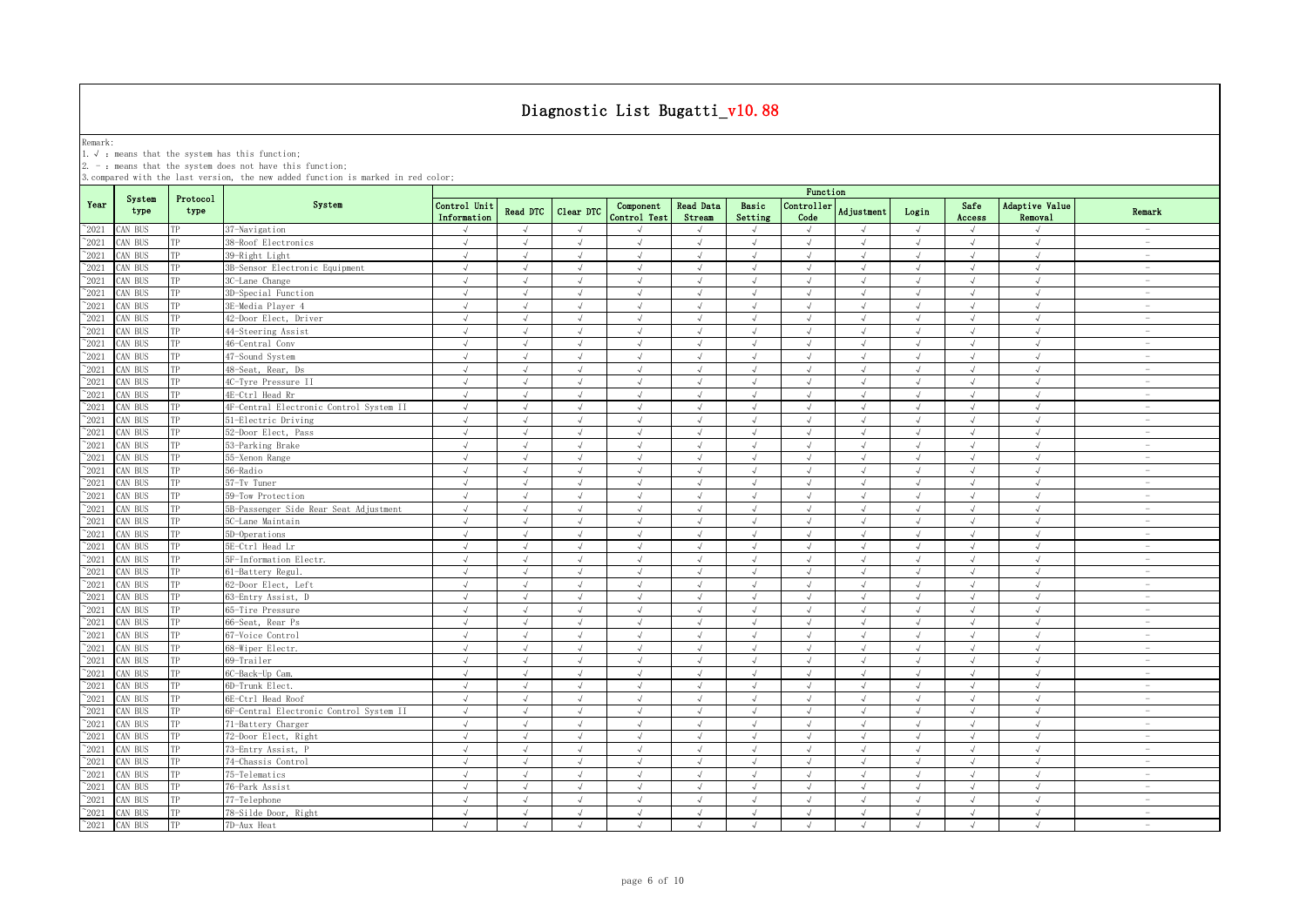Remark:<br>1.√ : means that the system has this function;<br>2. - : means that the system does not have this function;

|                |                |                  |                                         | Function                    |                 |               |                           |                            |                  |                    |               |            |                |                           |                                 |
|----------------|----------------|------------------|-----------------------------------------|-----------------------------|-----------------|---------------|---------------------------|----------------------------|------------------|--------------------|---------------|------------|----------------|---------------------------|---------------------------------|
| Year           | System<br>type | Protocol<br>type | System                                  | Control Unit<br>Information | <b>Read DTC</b> | Clear DTC     | Component<br>Control Test | <b>Read Data</b><br>Stream | Basic<br>Setting | Controller<br>Code | Adjustment    | Login      | Safe<br>Access | Adaptive Value<br>Removal | Remark                          |
| 2021           | AN BUS         | TP               | 37-Navigation                           | $\sqrt{ }$                  | $\sqrt{ }$      | $\sqrt{ }$    |                           | J                          | $\sqrt{ }$       | $\sqrt{ }$         | $\sqrt{ }$    | $\sqrt{ }$ | $\sqrt{ }$     | J                         |                                 |
| 2021           | AN BUS         | TP               | 38-Roof Electronics                     | $\sqrt{ }$                  | $\sqrt{ }$      | $\sqrt{ }$    | $\sqrt{ }$                | $\sqrt{ }$                 | $\sqrt{ }$       | $\sqrt{ }$         | $\sqrt{ }$    | $\sqrt{ }$ | $\sqrt{ }$     | $\sqrt{ }$                | $\sim$                          |
| 2021           | AN BUS         | TP               | 39-Right Light                          | $\sqrt{ }$                  |                 | J             |                           |                            |                  | $\sqrt{ }$         |               | $\sqrt{ }$ |                |                           | $\sim$                          |
| 2021           | AN BUS         | TP               | 3B-Sensor Electronic Equipment          | $\sqrt{ }$                  | $\sqrt{ }$      | √             | $\sqrt{ }$                | $\sqrt{}$                  | $\sqrt{ }$       | $\sqrt{}$          | $\sqrt{ }$    | $\sqrt{ }$ | $\sqrt{ }$     | $\sqrt{ }$                | $\hspace{0.1mm}-\hspace{0.1mm}$ |
| 2021           | AN BUS         | TP               | 3C-Lane Change                          | $\sqrt{ }$                  |                 | $\mathcal{L}$ |                           | N                          | $\sqrt{ }$       |                    | ار            | $\sqrt{ }$ |                |                           | $\sim$                          |
| 2021           | AN BUS         | TP               | 3D-Special Function                     | $\sqrt{ }$                  |                 | $\sqrt{ }$    |                           |                            | $\mathcal{L}$    | $\sqrt{ }$         | ار            | $\sqrt{ }$ |                | $\cdot$                   | $\overline{\phantom{a}}$        |
| 2021           | AN BUS         | TP               | 3E-Media Plaver 4                       | $\sqrt{ }$                  |                 | $\sqrt{ }$    |                           | J                          | $\mathcal{A}$    | J                  | $\sqrt{ }$    | $\sqrt{ }$ |                | J                         |                                 |
| $\degree$ 2021 | CAN BUS        | TP               | 42-Door Elect, Driver                   | $\sqrt{ }$                  | $\mathcal{L}$   | $\sqrt{ }$    |                           | J                          | $\sqrt{ }$       | $\sqrt{ }$         | $\sqrt{ }$    | $\sqrt{ }$ | $\sqrt{ }$     | $\sqrt{ }$                |                                 |
| $^{\sim}2021$  | AN BUS         | TP               | 44-Steering Assist                      | $\sqrt{ }$                  | $\sqrt{ }$      | $\sqrt{ }$    | $\sqrt{ }$                | $\sqrt{ }$                 | $\sqrt{ }$       | $\sqrt{ }$         | $\sqrt{ }$    | $\sqrt{ }$ | $\sqrt{ }$     | $\sqrt{ }$                | $\sim$                          |
| $^{\sim}2021$  | CAN BUS        | TP               | 46-Central Conv                         | $\sqrt{ }$                  | $\sqrt{ }$      | $\sqrt{ }$    | $\sqrt{ }$                | $\sqrt{}$                  | $\sqrt{ }$       | $\sqrt{ }$         | $\sqrt{ }$    | $\sqrt{ }$ | $\sqrt{ }$     | $\sqrt{ }$                | $\sim$                          |
| 2021           | AN BUS         | TP               | 47-Sound System                         | $\sqrt{ }$                  | $\sqrt{ }$      | $\sqrt{}$     | $\sqrt{ }$                | $\sqrt{ }$                 | $\sqrt{ }$       | $\sqrt{ }$         | $\sqrt{ }$    | $\sqrt{ }$ | $\sqrt{ }$     | $\sqrt{2}$                | $\sim$                          |
| 2021           | CAN BUS        | TP               | 48-Seat, Rear, Ds                       | $\sqrt{ }$                  | $\sqrt{ }$      | $\sqrt{}$     | $\sqrt{ }$                | $\sqrt{ }$                 | $\sqrt{ }$       | $\sqrt{ }$         | $\sqrt{ }$    | $\sqrt{ }$ | $\sqrt{ }$     | $\sqrt{ }$                | $\sim$                          |
| 2021           | AN BUS         | TP               | 4C-Tyre Pressure II                     | $\sqrt{ }$                  | $\sqrt{ }$      | $\sqrt{ }$    | $\sqrt{ }$                | $\sqrt{ }$                 | $\sqrt{ }$       | $\sqrt{ }$         | $\sqrt{ }$    | $\sqrt{ }$ | $\sqrt{ }$     | $\sqrt{2}$                | $\overline{\phantom{a}}$        |
| 2021           | CAN BUS        | TP               | 4E-Ctrl Head Rr                         | $\sqrt{ }$                  | $\sqrt{ }$      | $\sqrt{ }$    | $\sqrt{ }$                | $\sqrt{ }$                 | $\sqrt{ }$       | $\sqrt{ }$         | $\sqrt{ }$    | $\sqrt{ }$ | $\sqrt{ }$     | $\sqrt{ }$                | $\overline{\phantom{a}}$        |
| 2021           | CAN BUS        | TP               | 4F-Central Electronic Control System II | $\sqrt{ }$                  | $\sqrt{ }$      | $\sqrt{ }$    | $\sqrt{ }$                | $\sqrt{ }$                 | $\sqrt{ }$       | $\sqrt{ }$         | $\sqrt{ }$    | $\sqrt{ }$ | $\sqrt{ }$     | $\sqrt{ }$                | $\overline{\phantom{a}}$        |
| 2021           | CAN BUS        | TP               | 51-Electric Driving                     | $\sqrt{ }$                  | $\sqrt{ }$      | $\sqrt{ }$    | $\sqrt{ }$                | $\sqrt{ }$                 | $\sqrt{ }$       | $\sqrt{ }$         | $\sqrt{ }$    | $\sqrt{ }$ | $\sqrt{ }$     | $\sqrt{ }$                | $\sim$                          |
| 2021           | CAN BUS        | TP               | 52-Door Elect, Pass                     | $\sqrt{ }$                  | $\sqrt{ }$      | $\sqrt{ }$    | $\sqrt{ }$                | $\sqrt{ }$                 | $\sqrt{ }$       | $\sqrt{ }$         | $\sqrt{ }$    | $\sqrt{ }$ | $\sqrt{ }$     | $\sqrt{ }$                | $\overline{\phantom{a}}$        |
| 2021           | AN BUS         | TP               | 53-Parking Brake                        | $\sqrt{}$                   | $\sqrt{ }$      | $\sqrt{ }$    | $\sqrt{ }$                | $\sqrt{ }$                 | $\sqrt{ }$       | $\sqrt{ }$         | $\sqrt{ }$    | $\sqrt{}$  | $\sqrt{ }$     | $\sqrt{ }$                | $\sim$                          |
| 2021           | AN BUS         | TP               | 55-Xenon Range                          | $\sqrt{ }$                  | $\sqrt{ }$      | $\sqrt{}$     | $\sqrt{ }$                | $\sqrt{ }$                 | $\sqrt{ }$       | $\sqrt{2}$         | $\sqrt{ }$    | $\sqrt{ }$ | $\sqrt{ }$     | $\sqrt{ }$                | $\sim$                          |
| 2021           | AN BUS         | TP               | 56-Radio                                | $\sqrt{ }$                  | $\cdot$         | $\sqrt{ }$    |                           | J                          | $\sqrt{ }$       | $\sqrt{ }$         | $\lambda$     | $\sqrt{ }$ | $\sqrt{ }$     | $\cdot$                   | $\hspace{0.1mm}-\hspace{0.1mm}$ |
| 2021           | AN BUS         | TP               | 57-Tv Tuner                             | $\sqrt{ }$                  | $\sqrt{ }$      | $\sqrt{ }$    | $\sqrt{ }$                | $\sqrt{}$                  | $\sqrt{ }$       | $\sqrt{2}$         | $\sqrt{ }$    | $\sqrt{ }$ | $\sqrt{ }$     | $\sqrt{ }$                | $\sim$                          |
| 2021           | AN BUS         | TP               | 59-Tow Protection                       | $\sqrt{ }$                  | $\sqrt{ }$      | J             | $\mathcal{L}$             | √                          | $\sqrt{ }$       | $\sqrt{ }$         | $\sqrt{ }$    | $\sqrt{ }$ | $\sqrt{ }$     | $\sqrt{ }$                | $\overline{\phantom{a}}$        |
| $\degree$ 2021 | AN BUS         | TP               | 5B-Passenger Side Rear Seat Adjustment  | $\sqrt{ }$                  |                 | $\sqrt{ }$    |                           | J                          | $\sqrt{ }$       | $\sqrt{ }$         | $\mathcal{A}$ | $\sqrt{ }$ |                | $\sqrt{ }$                | $\overline{\phantom{a}}$        |
| 2021           | AN BUS         | TP               | 5C-Lane Maintain                        | $\sqrt{ }$                  | $\sqrt{ }$      | $\sqrt{ }$    |                           | $\sqrt{ }$                 | $\sqrt{ }$       | $\sqrt{ }$         | $\sqrt{ }$    | $\sqrt{ }$ | $\sqrt{ }$     | $\sqrt{ }$                | $\overline{\phantom{a}}$        |
| $^{\sim}2021$  | CAN BUS        | TP               | 5D-Operations                           | $\sqrt{ }$                  | $\sqrt{ }$      | $\sqrt{ }$    |                           | $\sqrt{ }$                 | $\sqrt{ }$       | $\sqrt{ }$         | $\sqrt{ }$    | $\sqrt{ }$ | $\sqrt{ }$     | $\sqrt{ }$                | $\overline{\phantom{a}}$        |
| 2021           | CAN BUS        | TP               | 5E-Ctrl Head Lr                         | $\sqrt{ }$                  | $\sqrt{ }$      | $\sqrt{ }$    | $\sqrt{ }$                | $\sqrt{ }$                 | $\sqrt{ }$       | $\sqrt{ }$         | $\sqrt{ }$    | $\sqrt{ }$ | $\sqrt{ }$     | $\sqrt{ }$                | $\sim$                          |
| 2021           | CAN BUS        | TP               | 5F-Information Electr.                  | $\sqrt{ }$                  | $\sqrt{ }$      | $\sqrt{ }$    |                           | $\sqrt{}$                  | $\sqrt{ }$       | $\sqrt{ }$         | $\sqrt{ }$    | $\sqrt{ }$ | $\sqrt{ }$     | $\sqrt{ }$                | $\sim$                          |
| 2021           | AN BUS         | TP               | 61-Battery Regul.                       | $\sqrt{ }$                  | $\sqrt{ }$      | $\sqrt{ }$    | $\sqrt{ }$                | $\sqrt{ }$                 | $\sqrt{ }$       | $\sqrt{ }$         | $\sqrt{ }$    | $\sqrt{ }$ | $\sqrt{ }$     | $\sqrt{ }$                | $\overline{\phantom{a}}$        |
| 2021           | AN BUS         | TP               | 62-Door Elect, Left                     | $\sqrt{ }$                  | $\sqrt{ }$      | $\sqrt{ }$    | $\mathcal{L}$             | J                          | $\sqrt{ }$       | $\sqrt{ }$         | $\sqrt{ }$    | $\sqrt{ }$ | $\sqrt{ }$     | J                         | $\sim$                          |
| 2021           | CAN BUS        | TP               | 63-Entry Assist, D                      | $\sqrt{ }$                  | $\sqrt{ }$      | $\sqrt{ }$    | $\sqrt{ }$                | $\sqrt{ }$                 | $\sqrt{ }$       | $\sqrt{ }$         | $\sqrt{ }$    | $\sqrt{ }$ | $\sqrt{ }$     | $\sqrt{ }$                | $\overline{\phantom{a}}$        |
| 2021           | CAN BUS        | TP               | 65-Tire Pressure                        | $\sqrt{ }$                  | $\sqrt{ }$      | $\sqrt{ }$    |                           | $\sqrt{ }$                 | $\sqrt{ }$       | $\sqrt{ }$         | $\sqrt{ }$    | $\sqrt{ }$ | $\sqrt{ }$     | $\sqrt{ }$                | $\overline{\phantom{a}}$        |
| 2021           | CAN BUS        | TP               | 66-Seat, Rear Ps                        | $\sqrt{ }$                  | $\sqrt{ }$      | $\sqrt{ }$    | $\sqrt{ }$                | $\sqrt{ }$                 | $\sqrt{ }$       | $\sqrt{ }$         | $\sqrt{ }$    | $\sqrt{ }$ | $\sqrt{ }$     | $\sqrt{ }$                | $\overline{\phantom{a}}$        |
| 2021           | AN BUS         | TP               | 67-Voice Control                        | $\sqrt{ }$                  | $\sqrt{ }$      | $\sqrt{ }$    | $\sqrt{ }$                | $\sqrt{ }$                 | $\sqrt{ }$       | $\sqrt{ }$         | $\sqrt{ }$    | $\sqrt{ }$ | J              | $\sqrt{ }$                | $\overline{\phantom{a}}$        |
| 2021           | AN BUS         | TP               | 68-Wiper Electr.                        | $\sqrt{ }$                  | $\sqrt{ }$      | $\sqrt{ }$    | $\sqrt{ }$                | $\sqrt{ }$                 | $\sqrt{ }$       | $\sqrt{ }$         | $\sqrt{ }$    | $\sqrt{ }$ | $\sqrt{ }$     | $\sqrt{ }$                | $\sim$                          |
| 2021           | AN BUS         | TP               | 69-Trailer                              | $\sqrt{ }$                  |                 | $\sqrt{ }$    |                           |                            |                  | $\cdot$            |               | $\sqrt{ }$ |                |                           | $\sim$                          |
| 2021           | AN BUS         | TP               | 6C-Back-Up Cam.                         | $\sqrt{ }$                  | $\sqrt{ }$      | √             |                           | √                          | $\sqrt{ }$       | √                  | $\sqrt{ }$    | $\sqrt{ }$ | $\sqrt{ }$     | $\sqrt{}$                 | $\overline{\phantom{a}}$        |
| 2021           | AN BUS         | TP               | 6D-Trunk Elect.                         | $\sqrt{ }$                  | $\sqrt{ }$      | $\mathcal{L}$ |                           |                            | $\sqrt{ }$       |                    | ار            | $\sqrt{ }$ |                |                           |                                 |
| 2021           | AN BUS         | TP               | 6E-Ctrl Head Roof                       | $\sqrt{ }$                  |                 |               |                           |                            |                  |                    | ار            | $\sqrt{ }$ |                |                           | $\overline{\phantom{a}}$        |
| 2021           | AN BUS         | TP               | 6F-Central Electronic Control System II | $\sqrt{ }$                  |                 |               |                           | $\sqrt{2}$                 | $\sqrt{ }$       |                    |               | $\sqrt{ }$ |                |                           |                                 |
| $^{\sim}2021$  | CAN BUS        | TP               | 71-Battery Charger                      | $\sqrt{ }$                  | $\sqrt{ }$      | J             |                           | √                          | $\sqrt{ }$       | $\sqrt{ }$         | $\sqrt{ }$    | $\sqrt{ }$ |                | $\sqrt{ }$                |                                 |
| $^{\sim}2021$  | AN BUS         | TP               | 72-Door Elect, Right                    | $\sqrt{ }$                  | $\sqrt{ }$      | $\sqrt{ }$    | $\sqrt{ }$                | $\sqrt{ }$                 | $\sqrt{ }$       | $\sqrt{ }$         | $\sqrt{ }$    | $\sqrt{ }$ | $\sqrt{ }$     | $\sqrt{ }$                |                                 |
| $^{\sim}2021$  | CAN BUS        | TP               | 73-Entry Assist, P                      | $\sqrt{ }$                  | $\sqrt{ }$      | $\sqrt{ }$    |                           | J                          | $\sqrt{ }$       | $\sqrt{ }$         | $\sqrt{ }$    | $\sqrt{ }$ | $\sqrt{ }$     | $\sqrt{ }$                | $\sim$                          |
| $\degree$ 2021 | AN BUS         | TP               | 74-Chassis Control                      | $\sqrt{ }$                  | $\sqrt{ }$      | $\sqrt{ }$    | $\sqrt{ }$                | $\sqrt{2}$                 | $\sqrt{ }$       | $\sqrt{ }$         | $\sqrt{ }$    | $\sqrt{ }$ | $\sqrt{ }$     | $\sqrt{}$                 | $\overline{\phantom{a}}$        |
| 2021           | CAN BUS        | TP               | 75-Telematics                           | $\sqrt{ }$                  | $\sqrt{ }$      | $\sqrt{ }$    | $\sqrt{ }$                | $\sqrt{}$                  | $\sqrt{ }$       | $\sqrt{ }$         | $\sqrt{ }$    | $\sqrt{ }$ | $\sqrt{ }$     | $\sqrt{ }$                | $\sim$                          |
| 2021           | CAN BUS        | TP               | 76-Park Assist                          | $\sqrt{ }$                  | $\sqrt{ }$      | $\sqrt{ }$    | $\sqrt{ }$                | $\sqrt{ }$                 | $\sqrt{ }$       | $\sqrt{ }$         | $\sqrt{ }$    | $\sqrt{ }$ | $\sqrt{ }$     | $\sqrt{2}$                | $\overline{\phantom{a}}$        |
| 2021           | CAN BUS        | TP               | 77-Telephone                            | $\sqrt{ }$                  | $\sqrt{ }$      | $\sqrt{ }$    | $\sqrt{ }$                | $\sqrt{ }$                 | $\sqrt{ }$       | $\sqrt{ }$         | $\sqrt{ }$    | $\sqrt{ }$ | $\sqrt{ }$     | $\sqrt{ }$                | $\overline{\phantom{a}}$        |
| 2021           | CAN BUS        | TP               | 78-Silde Door, Right                    | $\sqrt{ }$                  | $\sqrt{ }$      | $\sqrt{ }$    | $\sqrt{ }$                | $\sqrt{ }$                 | $\sqrt{ }$       | $\sqrt{ }$         | $\sqrt{ }$    | $\sqrt{ }$ | $\sqrt{ }$     | $\sqrt{ }$                | $\overline{\phantom{a}}$        |
| $^{\sim}2021$  | CAN BUS        | TP               | 7D-Aux Heat                             | $\sqrt{ }$                  | $\mathcal{L}$   | $\sqrt{ }$    | $\sqrt{ }$                | $\sqrt{ }$                 | $\mathcal{L}$    | $\sqrt{ }$         | $\sqrt{ }$    | $\sqrt{ }$ | $\sqrt{ }$     | $\sqrt{ }$                | $\sim$                          |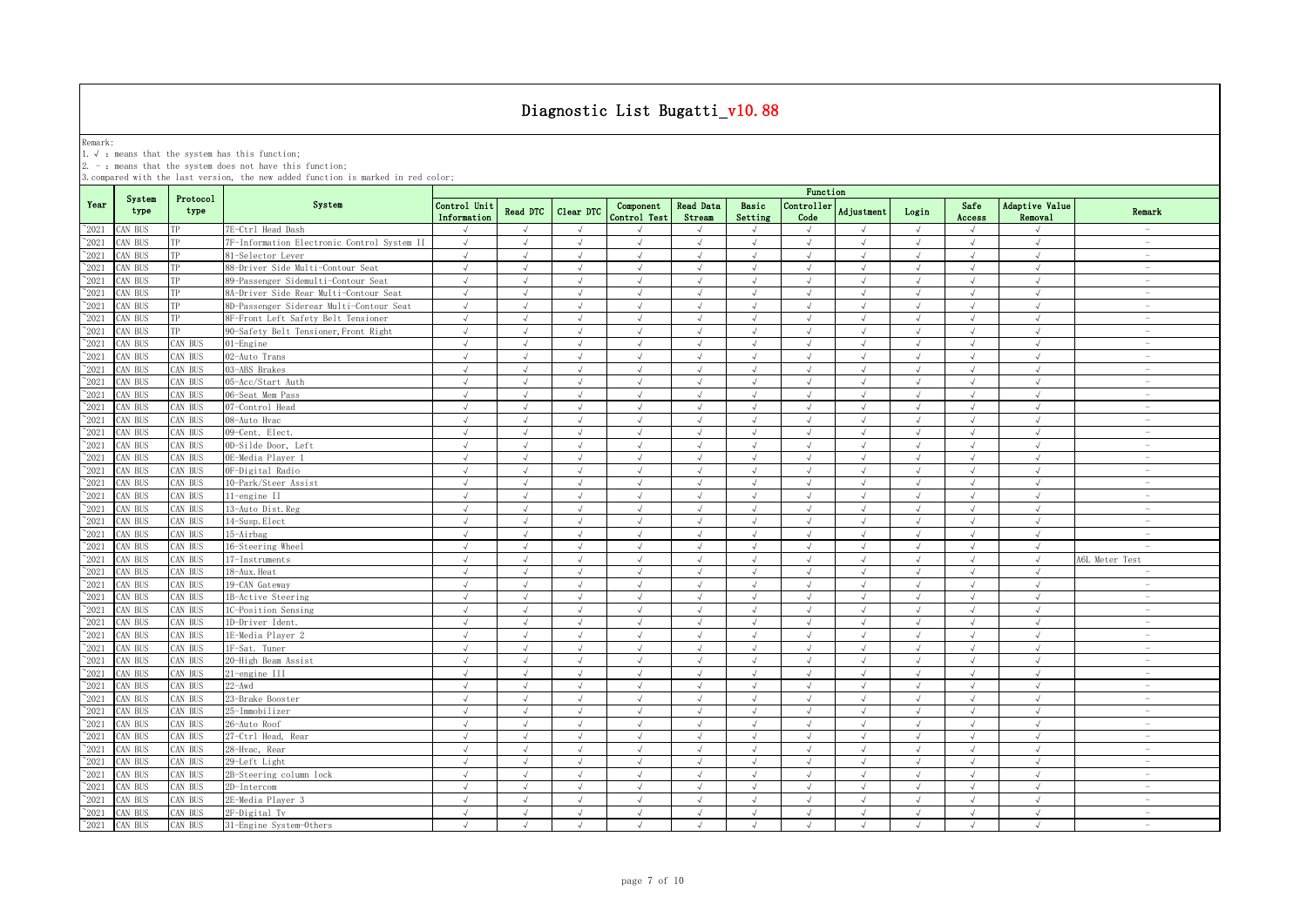Remark:<br>1.√ : means that the system has this function;<br>2. - : means that the system does not have this function;

|                 |                |                  |                                             | Function                    |            |                |                           |                            |                  |                             |               |            |                |                           |                                 |
|-----------------|----------------|------------------|---------------------------------------------|-----------------------------|------------|----------------|---------------------------|----------------------------|------------------|-----------------------------|---------------|------------|----------------|---------------------------|---------------------------------|
| Year            | System<br>type | Protocol<br>type | System                                      | Control Unit<br>Information | Read DTC   | Clear DTC      | Component<br>Control Test | <b>Read Data</b><br>Stream | Basic<br>Setting | Controller<br>Code          | Adjustment    | Login      | Safe<br>Access | Adaptive Value<br>Removal | Remark                          |
| $^{\sim}2021$   | AN BUS         | TP               | 7E-Ctrl Head Dash                           | $\sqrt{ }$                  | $\sqrt{ }$ | $\sqrt{ }$     |                           | $\sqrt{ }$                 | $\sqrt{ }$       | $\sqrt{ }$                  | $\sqrt{ }$    | $\sqrt{ }$ | $\sqrt{ }$     | $\sqrt{ }$                |                                 |
| $^{\sim}2021$   | CAN BUS        | ТP               | 7F-Information Electronic Control System II | $\sqrt{ }$                  | $\sqrt{ }$ | $\sqrt{ }$     | $\sqrt{ }$                | $\sqrt{ }$                 | $\sqrt{ }$       | $\sqrt{ }$                  | $\sqrt{ }$    | $\sqrt{ }$ | $\sqrt{ }$     | $\sqrt{ }$                | $\sim$                          |
| $^{\sim}2021$   | AN BUS         | TP               | 81-Selector Lever                           | J                           |            |                |                           | $\sqrt{ }$                 | $\sqrt{ }$       |                             |               |            | $\sqrt{ }$     | $\sqrt{ }$                | $\sim$                          |
| $\degree$ 2021  | AN BUS         | TP               | 88-Driver Side Multi-Contour Seat           | $\sqrt{ }$                  | $\sqrt{}$  | J              | $\sqrt{ }$                | $\sqrt{ }$                 | $\sqrt{ }$       | $\sqrt{}$                   | $\sqrt{}$     | $\sqrt{ }$ | $\sqrt{ }$     | $\sqrt{ }$                | $\hspace{0.1mm}-\hspace{0.1mm}$ |
| 2021            | AN BUS         |                  | 89-Passenger Sidemulti-Contour Seat         | $\sqrt{ }$                  |            |                |                           | $\sqrt{ }$                 | $\mathcal{A}$    |                             |               |            |                | $\sqrt{ }$                | $\sim$                          |
| $^{\sim}2021$   | CAN BUS        | TP               | 8A-Driver Side Rear Multi-Contour Seat      | $\sqrt{ }$                  |            | $\sqrt{ }$     |                           | $\sqrt{ }$                 | $\sqrt{ }$       | $\mathcal{N}_{\mathcal{N}}$ |               | $\sqrt{ }$ |                | $\sqrt{ }$                | $\overline{\phantom{a}}$        |
| $^{\sim}$ 2021  | CAN BUS        | ТP               | 8D-Passenger Siderear Multi-Contour Seat    | $\sqrt{ }$                  |            |                | $\sqrt{ }$                | $\sqrt{ }$                 | $\sqrt{ }$       |                             |               |            | $\sqrt{ }$     | $\sqrt{ }$                |                                 |
| $^{\sim}$ 2021  | CAN BUS        | TP               | BF-Front Left Safety Belt Tensioner         | $\sqrt{ }$                  | $\sqrt{ }$ | $\sqrt{ }$     | $\sqrt{ }$                | $\sqrt{ }$                 | $\sqrt{ }$       | $\sqrt{ }$                  | J             | $\sqrt{ }$ | $\sqrt{ }$     | $\sqrt{ }$                |                                 |
| $\degree$ 2021  | CAN BUS        | TP               | 90-Safety Belt Tensioner, Front Right       | $\sqrt{ }$                  | $\sqrt{ }$ | $\sqrt{ }$     | $\sqrt{ }$                | $\sqrt{ }$                 | $\sqrt{ }$       | $\sqrt{ }$                  | $\sqrt{ }$    | $\sqrt{ }$ | $\sqrt{ }$     | $\sqrt{ }$                | $\sim$                          |
| $^{\sim}$ 2021  | CAN BUS        | CAN BUS          | 01-Engine                                   | $\sqrt{2}$                  | $\sqrt{ }$ | $\sqrt{2}$     | $\sqrt{ }$                | $\sqrt{ }$                 | $\sqrt{ }$       | $\sqrt{ }$                  | $\sqrt{ }$    | $\sqrt{ }$ | $\sqrt{ }$     | $\sqrt{ }$                | $\sim$                          |
| $\degree$ 2021  | AN BUS         | CAN BUS          | 02-Auto Trans                               | $\sqrt{ }$                  | $\sqrt{ }$ | $\sqrt{ }$     | $\sqrt{ }$                | $\sqrt{ }$                 | $\sqrt{ }$       | $\sqrt{ }$                  | $\sqrt{ }$    | $\sqrt{ }$ | $\sqrt{ }$     | $\sqrt{2}$                | $\sim$                          |
| $^{\sim}$ 2021  | AN BUS         | CAN BUS          | 03-ABS Brakes                               | $\sqrt{ }$                  | $\sqrt{ }$ | $\sqrt{ }$     | $\sqrt{ }$                | $\sqrt{ }$                 | $\sqrt{ }$       | $\sqrt{ }$                  | $\sqrt{ }$    | $\sqrt{ }$ | $\sqrt{ }$     | $\sqrt{ }$                | $\sim$                          |
| $^{\sim}$ 2021  | AN BUS         | CAN BUS          | 05-Acc/Start Auth                           | $\sqrt{ }$                  | $\sqrt{ }$ | $\sqrt{ }$     | $\sqrt{ }$                | $\sqrt{ }$                 | $\sqrt{ }$       | $\sqrt{ }$                  | $\sqrt{ }$    | $\sqrt{ }$ | $\sqrt{ }$     | $\sqrt{2}$                | $\overline{\phantom{a}}$        |
| $\degree$ 2021  | CAN BUS        | CAN BUS          | 06-Seat Mem Pass                            | $\sqrt{ }$                  | $\sqrt{ }$ | $\sqrt{ }$     | $\sqrt{ }$                | $\sqrt{ }$                 | $\sqrt{ }$       | $\sqrt{ }$                  | $\sqrt{ }$    | $\sqrt{ }$ | $\sqrt{ }$     | $\sqrt{ }$                | $\overline{\phantom{a}}$        |
| $^{\sim}2021$   | CAN BUS        | CAN BUS          | 07-Control Head                             | $\sqrt{ }$                  | $\sqrt{ }$ | $\sqrt{ }$     | $\sqrt{ }$                | $\sqrt{ }$                 | $\sqrt{ }$       | $\sqrt{ }$                  | $\sqrt{ }$    | $\sqrt{ }$ | $\sqrt{ }$     | $\sqrt{ }$                | $\overline{\phantom{a}}$        |
| $\degree$ 2021  | CAN BUS        | CAN BUS          | 08-Auto Hvac                                | $\sqrt{ }$                  | $\sqrt{ }$ | $\sqrt{ }$     | $\sqrt{ }$                | $\sqrt{ }$                 | $\sqrt{ }$       | $\sqrt{ }$                  | $\sqrt{ }$    | $\sqrt{ }$ | $\sqrt{ }$     | $\sqrt{ }$                | $\sim$                          |
| $\degree$ 2021  | CAN BUS        | <b>CAN BUS</b>   | 09-Cent. Elect.                             | $\sqrt{ }$                  | $\sqrt{ }$ | $\sqrt{ }$     | $\sqrt{ }$                | $\sqrt{ }$                 | $\sqrt{ }$       | $\sqrt{ }$                  | $\sqrt{ }$    | $\sqrt{ }$ | $\sqrt{ }$     | $\sqrt{ }$                | $\overline{\phantom{a}}$        |
| $^{\sim}2021$   | CAN BUS        | CAN BUS          | OD-Silde Door, Left                         | $\sqrt{}$                   | $\sqrt{ }$ | $\sqrt{ }$     | $\sqrt{ }$                | $\sqrt{}$                  | $\sqrt{ }$       | $\sqrt{ }$                  | $\sqrt{ }$    | $\sqrt{}$  | $\sqrt{ }$     | $\sqrt{ }$                | $\sim$                          |
| $\degree$ 2021  | AN BUS         | CAN BUS          | OE-Media Player 1                           | $\sqrt{ }$                  | $\sqrt{ }$ | $\sqrt{ }$     | $\sqrt{ }$                | $\sqrt{ }$                 | $\sqrt{ }$       | $\sqrt{ }$                  | $\sqrt{2}$    | $\sqrt{ }$ | $\sqrt{ }$     | $\sqrt{2}$                | $\sim$                          |
| 2021            | AN BUS         | AN BUS           | OF-Digital Radio                            | $\sqrt{ }$                  | $\sqrt{ }$ | $\mathcal{L}$  | $\mathcal{L}$             | $\sqrt{ }$                 | $\sqrt{ }$       | $\cdot$                     | J             | $\sqrt{ }$ | $\sqrt{ }$     | $\sqrt{ }$                | $\sim$                          |
| 2021            | AN BUS         | <b>CAN BUS</b>   | 10-Park/Steer Assist                        | $\sqrt{2}$                  | $\sqrt{ }$ | $\sqrt{ }$     | $\sqrt{ }$                | $\sqrt{ }$                 | $\sqrt{ }$       | $\sqrt{ }$                  | $\sqrt{ }$    | $\sqrt{ }$ | $\sqrt{ }$     | $\sqrt{ }$                | $\overline{\phantom{a}}$        |
| 2021            | CAN BUS        | AN BUS           | 11-engine II                                | $\sqrt{ }$                  | $\sqrt{ }$ | $\sqrt{ }$     | $\mathcal{L}$             | $\sqrt{ }$                 | $\sqrt{ }$       | $\sqrt{ }$                  | $\sqrt{ }$    | $\sqrt{ }$ | $\sqrt{ }$     | $\sqrt{ }$                | $\overline{\phantom{a}}$        |
| $^{\sim}2021$   | AN BUS         | AN BUS           | 13-Auto Dist. Reg                           | $\sqrt{ }$                  | $\sqrt{ }$ | $\sqrt{ }$     | $\sqrt{ }$                | $\sqrt{ }$                 | $\mathcal{A}$    | $\mathcal{A}$               | À.            | $\sqrt{ }$ | $\sqrt{ }$     | $\sqrt{ }$                | $\overline{\phantom{a}}$        |
| $^{\sim}$ 2021  | CAN BUS        | AN BUS           | 14-Susp. Elect                              | $\sqrt{ }$                  | $\sqrt{ }$ | $\overline{a}$ | $\sqrt{ }$                | $\sqrt{ }$                 | $\sqrt{ }$       |                             | $\sqrt{ }$    | $\sqrt{ }$ | $\sqrt{ }$     | $\sqrt{ }$                | $\overline{\phantom{a}}$        |
| $^{\sim}$ 2021  | CAN BUS        | AN BUS           | 15-Airbag                                   | $\sqrt{ }$                  | $\sqrt{ }$ | $\sqrt{ }$     | $\sqrt{ }$                | $\sqrt{ }$                 | $\sqrt{ }$       | $\sqrt{ }$                  | $\sqrt{ }$    | $\sqrt{ }$ | $\sqrt{ }$     | $\sqrt{ }$                | $\overline{\phantom{a}}$        |
| $^{\sim}$ 2021  | CAN BUS        | <b>CAN BUS</b>   | 16-Steering Wheel                           | $\sqrt{ }$                  | $\sqrt{ }$ | $\sqrt{ }$     | $\sqrt{ }$                | $\sqrt{ }$                 | $\sqrt{ }$       | $\sqrt{ }$                  | $\sqrt{ }$    | $\sqrt{ }$ | $\sqrt{ }$     | $\sqrt{ }$                |                                 |
| $^{\sim}$ 2021  | AN BUS         | CAN BUS          | 17-Instruments                              | $\sqrt{ }$                  | $\sqrt{ }$ | $\sqrt{ }$     | $\sqrt{ }$                | $\sqrt{ }$                 | $\sqrt{ }$       | $\sqrt{ }$                  | $\sqrt{ }$    | $\sqrt{ }$ | $\sqrt{ }$     | $\sqrt{ }$                | A6L Meter Test                  |
| $^{\sim}$ 2021  | AN BUS         | CAN BUS          | 18-Aux. Heat                                | $\sqrt{ }$                  | $\sqrt{ }$ | $\sqrt{ }$     | $\sqrt{ }$                | $\sqrt{ }$                 | $\sqrt{ }$       | $\sqrt{ }$                  | $\sqrt{ }$    | $\sqrt{ }$ | $\sqrt{ }$     | $\sqrt{ }$                | $\overline{\phantom{a}}$        |
| $^{\sim}$ 2021  | CAN BUS        | CAN BUS          | 19-CAN Gateway                              | $\sqrt{ }$                  | $\sqrt{ }$ | $\sqrt{ }$     | $\mathcal{L}$             | $\sqrt{ }$                 | $\sqrt{ }$       | $\sqrt{ }$                  | $\sqrt{ }$    | $\sqrt{ }$ | $\sqrt{ }$     | $\sqrt{ }$                | $\overline{\phantom{a}}$        |
| $\degree$ 2021  | CAN BUS        | CAN BUS          | 1B-Active Steering                          | $\sqrt{ }$                  | $\sqrt{ }$ | $\sqrt{ }$     | $\sqrt{ }$                | $\sqrt{ }$                 | $\sqrt{ }$       | $\sqrt{ }$                  | $\sqrt{ }$    | $\sqrt{ }$ | $\sqrt{ }$     | $\sqrt{ }$                | $\overline{\phantom{a}}$        |
| $^{\sim}2021$   | CAN BUS        | CAN BUS          | 1C-Position Sensing                         | $\sqrt{ }$                  | $\sqrt{ }$ | $\sqrt{ }$     | $\mathcal{L}$             | $\sqrt{ }$                 | $\sqrt{ }$       | $\mathcal{N}_{\mathcal{N}}$ | $\sqrt{ }$    | $\sqrt{ }$ | $\sqrt{ }$     | $\sqrt{ }$                | $\overline{\phantom{a}}$        |
| $\degree$ 2021  | CAN BUS        | CAN BUS          | 1D-Driver Ident.                            | $\sqrt{ }$                  | $\sqrt{ }$ | $\sqrt{ }$     | $\sqrt{ }$                | $\sqrt{ }$                 | $\sqrt{ }$       | $\sqrt{ }$                  | $\sqrt{ }$    | $\sqrt{ }$ | $\sqrt{ }$     | $\sqrt{ }$                | $\overline{\phantom{a}}$        |
| $^{\sim}$ 2021  | CAN BUS        | CAN BUS          | 1E-Media Player 2                           | $\sqrt{ }$                  | $\sqrt{ }$ | $\sqrt{ }$     | $\sqrt{ }$                | $\sqrt{ }$                 | $\sqrt{ }$       | $\sqrt{ }$                  | $\sqrt{ }$    | $\sqrt{ }$ | $\sqrt{ }$     | $\sqrt{ }$                | $\overline{\phantom{a}}$        |
| $\degree$ 2021  | CAN BUS        | <b>CAN BUS</b>   | 1F-Sat. Tuner                               | $\sqrt{ }$                  | $\sqrt{ }$ | $\sqrt{ }$     | $\sqrt{ }$                | $\sqrt{ }$                 | $\sqrt{ }$       | $\sqrt{ }$                  | $\sqrt{ }$    | $\sqrt{ }$ | $\sqrt{ }$     | $\sqrt{ }$                | $\hspace{0.1mm}-\hspace{0.1mm}$ |
| $^{\sim}2021$   | AN BUS         | <b>CAN BUS</b>   | 20-High Beam Assist                         | $\sqrt{ }$                  |            |                |                           | $\sqrt{ }$                 | $\sqrt{ }$       |                             |               |            | $\sqrt{ }$     | $\sqrt{ }$                | $\sim$                          |
| $\degree$ 2021  | CAN BUS        | CAN BUS          | 21-engine III                               | $\sqrt{2}$                  | $\sqrt{ }$ | $\sqrt{ }$     | $\sqrt{ }$                | $\sqrt{2}$                 | $\sqrt{ }$       | $\sqrt{ }$                  | $\sqrt{ }$    | $\sqrt{ }$ | $\sqrt{ }$     | $\sqrt{ }$                | $\overline{\phantom{a}}$        |
| 2021            | AN BUS         | AN BUS           | $22 - Awd$                                  | $\sqrt{ }$                  |            |                |                           | $\sqrt{ }$                 | $\mathcal{A}$    |                             |               | $\sqrt{ }$ |                | $\sqrt{ }$                | $\overline{\phantom{a}}$        |
| $^{\sim}2021$   | CAN BUS        | CAN BUS          | 23-Brake Booster                            | $\sqrt{ }$                  |            |                |                           | $\sqrt{ }$                 | $\sqrt{ }$       |                             |               | $\sqrt{ }$ |                | $\sqrt{ }$                | $\overline{\phantom{a}}$        |
| $^{\sim}$ 2021  | CAN BUS        | AN BUS           | 25-Immobilizer                              | $\sqrt{ }$                  |            |                |                           | $\sqrt{ }$                 | $\sqrt{ }$       |                             |               |            |                | J                         |                                 |
| $\gamma_{2021}$ | CAN BUS        | <b>CAN BUS</b>   | 26-Auto Roof                                | $\sqrt{ }$                  | $\sqrt{ }$ | $\sqrt{ }$     |                           | $\sqrt{ }$                 | $\sqrt{ }$       | $\sqrt{ }$                  | J             | $\sqrt{ }$ | $\sqrt{ }$     | $\sqrt{ }$                | $\sim$                          |
| $^{\sim}$ 2021  | AN BUS         | AN BUS           | 27-Ctrl Head, Rear                          | $\sqrt{ }$                  | $\sqrt{ }$ | $\sqrt{ }$     | $\sqrt{ }$                | $\sqrt{ }$                 | $\sqrt{ }$       | $\sqrt{ }$                  | $\sqrt{ }$    | $\sqrt{ }$ | $\sqrt{ }$     | $\sqrt{ }$                |                                 |
| $^{\sim}$ 2021  | CAN BUS        | <b>CAN BUS</b>   | 28-Hvac, Rear                               | $\sqrt{ }$                  | $\sqrt{ }$ | $\sqrt{ }$     | $\sqrt{ }$                | $\sqrt{ }$                 | $\sqrt{ }$       | $\sqrt{ }$                  | J             | $\sqrt{ }$ | $\sqrt{ }$     | $\sqrt{ }$                | $\sim$                          |
| $^{\sim}$ 2021  | CAN BUS        | CAN BUS          | 29-Left Light                               | $\sqrt{ }$                  | $\sqrt{ }$ | $\sqrt{ }$     | $\sqrt{ }$                | $\sqrt{ }$                 | $\sqrt{ }$       | $\sqrt{ }$                  | $\sqrt{ }$    | $\sqrt{ }$ | $\sqrt{ }$     | $\sqrt{2}$                | $\overline{\phantom{a}}$        |
| $^{\sim}$ 2021  | CAN BUS        | CAN BUS          | 2B-Steering column lock                     | $\sqrt{ }$                  | $\sqrt{ }$ | $\sqrt{ }$     | $\sqrt{ }$                | $\sqrt{ }$                 | $\sqrt{ }$       | $\sqrt{ }$                  | $\sqrt{ }$    | $\sqrt{ }$ | $\sqrt{ }$     | $\sqrt{ }$                | $\sim$                          |
| $\degree$ 2021  | CAN BUS        | CAN BUS          | 2D-Intercom                                 | $\sqrt{ }$                  | $\sqrt{ }$ | $\sqrt{ }$     | $\sqrt{ }$                | $\sqrt{ }$                 | $\sqrt{ }$       | $\sqrt{ }$                  | $\sqrt{ }$    | $\sqrt{ }$ | $\sqrt{ }$     | $\sqrt{2}$                | $\overline{\phantom{a}}$        |
| $\degree$ 2021  | CAN BUS        | CAN BUS          | 2E-Media Player 3                           | $\sqrt{ }$                  | $\sqrt{ }$ | $\sqrt{ }$     | $\sqrt{ }$                | $\sqrt{ }$                 | $\sqrt{ }$       | $\sqrt{ }$                  | $\sqrt{ }$    | $\sqrt{ }$ | $\sqrt{ }$     | $\sqrt{ }$                | $\overline{\phantom{a}}$        |
| $^{\sim}$ 2021  | CAN BUS        | CAN BUS          | 2F-Digital Tv                               | $\sqrt{ }$                  | $\sqrt{ }$ | $\sqrt{ }$     | $\sqrt{ }$                | $\sqrt{ }$                 | $\sqrt{ }$       | $\sqrt{ }$                  | $\sqrt{ }$    | $\sqrt{ }$ | $\sqrt{ }$     | $\sqrt{ }$                | $\overline{\phantom{a}}$        |
| $^{\sim}$ 2021  | CAN BUS        | CAN BUS          | 31-Engine System-Others                     | $\sqrt{ }$                  | $\sqrt{ }$ | $\sqrt{ }$     | $\sqrt{ }$                | $\sqrt{ }$                 | $\sqrt{ }$       | $\sqrt{ }$                  | $\mathcal{L}$ | $\sqrt{ }$ | $\sqrt{ }$     | $\sqrt{ }$                | $\sim$                          |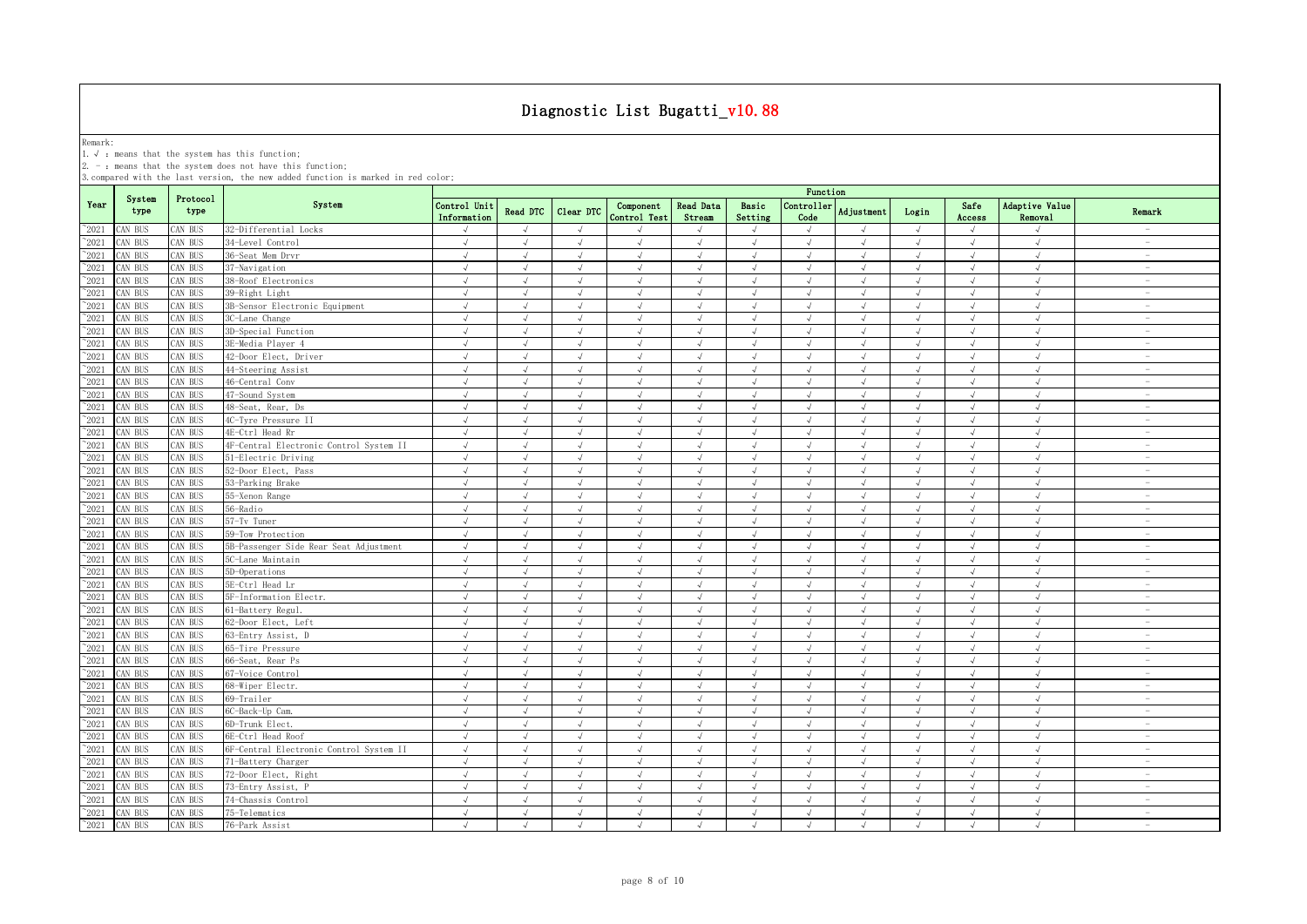Remark:<br>1.√ : means that the system has this function;<br>2. - : means that the system does not have this function;

|                |                |                  |                                         |                             |                |                |                           |                            |                  | Function           |                |            |                |                           |                                 |
|----------------|----------------|------------------|-----------------------------------------|-----------------------------|----------------|----------------|---------------------------|----------------------------|------------------|--------------------|----------------|------------|----------------|---------------------------|---------------------------------|
| Year           | System<br>type | Protocol<br>type | System                                  | Control Unit<br>Information | Read DTC       | Clear DTC      | Component<br>Control Test | <b>Read Data</b><br>Stream | Basic<br>Setting | Controller<br>Code | Adjustment     | Login      | Safe<br>Access | Adaptive Value<br>Removal | Remark                          |
| $^{\sim}2021$  | AN BUS         | CAN BUS          | 32-Differential Locks                   | $\sqrt{ }$                  | $\sqrt{ }$     | $\sqrt{ }$     |                           | $\sqrt{ }$                 | $\sqrt{ }$       | $\sqrt{ }$         | $\sqrt{ }$     | $\sqrt{ }$ | $\sqrt{ }$     | $\sqrt{ }$                |                                 |
| $^{\sim}2021$  | CAN BUS        | AN BUS           | 34-Level Control                        | $\sqrt{ }$                  | $\sqrt{ }$     | $\sqrt{ }$     | $\sqrt{ }$                | $\sqrt{ }$                 | $\sqrt{ }$       | $\sqrt{ }$         | $\sqrt{ }$     | $\sqrt{ }$ | $\sqrt{ }$     | $\sqrt{ }$                | $\hspace{0.1mm}-\hspace{0.1mm}$ |
| $^{\sim}2021$  | AN BUS         | AN BUS           | 36-Seat Mem Drvr                        | √                           |                |                |                           | $\sqrt{ }$                 | $\sqrt{ }$       |                    |                |            | $\sqrt{ }$     | $\sqrt{ }$                | $\sim$                          |
| $\degree$ 2021 | AN BUS         | CAN BUS          | 37-Navigation                           | $\sqrt{ }$                  | $\sqrt{ }$     | J              | $\sqrt{ }$                | $\sqrt{ }$                 | $\sqrt{ }$       | $\sqrt{ }$         | $\sqrt{}$      | $\sqrt{ }$ | $\sqrt{ }$     | $\sqrt{ }$                | $\hspace{0.1mm}-\hspace{0.1mm}$ |
| 2021           | AN BUS         | AN BUS           | 38-Roof Electronics                     | $\sqrt{ }$                  |                |                |                           | $\sqrt{ }$                 | $\sqrt{ }$       |                    |                |            |                | $\cdot$                   | $\sim$                          |
| 2021           | CAN BUS        | <b>CAN BUS</b>   | 39-Right Light                          | $\sqrt{ }$                  | $\sqrt{ }$     | $\sqrt{ }$     |                           | $\sqrt{ }$                 | $\sqrt{ }$       | $\sqrt{ }$         |                | $\sqrt{ }$ |                | $\sqrt{ }$                | $\overline{\phantom{a}}$        |
| $^{\sim}$ 2021 | AN BUS         | AN BUS           | 3B-Sensor Electronic Equipment          | $\sqrt{ }$                  |                |                | $\sqrt{ }$                | $\sqrt{ }$                 | $\sqrt{ }$       |                    |                |            | $\sqrt{ }$     | $\sqrt{ }$                |                                 |
| $^{\sim}$ 2021 | CAN BUS        | AN BUS           | 3C-Lane Change                          | $\sqrt{ }$                  | $\sqrt{ }$     | $\sqrt{ }$     | $\sqrt{ }$                | $\sqrt{ }$                 | $\sqrt{ }$       | $\sqrt{ }$         | J              | $\sqrt{ }$ | $\sqrt{ }$     | $\sqrt{ }$                |                                 |
| $\degree$ 2021 | CAN BUS        | AN BUS           | 3D-Special Function                     | $\sqrt{ }$                  | $\sqrt{ }$     | $\sqrt{ }$     | $\sqrt{ }$                | $\sqrt{ }$                 | $\sqrt{ }$       | $\sqrt{ }$         | $\sqrt{ }$     | $\sqrt{ }$ | $\sqrt{ }$     | $\sqrt{ }$                | $\sim$                          |
| $^{\sim}$ 2021 | CAN BUS        | <b>CAN BUS</b>   | 3E-Media Plaver 4                       | $\sqrt{2}$                  | $\sqrt{ }$     | $\sqrt{2}$     | $\sqrt{2}$                | $\sqrt{ }$                 | $\sqrt{ }$       | $\sqrt{ }$         | $\sqrt{ }$     | $\sqrt{ }$ | $\sqrt{ }$     | $\sqrt{ }$                | $\sim$                          |
| $^{\sim}$ 2021 | AN BUS         | <b>CAN BUS</b>   | 42-Door Elect, Driver                   | $\sqrt{ }$                  | $\sqrt{ }$     | $\sqrt{ }$     | $\sqrt{ }$                | $\sqrt{ }$                 | $\sqrt{ }$       | $\sqrt{ }$         | $\sqrt{ }$     | $\sqrt{ }$ | $\sqrt{ }$     | $\sqrt{ }$                | $\sim$                          |
| $^{\sim}$ 2021 | AN BUS         | CAN BUS          | 44-Steering Assist                      | $\sqrt{ }$                  | $\sqrt{ }$     | $\sqrt{ }$     | $\sqrt{ }$                | $\sqrt{ }$                 | $\sqrt{ }$       | $\sqrt{ }$         | $\sqrt{ }$     | $\sqrt{ }$ | $\sqrt{ }$     | $\sqrt{ }$                | $\sim$                          |
| $\degree$ 2021 | AN BUS         | <b>CAN BUS</b>   | 46-Central Conv                         | $\sqrt{ }$                  | $\sqrt{ }$     | $\sqrt{ }$     | $\sqrt{ }$                | $\sqrt{ }$                 | $\sqrt{ }$       | $\sqrt{ }$         | $\sqrt{ }$     | $\sqrt{ }$ | $\sqrt{ }$     | $\sqrt{2}$                | $\overline{\phantom{a}}$        |
| $\degree$ 2021 | CAN BUS        | CAN BUS          | 47-Sound System                         | $\sqrt{ }$                  | $\sqrt{ }$     | $\sqrt{ }$     | $\sqrt{ }$                | $\sqrt{ }$                 | $\sqrt{ }$       | $\sqrt{ }$         | $\sqrt{ }$     | $\sqrt{ }$ | $\sqrt{ }$     | $\sqrt{ }$                | $\overline{\phantom{a}}$        |
| $\degree$ 2021 | CAN BUS        | CAN BUS          | 48-Seat, Rear, Ds                       | $\sqrt{ }$                  | $\sqrt{ }$     | $\sqrt{ }$     | $\sqrt{ }$                | $\sqrt{ }$                 | $\sqrt{ }$       | $\sqrt{ }$         | $\sqrt{ }$     | $\sqrt{ }$ | $\sqrt{ }$     | $\sqrt{ }$                | $\overline{\phantom{a}}$        |
| $\degree$ 2021 | CAN BUS        | CAN BUS          | 4C-Tyre Pressure II                     | $\sqrt{ }$                  | $\sqrt{ }$     | $\sqrt{ }$     | $\sqrt{ }$                | $\sqrt{ }$                 | $\sqrt{ }$       | $\sqrt{ }$         | $\sqrt{ }$     | $\sqrt{ }$ | $\sqrt{ }$     | $\sqrt{ }$                | $\sim$                          |
| $\degree$ 2021 | CAN BUS        | <b>CAN BUS</b>   | 4E-Ctrl Head Rr                         | $\sqrt{ }$                  | $\sqrt{ }$     | $\sqrt{ }$     | $\sqrt{ }$                | $\sqrt{ }$                 | $\sqrt{ }$       | $\sqrt{ }$         | $\sqrt{ }$     | $\sqrt{ }$ | $\sqrt{ }$     | $\sqrt{ }$                | $\overline{\phantom{a}}$        |
| $^{\sim}2021$  | AN BUS         | <b>CAN BUS</b>   | 4F-Central Electronic Control System II | $\sqrt{}$                   | $\sqrt{ }$     | $\sqrt{ }$     | $\sqrt{ }$                | $\sqrt{}$                  | $\sqrt{ }$       | $\sqrt{ }$         | $\sqrt{ }$     | $\sqrt{}$  | $\sqrt{ }$     | $\sqrt{ }$                | $\sim$                          |
| $\degree$ 2021 | AN BUS         | AN BUS           | 51-Electric Driving                     | $\sqrt{ }$                  | $\sqrt{ }$     | $\sqrt{ }$     | $\sqrt{ }$                | $\sqrt{ }$                 | $\sqrt{ }$       | $\sqrt{ }$         | $\sqrt{2}$     | $\sqrt{ }$ | $\sqrt{ }$     | $\sqrt{2}$                | $\sim$                          |
| 2021           | AN BUS         | AN BUS           | 52-Door Elect, Pass                     | $\sqrt{ }$                  | $\sqrt{ }$     | $\mathcal{L}$  | J                         | $\sqrt{ }$                 | $\sqrt{ }$       | $\cdot$            | $\overline{v}$ | $\sqrt{ }$ | $\sqrt{ }$     | $\sqrt{ }$                | $\sim$                          |
| 2021           | AN BUS         | AN BUS           | 53-Parking Brake                        | $\sqrt{2}$                  | $\sqrt{ }$     | $\sqrt{ }$     | $\sqrt{ }$                | $\sqrt{ }$                 | $\sqrt{ }$       | $\sqrt{ }$         | $\sqrt{ }$     | $\sqrt{ }$ | $\sqrt{ }$     | $\sqrt{ }$                | $\overline{\phantom{a}}$        |
| 2021           | AN BUS         | AN BUS           | 55-Xenon Range                          | $\sqrt{ }$                  | $\overline{ }$ | $\sqrt{ }$     | $\mathcal{L}$             | $\sqrt{ }$                 | $\sqrt{ }$       | $\sqrt{ }$         | $\overline{v}$ | $\sqrt{ }$ | $\sqrt{ }$     | $\sqrt{ }$                | $\overline{\phantom{a}}$        |
| $^{\sim}2021$  | AN BUS         | AN BUS           | 56-Radio                                | $\sqrt{ }$                  | $\sqrt{ }$     | $\sqrt{ }$     | $\sqrt{ }$                | $\sqrt{ }$                 | $\mathcal{A}$    | $\mathcal{A}$      | À.             | $\sqrt{ }$ | $\sqrt{ }$     | $\sqrt{ }$                | $\overline{\phantom{a}}$        |
| $\degree$ 2021 | AN BUS         | AN BUS           | 57-Tv Tuner                             | $\sqrt{ }$                  | $\sqrt{ }$     | $\overline{a}$ | $\sqrt{ }$                | $\sqrt{ }$                 | $\sqrt{ }$       |                    | $\sqrt{ }$     | $\sqrt{ }$ | $\sqrt{ }$     | $\sqrt{ }$                | $\overline{\phantom{a}}$        |
| $^{\sim}$ 2021 | CAN BUS        | AN BUS           | 59-Tow Protection                       | $\sqrt{ }$                  | $\sqrt{ }$     | $\sqrt{ }$     | $\sqrt{ }$                | $\sqrt{ }$                 | $\sqrt{ }$       | $\sqrt{ }$         | $\sqrt{ }$     | $\sqrt{ }$ | $\sqrt{ }$     | $\sqrt{ }$                | $\overline{\phantom{a}}$        |
| $\degree$ 2021 | CAN BUS        | AN BUS           | 5B-Passenger Side Rear Seat Adjustment  | $\sqrt{ }$                  | $\sqrt{ }$     | $\sqrt{ }$     | $\sqrt{ }$                | $\sqrt{ }$                 | $\sqrt{ }$       | $\sqrt{ }$         | $\sqrt{ }$     | $\sqrt{ }$ | $\sqrt{ }$     | $\sqrt{ }$                | $\sim$                          |
| $^{\sim}$ 2021 | AN BUS         | CAN BUS          | 5C-Lane Maintain                        | $\sqrt{ }$                  | $\sqrt{ }$     | $\sqrt{ }$     | $\sqrt{ }$                | $\sqrt{ }$                 | $\sqrt{ }$       | $\sqrt{ }$         | $\sqrt{ }$     | $\sqrt{ }$ | $\sqrt{ }$     | $\sqrt{ }$                | $\sim$                          |
| $\degree$ 2021 | AN BUS         | CAN BUS          | 5D-Operations                           | $\sqrt{ }$                  | $\sqrt{ }$     | $\sqrt{ }$     | $\sqrt{ }$                | $\sqrt{ }$                 | $\sqrt{ }$       | $\sqrt{ }$         | $\sqrt{ }$     | $\sqrt{ }$ | $\sqrt{ }$     | $\sqrt{ }$                | $\overline{\phantom{a}}$        |
| $\degree$ 2021 | AN BUS         | CAN BUS          | 5E-Ctrl Head Lr                         | $\sqrt{ }$                  | $\sqrt{ }$     | $\sqrt{ }$     | $\mathcal{L}$             | $\sqrt{ }$                 | $\sqrt{ }$       | $\sqrt{ }$         | $\sqrt{ }$     | $\sqrt{ }$ | $\sqrt{ }$     | $\sqrt{ }$                | $\sim$                          |
| $\degree$ 2021 | CAN BUS        | CAN BUS          | 5F-Information Electr.                  | $\checkmark$                | $\sqrt{ }$     | $\sqrt{ }$     | $\sqrt{ }$                | $\sqrt{ }$                 | $\sqrt{ }$       | $\sqrt{ }$         | $\sqrt{ }$     | $\sqrt{ }$ | $\sqrt{ }$     | $\sqrt{ }$                | $\overline{\phantom{a}}$        |
| $\degree$ 2021 | CAN BUS        | CAN BUS          | 61-Battery Regul.                       | $\sqrt{ }$                  | $\sqrt{ }$     | $\sqrt{ }$     | $\sqrt{ }$                | $\sqrt{ }$                 | $\mathcal{A}$    | $\sqrt{ }$         | $\sqrt{ }$     | $\sqrt{ }$ | $\sqrt{ }$     | $\sqrt{ }$                | $\overline{\phantom{a}}$        |
| $\degree$ 2021 | CAN BUS        | CAN BUS          | 62-Door Elect, Left                     | $\sqrt{ }$                  | $\sqrt{ }$     | $\sqrt{ }$     | $\sqrt{ }$                | $\sqrt{ }$                 | $\sqrt{ }$       | $\sqrt{ }$         | $\sqrt{ }$     | $\sqrt{ }$ | $\sqrt{ }$     | $\sqrt{ }$                | $\overline{\phantom{a}}$        |
| $^{\sim}$ 2021 | CAN BUS        | CAN BUS          | 63-Entry Assist, D                      | $\sqrt{ }$                  | $\sqrt{ }$     | $\sqrt{ }$     | $\sqrt{ }$                | $\sqrt{ }$                 | $\sqrt{ }$       | $\sqrt{ }$         | $\sqrt{ }$     | $\sqrt{ }$ | $\sqrt{ }$     | $\sqrt{ }$                | $\overline{\phantom{a}}$        |
| $\degree$ 2021 | CAN BUS        | <b>CAN BUS</b>   | 65-Tire Pressure                        | $\sqrt{ }$                  | $\sqrt{ }$     | $\sqrt{ }$     | $\sqrt{ }$                | $\sqrt{ }$                 | $\sqrt{ }$       | $\sqrt{ }$         | $\sqrt{ }$     | $\sqrt{ }$ | $\sqrt{ }$     | $\sqrt{ }$                | $\hspace{0.1mm}-\hspace{0.1mm}$ |
| $^{\sim}2021$  | AN BUS         | <b>CAN BUS</b>   | 66-Seat, Rear Ps                        | $\sqrt{ }$                  |                |                |                           | $\sqrt{ }$                 | $\mathcal{L}$    |                    |                |            | $\sqrt{ }$     | $\sqrt{ }$                | $\sim$                          |
| $\degree$ 2021 | CAN BUS        | AN BUS           | 67-Voice Control                        | $\sqrt{2}$                  | $\sqrt{ }$     | $\sqrt{ }$     | $\sqrt{ }$                | $\sqrt{ }$                 | $\sqrt{ }$       | $\sqrt{ }$         | $\sqrt{ }$     | $\sqrt{ }$ | $\sqrt{ }$     | $\sqrt{}$                 | $\overline{\phantom{a}}$        |
| 2021           | AN BUS         | AN BUS           | 68-Wiper Electr.                        | $\sqrt{ }$                  |                |                |                           | $\sqrt{ }$                 | $\mathcal{A}$    |                    |                | $\sqrt{ }$ |                | $\sqrt{ }$                | $\overline{\phantom{a}}$        |
| $\degree$ 2021 | CAN BUS        | <b>CAN BUS</b>   | 69-Trailer                              | $\sqrt{ }$                  |                |                |                           | $\sqrt{ }$                 | $\sqrt{ }$       |                    |                | $\sqrt{ }$ |                | $\sqrt{ }$                | $\overline{\phantom{a}}$        |
| $\degree$ 2021 | AN BUS         | AN BUS           | 6C-Back-Up Cam.                         | $\sqrt{ }$                  |                |                |                           | $\sqrt{ }$                 | $\sqrt{ }$       |                    |                |            |                | J                         |                                 |
| $^{\sim}$ 2021 | CAN BUS        | <b>CAN BUS</b>   | 6D-Trunk Elect.                         | $\sqrt{ }$                  | $\sqrt{ }$     | $\sqrt{ }$     |                           | $\sqrt{ }$                 | $\sqrt{ }$       | $\sqrt{ }$         | J              | $\sqrt{ }$ | $\sqrt{ }$     | $\sqrt{ }$                |                                 |
| $\degree$ 2021 | AN BUS         | AN BUS           | 6E-Ctrl Head Roof                       | $\sqrt{ }$                  | $\sqrt{ }$     | $\sqrt{ }$     | $\sqrt{ }$                | $\sqrt{ }$                 | $\sqrt{ }$       | $\sqrt{ }$         | $\sqrt{ }$     | $\sqrt{ }$ | $\sqrt{ }$     | $\sqrt{ }$                |                                 |
| $^{\sim}$ 2021 | CAN BUS        | <b>CAN BUS</b>   | 6F-Central Electronic Control System II | $\sqrt{ }$                  | $\sqrt{ }$     | $\sqrt{ }$     | $\sqrt{ }$                | $\sqrt{ }$                 | $\sqrt{ }$       | $\sqrt{ }$         | J              | $\sqrt{ }$ | $\sqrt{ }$     | $\sqrt{ }$                | $\sim$                          |
| $^{\sim}$ 2021 | CAN BUS        | <b>CAN BUS</b>   | 71-Battery Charger                      | $\sqrt{ }$                  | $\sqrt{ }$     | $\sqrt{ }$     | $\sqrt{ }$                | $\sqrt{ }$                 | $\sqrt{ }$       | $\sqrt{ }$         | $\sqrt{ }$     | $\sqrt{ }$ | $\sqrt{ }$     | $\sqrt{ }$                | $\overline{\phantom{a}}$        |
| $^{\sim}$ 2021 | CAN BUS        | CAN BUS          | 72-Door Elect, Right                    | $\sqrt{ }$                  | $\sqrt{ }$     | $\sqrt{ }$     | $\sqrt{ }$                | $\sqrt{ }$                 | $\sqrt{ }$       | $\sqrt{ }$         | $\sqrt{ }$     | $\sqrt{ }$ | $\sqrt{ }$     | $\sqrt{ }$                | $\sim$                          |
| $\degree$ 2021 | CAN BUS        | CAN BUS          | 73-Entry Assist, P                      | $\sqrt{ }$                  | $\sqrt{ }$     | $\sqrt{ }$     | $\sqrt{ }$                | $\sqrt{ }$                 | $\sqrt{ }$       | $\sqrt{ }$         | $\sqrt{ }$     | $\sqrt{ }$ | $\sqrt{ }$     | $\sqrt{2}$                | $\overline{\phantom{a}}$        |
| $\degree$ 2021 | CAN BUS        | CAN BUS          | 74-Chassis Control                      | $\sqrt{ }$                  | $\sqrt{ }$     | $\sqrt{ }$     | $\sqrt{ }$                | $\sqrt{ }$                 | $\sqrt{ }$       | $\sqrt{ }$         | $\sqrt{ }$     | $\sqrt{ }$ | $\sqrt{ }$     | $\sqrt{ }$                | $\overline{\phantom{a}}$        |
| $^{\sim}$ 2021 | CAN BUS        | CAN BUS          | 75-Telematics                           | $\sqrt{ }$                  | $\sqrt{ }$     | $\sqrt{ }$     | $\sqrt{ }$                | $\sqrt{ }$                 | $\sqrt{ }$       | $\sqrt{ }$         | $\sqrt{ }$     | $\sqrt{ }$ | $\sqrt{ }$     | $\sqrt{ }$                | $\overline{\phantom{a}}$        |
| $^{\sim}$ 2021 | CAN BUS        | CAN BUS          | 76-Park Assist                          | $\sqrt{ }$                  | $\sqrt{ }$     | $\sqrt{ }$     | $\sqrt{ }$                | $\sqrt{ }$                 | $\sqrt{ }$       | $\sqrt{ }$         | $\mathcal{L}$  | $\sqrt{ }$ | $\sqrt{ }$     | $\sqrt{ }$                | $\overline{\phantom{a}}$        |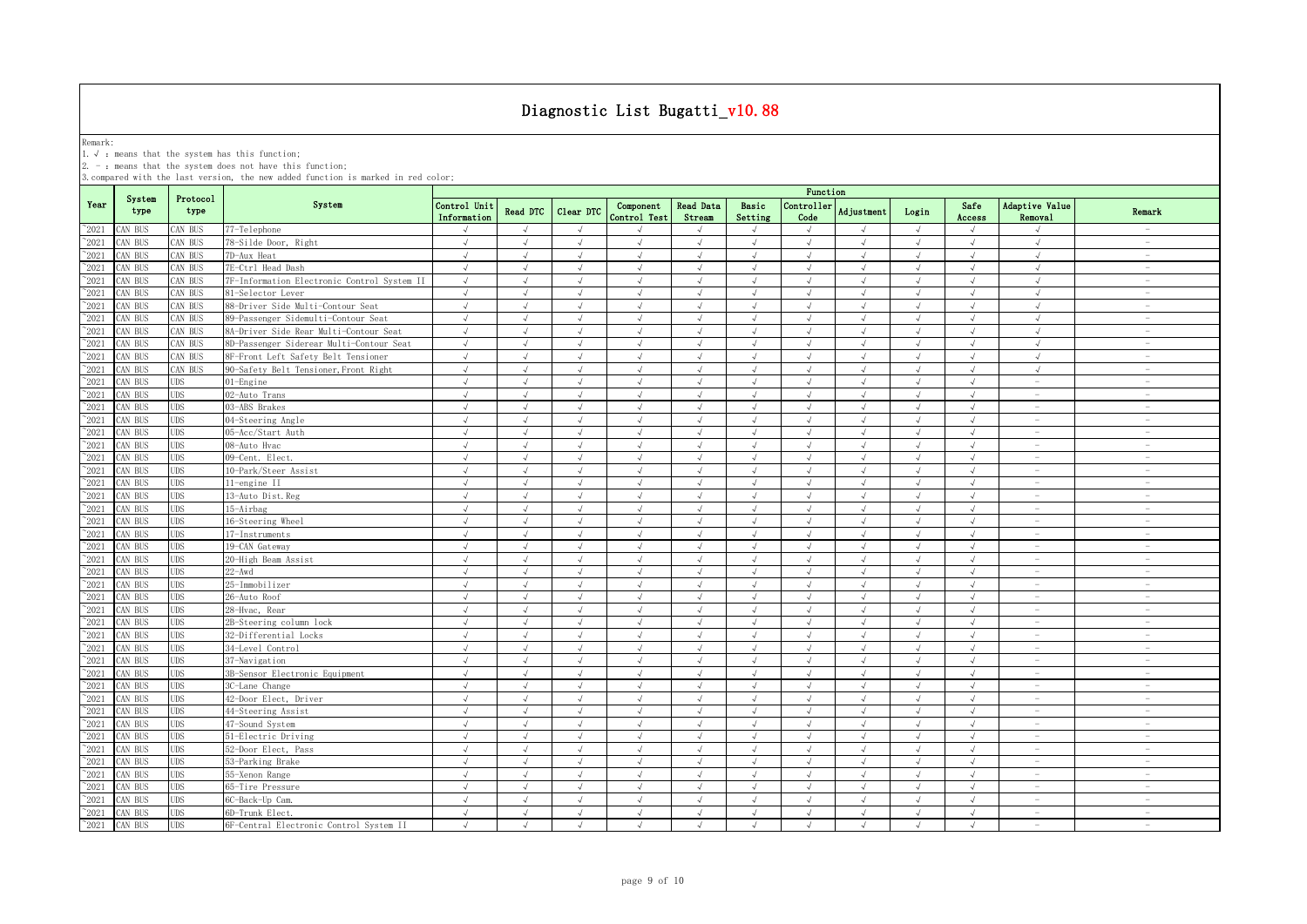Remark:<br>1.√ : means that the system has this function;<br>2. - : means that the system does not have this function;

|                |                |                  |                                             |                             |                 |               |                           |                            |                  | Function           |                   |            |                |                                 |                                 |
|----------------|----------------|------------------|---------------------------------------------|-----------------------------|-----------------|---------------|---------------------------|----------------------------|------------------|--------------------|-------------------|------------|----------------|---------------------------------|---------------------------------|
| Year           | System<br>type | Protocol<br>type | System                                      | Control Unit<br>Information | <b>Read DTC</b> | Clear DTC     | Component<br>Control Test | <b>Read Data</b><br>Stream | Basic<br>Setting | Controller<br>Code | <b>Adjustment</b> | Login      | Safe<br>Access | Adaptive Value<br>Removal       | Remark                          |
| $^{\circ}2021$ | CAN BUS        | CAN BUS          | 77-Telephone                                | $\sqrt{ }$                  | $\sqrt{ }$      | $\sqrt{ }$    | $\mathcal{L}$             |                            | $\sqrt{ }$       | $\sqrt{ }$         | $\sqrt{ }$        | $\sqrt{ }$ | $\sqrt{ }$     | $\sqrt{ }$                      | $\overline{\phantom{a}}$        |
| $^{\sim}2021$  | CAN BUS        | CAN BUS          | 78-Silde Door, Right                        | $\sqrt{ }$                  | $\sqrt{ }$      | $\sqrt{ }$    | $\sqrt{ }$                | $\sqrt{ }$                 | $\sqrt{ }$       | $\sqrt{ }$         | $\sqrt{ }$        | $\sqrt{ }$ | $\sqrt{ }$     | $\sqrt{ }$                      | $\overline{\phantom{a}}$        |
| $^{\sim}2021$  | CAN BUS        | CAN BUS          | 7D-Aux Heat                                 | $\sqrt{ }$                  | $\sqrt{ }$      | $\sqrt{ }$    | $\sqrt{ }$                | $\sqrt{ }$                 | $\sqrt{ }$       | $\sqrt{ }$         | $\sqrt{ }$        | $\sqrt{ }$ | $\sqrt{ }$     | $\sqrt{ }$                      | $\sim$                          |
| 2021           | CAN BUS        | CAN BUS          | 7E-Ctrl Head Dash                           | $\sqrt{ }$                  | $\sqrt{ }$      | $\sqrt{ }$    | $\sqrt{ }$                | $\sqrt{ }$                 | $\sqrt{ }$       | $\sqrt{ }$         | $\sqrt{ }$        | $\sqrt{ }$ | $\sqrt{ }$     | $\sqrt{ }$                      | $\sim$                          |
| 2021           | CAN BUS        | CAN BUS          | 7F-Information Electronic Control System II | $\sqrt{ }$                  | $\sqrt{ }$      | $\sqrt{ }$    | J                         | $\sqrt{ }$                 | $\sqrt{ }$       | $\sqrt{ }$         | $\sqrt{ }$        | $\sqrt{ }$ | $\sqrt{ }$     | $\sqrt{ }$                      | $\overline{\phantom{a}}$        |
| 2021           | CAN BUS        | CAN BUS          | 81-Selector Lever                           | $\sqrt{ }$                  | $\sqrt{ }$      | $\sqrt{ }$    | $\sqrt{}$                 | $\sqrt{ }$                 | $\sqrt{ }$       |                    |                   | $\sqrt{ }$ | $\sqrt{ }$     | $\sqrt{ }$                      | $\overline{\phantom{a}}$        |
| 2021           | CAN BUS        | CAN BUS          | 88-Driver Side Multi-Contour Seat           | $\sqrt{ }$                  | $\sqrt{ }$      | $\sqrt{ }$    | J                         | $\sqrt{ }$                 | $\mathcal{L}$    | $\cdot$            |                   | $\sqrt{ }$ | $\sqrt{ }$     | $\sqrt{ }$                      | $\overline{\phantom{a}}$        |
| 2021           | CAN BUS        | CAN BUS          | 89-Passenger Sidemulti-Contour Seat         |                             |                 |               |                           |                            |                  |                    |                   |            |                | $\sqrt{ }$                      | $\sim$                          |
| $^{\sim}2021$  | CAN BUS        | CAN BUS          | 8A-Driver Side Rear Multi-Contour Seat      | $\sqrt{ }$                  | $\sqrt{ }$      | $\sqrt{ }$    | $\sqrt{ }$                | $\sqrt{ }$                 | $\sqrt{ }$       | J                  | $\sqrt{ }$        | $\sqrt{ }$ | $\sqrt{ }$     | $\sqrt{ }$                      | $\sim$                          |
| $\degree$ 2021 | CAN BUS        | CAN BUS          | 8D-Passenger Siderear Multi-Contour Seat    | $\sqrt{ }$                  | $\sqrt{ }$      | J             | J                         | $\sqrt{ }$                 | $\sqrt{ }$       | J                  | $\sqrt{ }$        | $\sqrt{ }$ | $\sqrt{ }$     | $\sqrt{ }$                      |                                 |
| $^{\sim}2021$  | CAN BUS        | CAN BUS          | 8F-Front Left Safety Belt Tensioner         | $\sqrt{ }$                  | $\sqrt{ }$      | $\sqrt{ }$    | $\sqrt{ }$                | $\sqrt{ }$                 | $\sqrt{ }$       | $\sqrt{ }$         | $\sqrt{ }$        | $\sqrt{ }$ | $\sqrt{ }$     | $\sqrt{ }$                      | $\sim$                          |
| $^{\sim}2021$  | CAN BUS        | CAN BUS          | 90-Safety Belt Tensioner, Front Right       | $\sqrt{ }$                  | $\sqrt{ }$      | $\sqrt{ }$    | $\sqrt{2}$                | $\sqrt{ }$                 | $\sqrt{ }$       |                    | J                 | $\sqrt{ }$ | $\sqrt{ }$     | $\sqrt{2}$                      | $\sim$                          |
| $\degree$ 2021 | CAN BUS        | <b>UDS</b>       | $01$ -Engine                                | $\sqrt{ }$                  | $\sqrt{ }$      | $\sqrt{}$     | $\sqrt{ }$                | $\sqrt{ }$                 | $\sqrt{ }$       | $\sqrt{ }$         | $\sqrt{ }$        | $\sqrt{ }$ | $\sqrt{ }$     | $\sim$                          | $\sim$                          |
| $^{\circ}2021$ | CAN BUS        | <b>UDS</b>       | 02-Auto Trans                               | $\sqrt{ }$                  | $\sqrt{ }$      | $\sqrt{ }$    | $\sqrt{ }$                | $\sqrt{ }$                 | $\sqrt{ }$       | $\sqrt{ }$         | $\sqrt{ }$        | $\sqrt{ }$ | $\sqrt{ }$     | $\sim$                          | $\overline{\phantom{a}}$        |
| $^{\sim}2021$  | CAN BUS        | <b>UDS</b>       | 03-ABS Brakes                               | $\sqrt{ }$                  | $\sqrt{ }$      | $\sqrt{ }$    | $\sqrt{ }$                | $\sqrt{ }$                 | $\sqrt{ }$       | $\sqrt{ }$         | $\sqrt{ }$        | $\sqrt{ }$ | $\sqrt{ }$     | $\sim$                          | $\overline{\phantom{a}}$        |
| $^{\circ}2021$ | CAN BUS        | <b>UDS</b>       | 04-Steering Angle                           | $\sqrt{ }$                  | $\sqrt{ }$      | $\sqrt{ }$    | $\sqrt{ }$                | $\sqrt{ }$                 | $\sqrt{ }$       | $\sqrt{ }$         | $\sqrt{ }$        | $\sqrt{ }$ | $\sqrt{ }$     |                                 | $\overline{\phantom{a}}$        |
| $^{\sim}2021$  | CAN BUS        | <b>UDS</b>       | 05-Acc/Start Auth                           | $\sqrt{ }$                  | $\sqrt{ }$      | $\sqrt{ }$    | $\sqrt{ }$                | $\sqrt{ }$                 | $\sqrt{ }$       | $\sqrt{ }$         | $\sqrt{ }$        | $\sqrt{ }$ | $\sqrt{ }$     | $\sim$                          | $\overline{\phantom{a}}$        |
| $^{\sim}2021$  | CAN BUS        | <b>UDS</b>       | 08-Auto Hvac                                | $\sqrt{ }$                  | $\sqrt{ }$      | $\sqrt{ }$    | $\sqrt{ }$                | $\sqrt{ }$                 | $\sqrt{ }$       | $\sqrt{ }$         | $\sqrt{ }$        | $\sqrt{ }$ | $\sqrt{ }$     | $\sim$                          | $\sim$                          |
| 2021           | CAN BUS        | <b>UDS</b>       | 09-Cent. Elect.                             | $\sqrt{ }$                  | $\sqrt{ }$      | $\sqrt{ }$    | $\sqrt{ }$                | $\sqrt{ }$                 | $\sqrt{ }$       | $\sqrt{ }$         | $\sqrt{}$         | $\sqrt{}$  | $\sqrt{ }$     | $\hspace{0.1mm}-\hspace{0.1mm}$ | $\hspace{0.1mm}-\hspace{0.1mm}$ |
| 2021           | CAN BUS        | <b>UDS</b>       | 10-Park/Steer Assist                        |                             | $\cdot$         |               |                           |                            | $\sqrt{ }$       |                    |                   |            | J              | $\hspace{0.1mm}-\hspace{0.1mm}$ | $\sim$                          |
| 2021           | CAN BUS        | <b>UDS</b>       | 11-engine II                                | $\sqrt{ }$                  | $\sqrt{ }$      | $\sqrt{ }$    | $\sqrt{ }$                | $\sqrt{ }$                 | $\sqrt{ }$       | J                  | J                 | $\sqrt{ }$ | $\sqrt{ }$     | $\sim$                          | $\sim$                          |
| 2021           | CAN BUS        | UDS              | 13-Auto Dist.Reg                            |                             | $\sqrt{ }$      | $\mathcal{L}$ | $\sqrt{ }$                | $\sqrt{ }$                 | $\sqrt{ }$       |                    |                   | $\cdot$    | $\sqrt{ }$     | $\hspace{0.1mm}-\hspace{0.1mm}$ | $\sim$                          |
| $^{\circ}2021$ | CAN BUS        | <b>UDS</b>       | 15-Airbag                                   | J                           | $\sqrt{ }$      | J             | J                         |                            | $\sqrt{ }$       |                    |                   |            | $\sqrt{ }$     |                                 | $\overline{\phantom{a}}$        |
| $^{\sim}2021$  | CAN BUS        | <b>UDS</b>       | 16-Steering Wheel                           | $\sqrt{ }$                  | $\sqrt{ }$      | $\sqrt{ }$    | $\sqrt{ }$                | $\sqrt{ }$                 | $\sqrt{ }$       | $\sqrt{ }$         | $\mathcal{A}$     | $\sqrt{ }$ | $\sqrt{ }$     | $\overline{\phantom{a}}$        | $\overline{\phantom{a}}$        |
| $^{\sim}2021$  | CAN BUS        | <b>UDS</b>       | 17-Instruments                              | $\sqrt{ }$                  | $\sqrt{ }$      | $\sqrt{ }$    | $\sqrt{ }$                | $\sqrt{ }$                 | $\sqrt{ }$       | $\sqrt{ }$         | $\sqrt{ }$        | $\sqrt{ }$ | $\sqrt{ }$     | $\sim$                          | $\sim$                          |
| $^{\sim}2021$  | CAN BUS        | <b>UDS</b>       | 19-CAN Gateway                              | $\sqrt{ }$                  | $\sqrt{ }$      | $\sqrt{ }$    | $\sqrt{ }$                | $\sqrt{ }$                 | $\sqrt{ }$       | $\sqrt{ }$         | $\sqrt{ }$        | $\sqrt{ }$ | $\sqrt{ }$     | $\sim$                          | $\sim$                          |
| $\degree$ 2021 | CAN BUS        | <b>UDS</b>       | 20-High Beam Assist                         | $\sqrt{ }$                  | $\sqrt{ }$      | $\sqrt{ }$    | $\sqrt{ }$                | $\sqrt{ }$                 | $\sqrt{ }$       | $\sqrt{ }$         | $\sqrt{ }$        | $\sqrt{ }$ | $\sqrt{ }$     | $\overline{\phantom{a}}$        | $\overline{\phantom{a}}$        |
| $^{\sim}2021$  | CAN BUS        | <b>UDS</b>       | $22 - Awd$                                  | $\sqrt{ }$                  | $\sqrt{ }$      | $\sqrt{}$     | $\sqrt{ }$                | $\sqrt{ }$                 | $\sqrt{ }$       | $\sqrt{ }$         | $\sqrt{ }$        | $\sqrt{ }$ | $\sqrt{ }$     | $\hspace{0.1mm}-\hspace{0.1mm}$ | $\overline{\phantom{a}}$        |
| $^{\sim}2021$  | CAN BUS        | <b>UDS</b>       | 25-Immobilizer                              | $\sqrt{ }$                  | $\sqrt{ }$      | $\sqrt{ }$    | $\sqrt{ }$                | $\sqrt{ }$                 | $\sqrt{ }$       | $\sqrt{ }$         | $\sqrt{ }$        | $\sqrt{ }$ | $\sqrt{ }$     | $\sim$                          | $\sim$                          |
| $^{\sim}2021$  | CAN BUS        | <b>UDS</b>       | 26-Auto Roof                                | $\sqrt{ }$                  | $\sqrt{ }$      | $\sqrt{ }$    | $\sqrt{ }$                | $\sqrt{ }$                 | $\sqrt{ }$       | $\sqrt{ }$         | $\sqrt{ }$        | $\sqrt{ }$ | $\sqrt{ }$     | $\hspace{0.1mm}-\hspace{0.1mm}$ | $\overline{\phantom{a}}$        |
| $^{\sim}2021$  | CAN BUS        | <b>UDS</b>       | 28-Hvac, Rear                               | $\sqrt{ }$                  | $\sqrt{ }$      | $\sqrt{ }$    | $\sqrt{ }$                | $\sqrt{ }$                 | $\sqrt{ }$       | $\sqrt{ }$         | $\sqrt{ }$        | $\sqrt{ }$ | $\sqrt{ }$     | $\overline{\phantom{a}}$        | $\overline{\phantom{a}}$        |
| $^{\sim}2021$  | CAN BUS        | <b>UDS</b>       | 2B-Steering column lock                     | $\sqrt{ }$                  | $\sqrt{ }$      | $\sqrt{ }$    | $\sqrt{ }$                | $\sqrt{ }$                 | $\sqrt{ }$       | $\sqrt{ }$         | $\sqrt{ }$        | $\sqrt{ }$ | $\sqrt{ }$     | $\sim$                          | $\sim$                          |
| 2021           | CAN BUS        | <b>UDS</b>       | 32-Differential Locks                       | $\sqrt{ }$                  | $\sqrt{ }$      | $\sqrt{ }$    | $\sqrt{ }$                | $\sqrt{ }$                 | $\sqrt{ }$       | $\sqrt{ }$         | $\sqrt{ }$        | $\sqrt{ }$ | $\sqrt{ }$     | $\sim$                          | $\sim$                          |
| 2021           | CAN BUS        | <b>UDS</b>       | 34-Level Control                            | $\sqrt{2}$                  | $\sqrt{ }$      | J             | $\sqrt{2}$                | $\sqrt{ }$                 | $\sqrt{ }$       |                    | $\sqrt{2}$        | $\sqrt{ }$ | $\sqrt{ }$     | $\sim$                          | $\sim$                          |
| 2021           | CAN BUS        | UDS              | 37-Navigation                               | √                           | $\sqrt{ }$      | J             |                           |                            | $\sqrt{ }$       |                    |                   |            | $\sqrt{ }$     | $\sim$                          | $\hspace{0.1mm}-\hspace{0.1mm}$ |
| 2021           | CAN BUS        | <b>UDS</b>       | 3B-Sensor Electronic Equipment              | $\sqrt{ }$                  | $\sqrt{ }$      | $\sqrt{ }$    | $\sqrt{}$                 | $\sqrt{ }$                 | $\sqrt{ }$       | $\sqrt{ }$         | $\sqrt{ }$        | $\sqrt{ }$ | $\sqrt{ }$     | $\sim$                          | $\overline{\phantom{a}}$        |
| 2021           | CAN BUS        | <b>UDS</b>       | 3C-Lane Change                              | $\sqrt{ }$                  | $\sqrt{ }$      | $\sqrt{ }$    | $\sqrt{}$                 | $\sqrt{ }$                 | $\sqrt{ }$       | $\sqrt{ }$         | $\sqrt{ }$        | $\sqrt{ }$ | $\sqrt{ }$     | $\overline{\phantom{a}}$        | $\overline{\phantom{a}}$        |
| $^{\sim}2021$  | CAN BUS        | <b>UDS</b>       | 42-Door Elect, Driver                       | $\sqrt{ }$                  | $\sqrt{ }$      | $\sqrt{ }$    | $\sqrt{ }$                | $\sqrt{ }$                 | $\sqrt{ }$       | $\sqrt{ }$         | $\sqrt{ }$        | $\sqrt{ }$ | $\sqrt{ }$     | $\overline{\phantom{a}}$        | $\overline{\phantom{a}}$        |
| $^{\sim}2021$  | CAN BUS        | <b>UDS</b>       | 44-Steering Assist                          | $\sqrt{ }$                  | $\sqrt{ }$      | $\sqrt{ }$    | $\sqrt{ }$                | $\sqrt{ }$                 | $\sqrt{ }$       | $\sqrt{ }$         | $\sqrt{ }$        | $\sqrt{ }$ | $\sqrt{ }$     |                                 | $\overline{\phantom{a}}$        |
| $\degree$ 2021 | CAN BUS        | <b>UDS</b>       | 47-Sound System                             | $\sqrt{ }$                  | $\sqrt{ }$      | $\sqrt{ }$    | $\sqrt{2}$                | $\sqrt{ }$                 | $\sqrt{ }$       | $\sqrt{ }$         | $\sqrt{2}$        | $\sqrt{ }$ | $\sqrt{ }$     | $\overline{\phantom{a}}$        | $\sim$                          |
| $^{\sim}2021$  | CAN BUS        | <b>UDS</b>       | 51-Electric Driving                         | $\sqrt{ }$                  | $\sqrt{ }$      | $\sqrt{ }$    | $\sqrt{ }$                | $\sqrt{ }$                 | $\sqrt{ }$       | $\sqrt{ }$         | $\sqrt{ }$        | $\sqrt{ }$ | $\sqrt{ }$     | $\sim$                          | $\hspace{0.1mm}-\hspace{0.1mm}$ |
| $\degree$ 2021 | CAN BUS        | <b>UDS</b>       | 52-Door Elect, Pass                         | $\sqrt{ }$                  | $\sqrt{ }$      | $\sqrt{ }$    | $\sqrt{}$                 | $\sqrt{ }$                 | $\sqrt{ }$       | $\sqrt{ }$         | $\sqrt{ }$        | $\sqrt{ }$ | $\sqrt{ }$     | $\sim$                          | $\sim$                          |
| $^{\sim}2021$  | CAN BUS        | <b>UDS</b>       | 53-Parking Brake                            | $\sqrt{ }$                  | $\sqrt{ }$      | $\sqrt{ }$    | $\sqrt{ }$                | $\sqrt{ }$                 | $\sqrt{ }$       | $\sqrt{ }$         | $\sqrt{ }$        | $\sqrt{ }$ | $\sqrt{ }$     | $\overline{\phantom{a}}$        | $\overline{\phantom{a}}$        |
| $^{\sim}2021$  | CAN BUS        | <b>UDS</b>       | 55-Xenon Range                              | $\sqrt{ }$                  | $\sqrt{ }$      | $\sqrt{ }$    | $\sqrt{}$                 | $\sqrt{ }$                 | $\sqrt{ }$       | $\sqrt{ }$         | $\sqrt{ }$        | $\sqrt{ }$ | $\sqrt{ }$     | $\sim$                          | $\sim$                          |
| $^{\sim}2021$  | CAN BUS        | <b>UDS</b>       | 65-Tire Pressure                            | $\sqrt{ }$                  | $\sqrt{ }$      | $\sqrt{ }$    | $\sqrt{ }$                | $\sqrt{ }$                 | $\sqrt{ }$       | $\sqrt{ }$         | $\sqrt{ }$        | $\sqrt{ }$ | $\sqrt{ }$     | $\sim$                          | $\overline{\phantom{a}}$        |
| $^{\sim}2021$  | CAN BUS        | <b>UDS</b>       | 6C-Back-Up Cam                              | $\sqrt{ }$                  | $\sqrt{ }$      | $\sqrt{ }$    | $\sqrt{ }$                | $\sqrt{ }$                 | $\sqrt{ }$       | $\sqrt{ }$         | $\sqrt{ }$        | $\sqrt{ }$ | $\sqrt{ }$     | $\hspace{0.1mm}-\hspace{0.1mm}$ | $\overline{\phantom{a}}$        |
| $^{\sim}2021$  | CAN BUS        | <b>UDS</b>       | 6D-Trunk Elect.                             | $\sqrt{ }$                  | $\sqrt{ }$      | $\sqrt{}$     | $\sqrt{ }$                | $\sqrt{ }$                 | $\sqrt{ }$       | $\sqrt{ }$         | $\sqrt{ }$        | $\sqrt{ }$ | $\sqrt{ }$     | $\sim$                          | $\hspace{0.1mm}-\hspace{0.1mm}$ |
| $^{\circ}2021$ | CAN BUS        | <b>UDS</b>       | 6F-Central Electronic Control System II     | $\sqrt{ }$                  | $\sqrt{ }$      | $\sqrt{ }$    | $\sqrt{ }$                | $\sqrt{ }$                 | $\sqrt{ }$       | $\sqrt{ }$         | $\sqrt{ }$        | $\sqrt{ }$ | $\sqrt{ }$     | $\sim$                          | $\sim$                          |